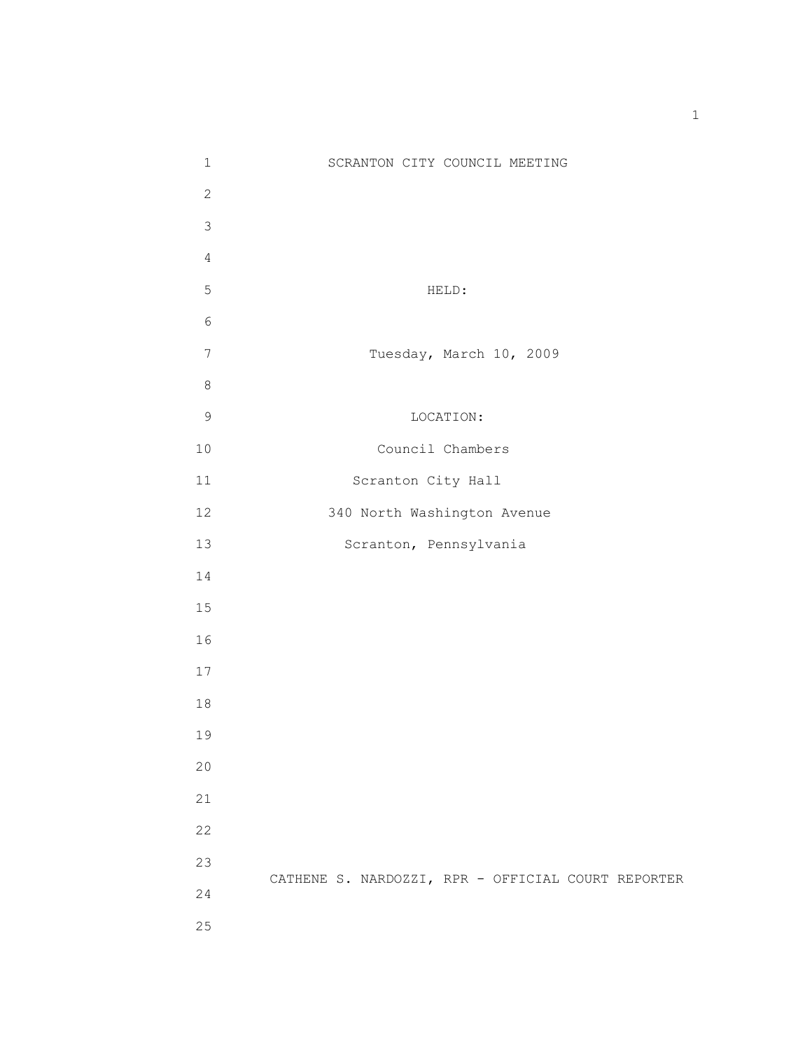| $\mathbf 1$    | SCRANTON CITY COUNCIL MEETING                      |
|----------------|----------------------------------------------------|
| $\overline{c}$ |                                                    |
| 3              |                                                    |
| $\overline{4}$ |                                                    |
| 5              | HELD:                                              |
| $\sqrt{6}$     |                                                    |
| $7\phantom{.}$ | Tuesday, March 10, 2009                            |
| $\,8\,$        |                                                    |
| $\mathsf 9$    | LOCATION:                                          |
| 10             | Council Chambers                                   |
| $11\,$         | Scranton City Hall                                 |
| 12             | 340 North Washington Avenue                        |
| 13             | Scranton, Pennsylvania                             |
| 14             |                                                    |
| 15             |                                                    |
| 16             |                                                    |
| 17             |                                                    |
| $1\,8$         |                                                    |
| 19             |                                                    |
| 20             |                                                    |
| 21             |                                                    |
| 22             |                                                    |
| 23             |                                                    |
| 24             | CATHENE S. NARDOZZI, RPR - OFFICIAL COURT REPORTER |
| 25             |                                                    |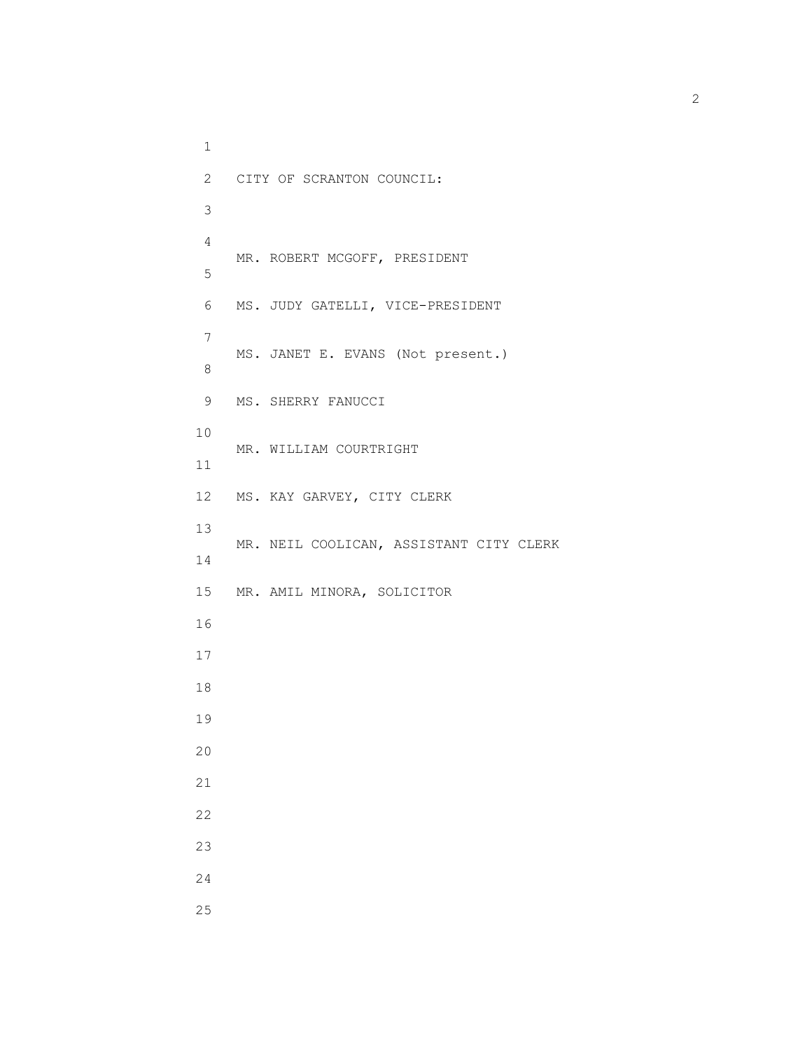1 2 CITY OF SCRANTON COUNCIL: 3 4 MR. ROBERT MCGOFF, PRESIDENT 5 6 MS. JUDY GATELLI, VICE-PRESIDENT 7 MS. JANET E. EVANS (Not present.) 8 9 MS. SHERRY FANUCCI 10 MR. WILLIAM COURTRIGHT 11 12 MS. KAY GARVEY, CITY CLERK 13 MR. NEIL COOLICAN, ASSISTANT CITY CLERK 14 15 MR. AMIL MINORA, SOLICITOR 16 17 18 19 20 21 22 23 24 25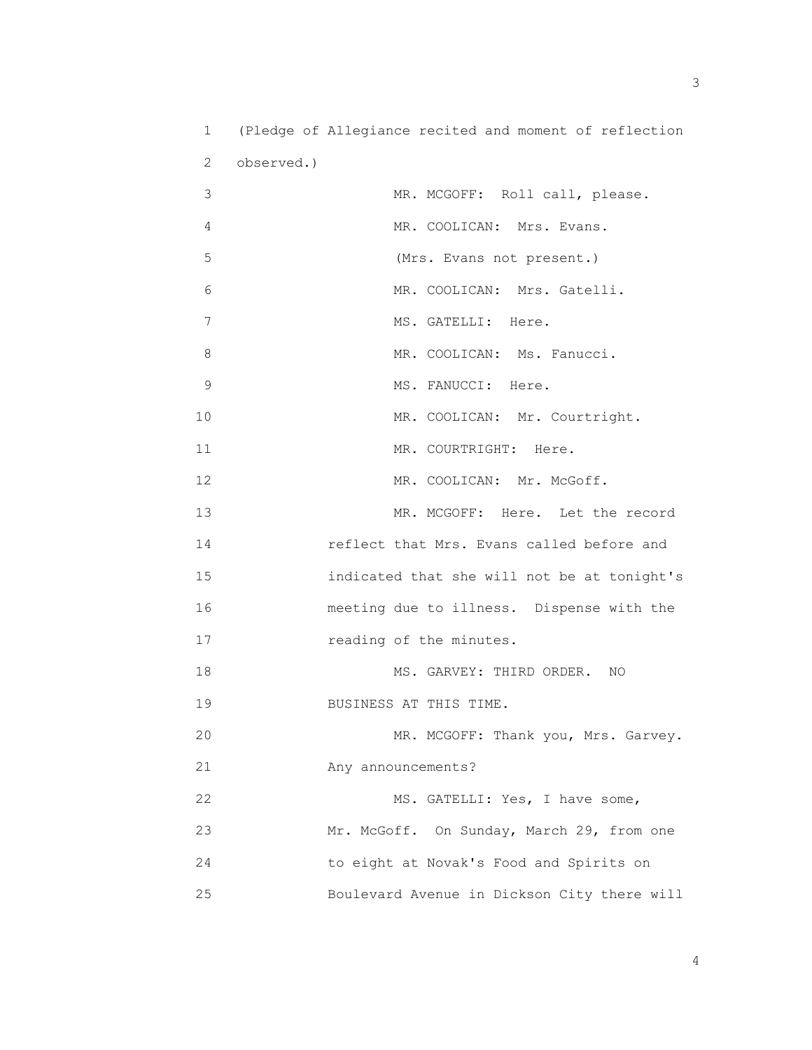1 (Pledge of Allegiance recited and moment of reflection 2 observed.) 3 MR. MCGOFF: Roll call, please. 4 MR. COOLICAN: Mrs. Evans. 5 (Mrs. Evans not present.) 6 MR. COOLICAN: Mrs. Gatelli. 7 MS. GATELLI: Here. 8 MR. COOLICAN: Ms. Fanucci. 9 MS. FANUCCI: Here. 10 MR. COOLICAN: Mr. Courtright. 11 MR. COURTRIGHT: Here. 12 MR. COOLICAN: Mr. McGoff. 13 MR. MCGOFF: Here. Let the record 14 reflect that Mrs. Evans called before and 15 indicated that she will not be at tonight's 16 meeting due to illness. Dispense with the 17 reading of the minutes. 18 MS. GARVEY: THIRD ORDER. NO 19 BUSINESS AT THIS TIME. 20 MR. MCGOFF: Thank you, Mrs. Garvey. 21 Any announcements? 22 MS. GATELLI: Yes, I have some, 23 Mr. McGoff. On Sunday, March 29, from one 24 to eight at Novak's Food and Spirits on 25 Boulevard Avenue in Dickson City there will

 $\sim$  3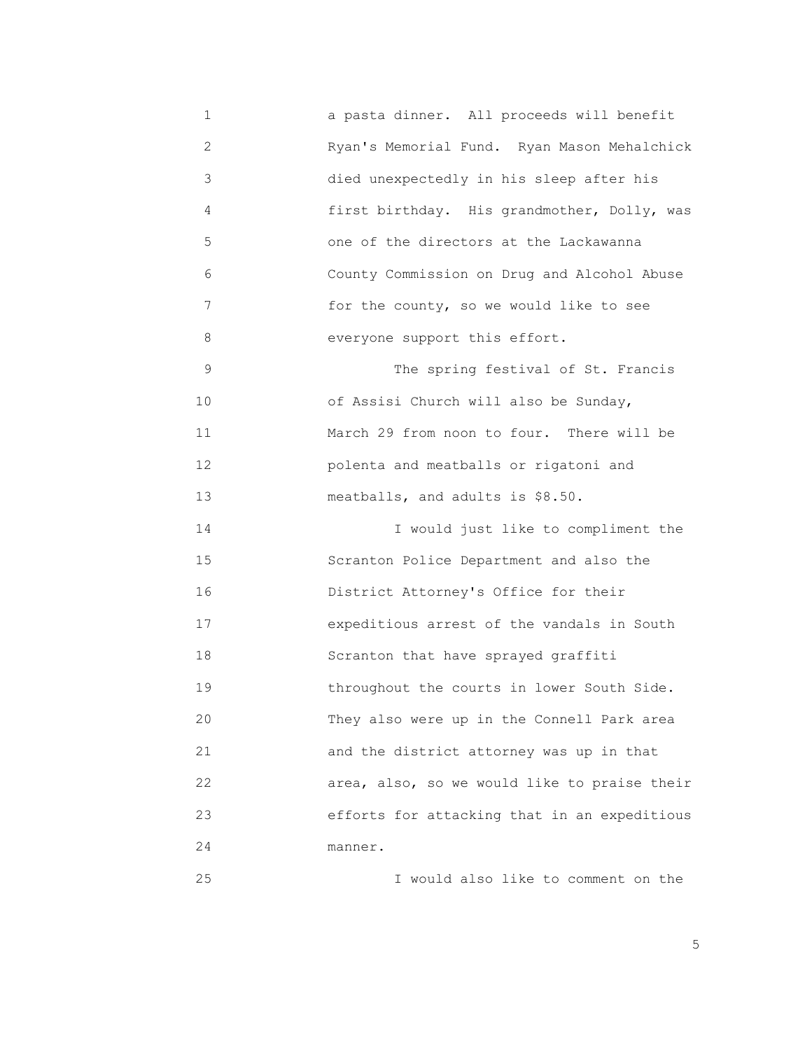1 a pasta dinner. All proceeds will benefit 2 Ryan's Memorial Fund. Ryan Mason Mehalchick 3 died unexpectedly in his sleep after his 4 first birthday. His grandmother, Dolly, was 5 one of the directors at the Lackawanna 6 County Commission on Drug and Alcohol Abuse 7 for the county, so we would like to see 8 everyone support this effort. 9 The spring festival of St. Francis 10 of Assisi Church will also be Sunday, 11 March 29 from noon to four. There will be 12 polenta and meatballs or rigatoni and 13 meatballs, and adults is \$8.50. 14 I would just like to compliment the 15 Scranton Police Department and also the 16 District Attorney's Office for their 17 expeditious arrest of the vandals in South 18 Scranton that have sprayed graffiti 19 throughout the courts in lower South Side. 20 They also were up in the Connell Park area 21 and the district attorney was up in that 22 area, also, so we would like to praise their 23 efforts for attacking that in an expeditious 24 manner. 25 I would also like to comment on the

the contract of the contract of the contract of the contract of the contract of the contract of the contract of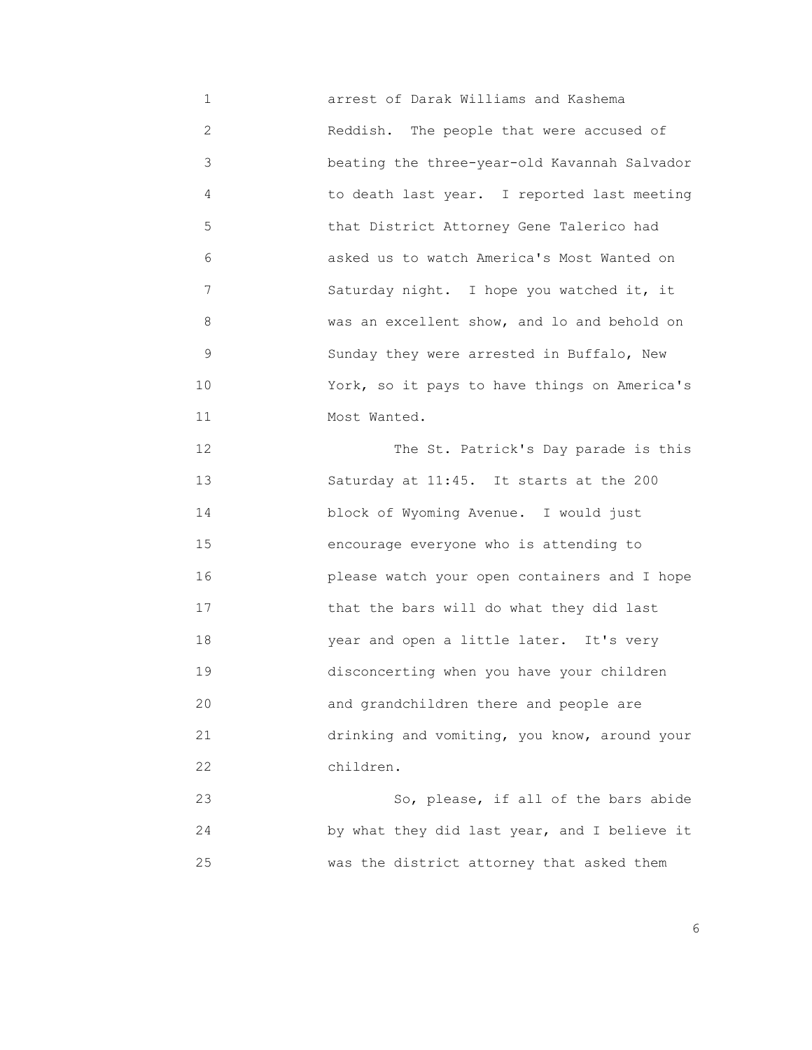1 arrest of Darak Williams and Kashema 2 Reddish. The people that were accused of 3 beating the three-year-old Kavannah Salvador 4 to death last year. I reported last meeting 5 that District Attorney Gene Talerico had 6 asked us to watch America's Most Wanted on 7 Saturday night. I hope you watched it, it 8 was an excellent show, and lo and behold on 9 Sunday they were arrested in Buffalo, New 10 York, so it pays to have things on America's 11 Most Wanted.

 12 The St. Patrick's Day parade is this 13 Saturday at 11:45. It starts at the 200 14 block of Wyoming Avenue. I would just 15 encourage everyone who is attending to 16 please watch your open containers and I hope 17 that the bars will do what they did last 18 year and open a little later. It's very 19 disconcerting when you have your children 20 and grandchildren there and people are 21 drinking and vomiting, you know, around your 22 children.

 23 So, please, if all of the bars abide 24 by what they did last year, and I believe it 25 was the district attorney that asked them

<u>6. In the set of the set of the set of the set of the set of the set of the set of the set of the set of the set of the set of the set of the set of the set of the set of the set of the set of the set of the set of the se</u>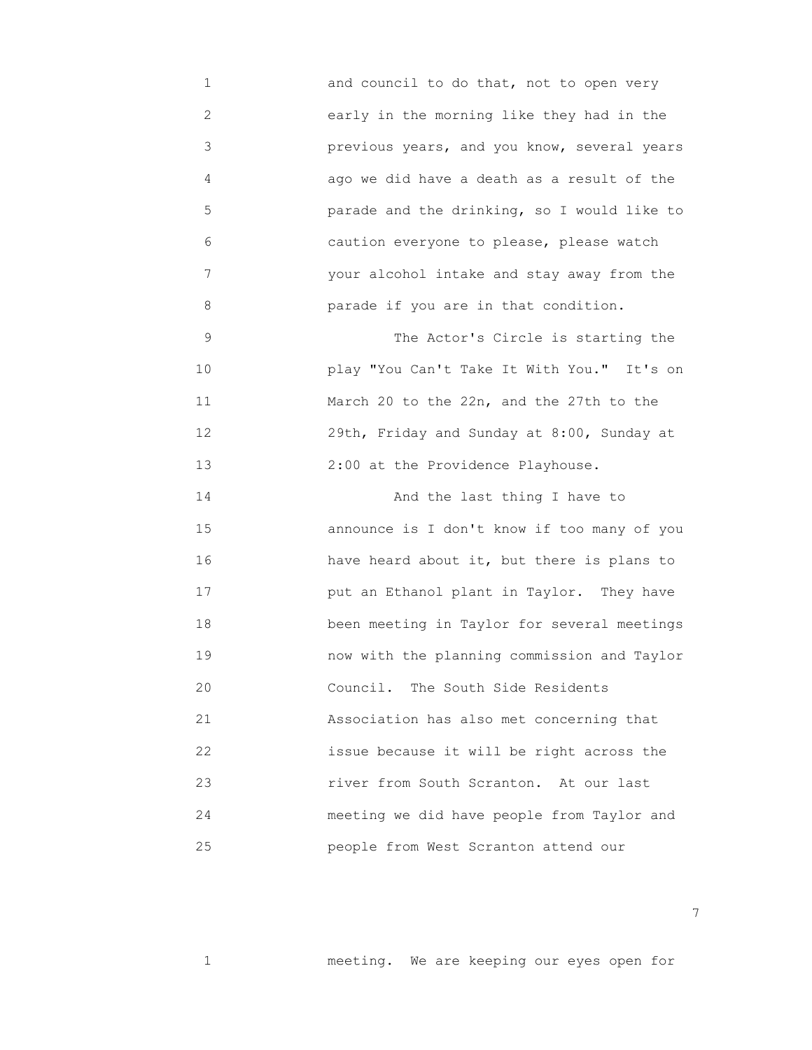1 and council to do that, not to open very 2 early in the morning like they had in the 3 previous years, and you know, several years 4 ago we did have a death as a result of the 5 parade and the drinking, so I would like to 6 caution everyone to please, please watch 7 your alcohol intake and stay away from the 8 parade if you are in that condition. 9 The Actor's Circle is starting the 10 play "You Can't Take It With You." It's on 11 March 20 to the 22n, and the 27th to the 12 29th, Friday and Sunday at 8:00, Sunday at 13 2:00 at the Providence Playhouse. 14 And the last thing I have to

 15 announce is I don't know if too many of you 16 have heard about it, but there is plans to 17 put an Ethanol plant in Taylor. They have 18 been meeting in Taylor for several meetings 19 now with the planning commission and Taylor 20 Council. The South Side Residents 21 Association has also met concerning that 22 issue because it will be right across the 23 river from South Scranton. At our last 24 meeting we did have people from Taylor and 25 people from West Scranton attend our

1 meeting. We are keeping our eyes open for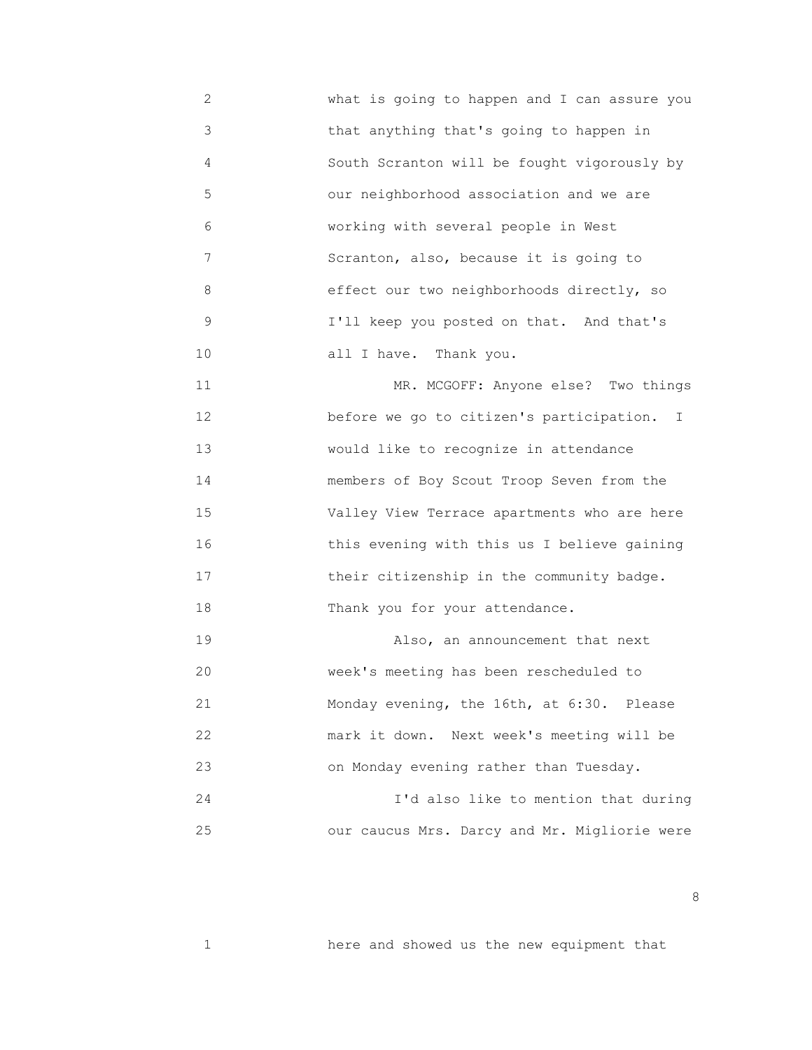2 what is going to happen and I can assure you 3 that anything that's going to happen in 4 South Scranton will be fought vigorously by 5 our neighborhood association and we are 6 working with several people in West 7 Scranton, also, because it is going to 8 effect our two neighborhoods directly, so 9 I'll keep you posted on that. And that's 10 all I have. Thank you.

11 MR. MCGOFF: Anyone else? Two things 12 before we go to citizen's participation. I 13 would like to recognize in attendance 14 members of Boy Scout Troop Seven from the 15 Valley View Terrace apartments who are here 16 this evening with this us I believe gaining 17 **their citizenship in the community badge.** 18 Thank you for your attendance.

19 **Also, an announcement that next**  20 week's meeting has been rescheduled to 21 Monday evening, the 16th, at 6:30. Please 22 mark it down. Next week's meeting will be 23 on Monday evening rather than Tuesday.

 24 I'd also like to mention that during 25 our caucus Mrs. Darcy and Mr. Migliorie were

1 here and showed us the new equipment that

<u>and the state of the state of the state of the state of the state of the state of the state of the state of the state of the state of the state of the state of the state of the state of the state of the state of the state</u>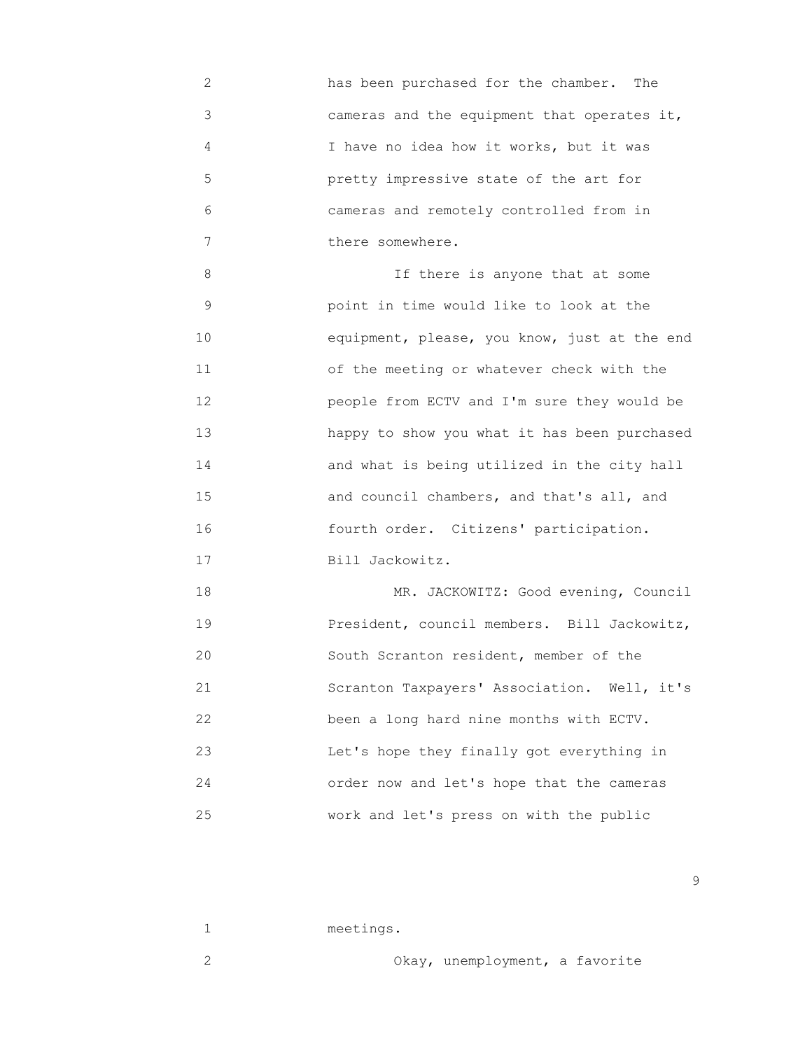2 has been purchased for the chamber. The 3 cameras and the equipment that operates it, 4 I have no idea how it works, but it was 5 pretty impressive state of the art for 6 cameras and remotely controlled from in 7 there somewhere.

 8 If there is anyone that at some 9 point in time would like to look at the 10 equipment, please, you know, just at the end 11 of the meeting or whatever check with the 12 people from ECTV and I'm sure they would be 13 happy to show you what it has been purchased 14 and what is being utilized in the city hall 15 and council chambers, and that's all, and 16 fourth order. Citizens' participation. 17 Bill Jackowitz.

18 MR. JACKOWITZ: Good evening, Council 19 President, council members. Bill Jackowitz, 20 South Scranton resident, member of the 21 Scranton Taxpayers' Association. Well, it's 22 been a long hard nine months with ECTV. 23 Let's hope they finally got everything in 24 order now and let's hope that the cameras 25 work and let's press on with the public

1 meetings. 2 Okay, unemployment, a favorite

en de la construction de la construction de la construction de la construction de la construction de la constr<br>1990 : la construction de la construction de la construction de la construction de la construction de la const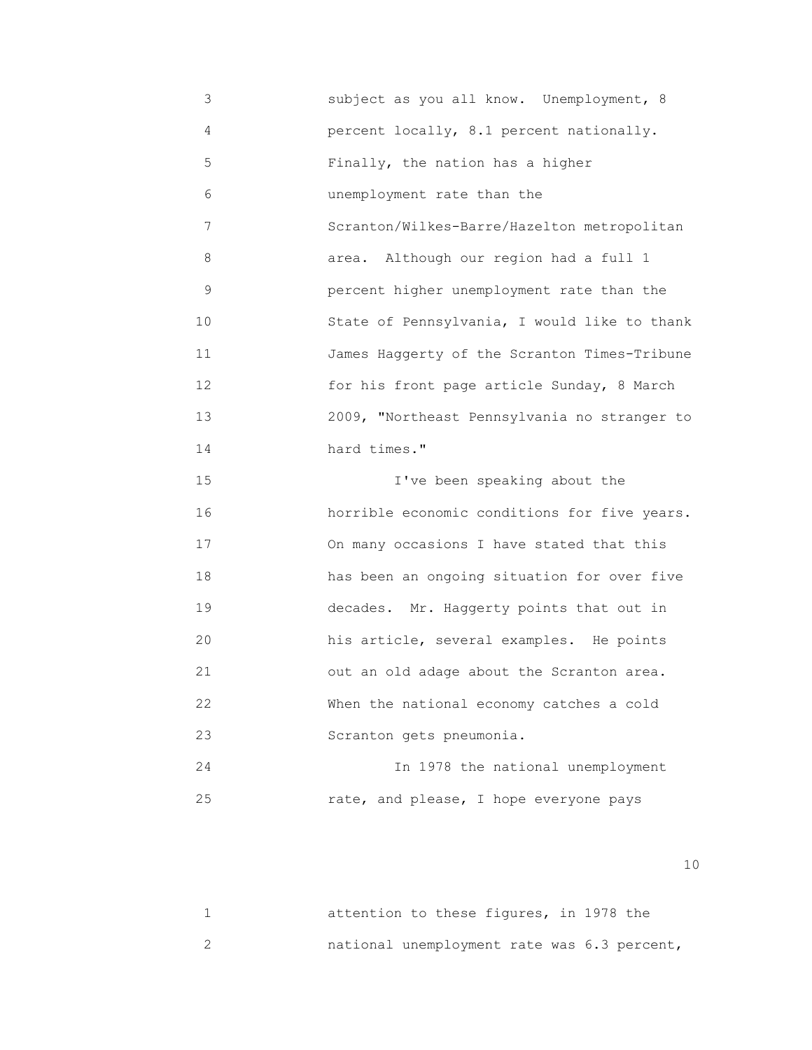3 subject as you all know. Unemployment, 8 4 percent locally, 8.1 percent nationally. 5 Finally, the nation has a higher 6 unemployment rate than the 7 Scranton/Wilkes-Barre/Hazelton metropolitan 8 area. Although our region had a full 1 9 percent higher unemployment rate than the 10 State of Pennsylvania, I would like to thank 11 James Haggerty of the Scranton Times-Tribune 12 for his front page article Sunday, 8 March 13 2009, "Northeast Pennsylvania no stranger to 14 hard times." 15 I've been speaking about the 16 horrible economic conditions for five years. 17 On many occasions I have stated that this 18 has been an ongoing situation for over five 19 decades. Mr. Haggerty points that out in 20 his article, several examples. He points 21 out an old adage about the Scranton area. 22 When the national economy catches a cold 23 Scranton gets pneumonia. 24 In 1978 the national unemployment 25 rate, and please, I hope everyone pays

|  | attention to these figures, in 1978 the     |  |  |
|--|---------------------------------------------|--|--|
|  | national unemployment rate was 6.3 percent, |  |  |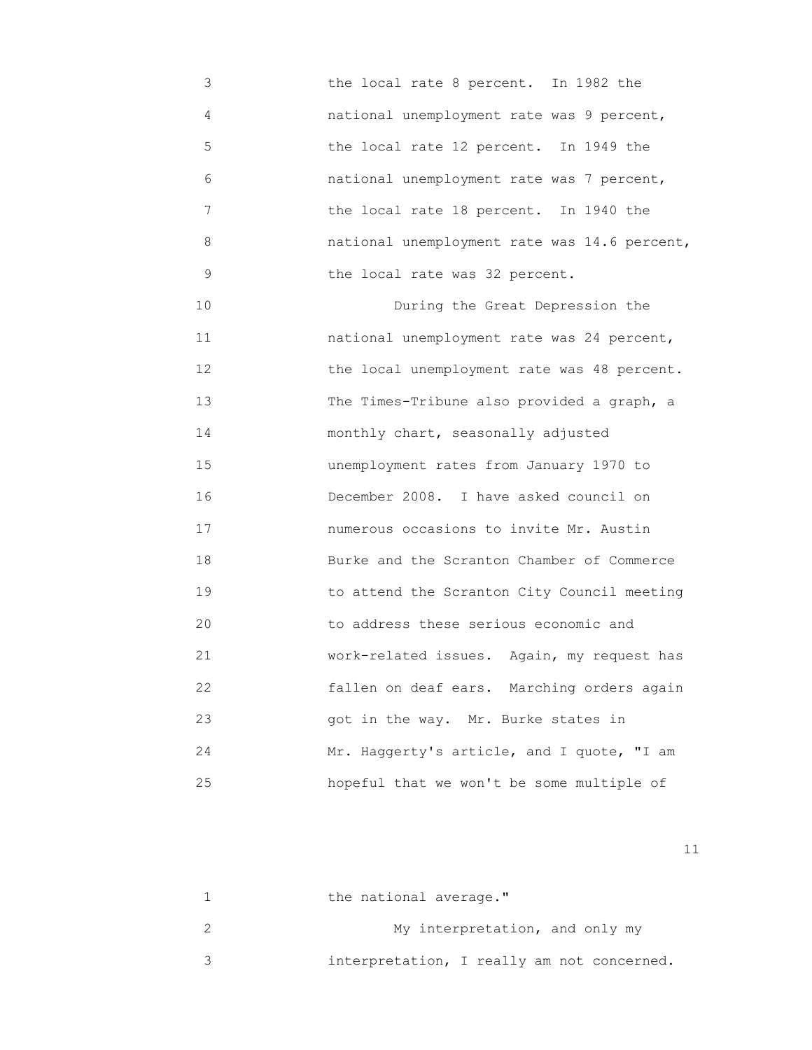- 3 the local rate 8 percent. In 1982 the 4 national unemployment rate was 9 percent, 5 the local rate 12 percent. In 1949 the 6 national unemployment rate was 7 percent, 7 the local rate 18 percent. In 1940 the 8 national unemployment rate was 14.6 percent, 9 the local rate was 32 percent.
- 10 During the Great Depression the 11 national unemployment rate was 24 percent, 12 the local unemployment rate was 48 percent. 13 The Times-Tribune also provided a graph, a 14 monthly chart, seasonally adjusted 15 unemployment rates from January 1970 to 16 December 2008. I have asked council on 17 numerous occasions to invite Mr. Austin 18 Burke and the Scranton Chamber of Commerce 19 to attend the Scranton City Council meeting 20 to address these serious economic and 21 work-related issues. Again, my request has 22 fallen on deaf ears. Marching orders again 23 got in the way. Mr. Burke states in 24 Mr. Haggerty's article, and I quote, "I am 25 hopeful that we won't be some multiple of

| the national average."                     |
|--------------------------------------------|
| My interpretation, and only my             |
| interpretation, I really am not concerned. |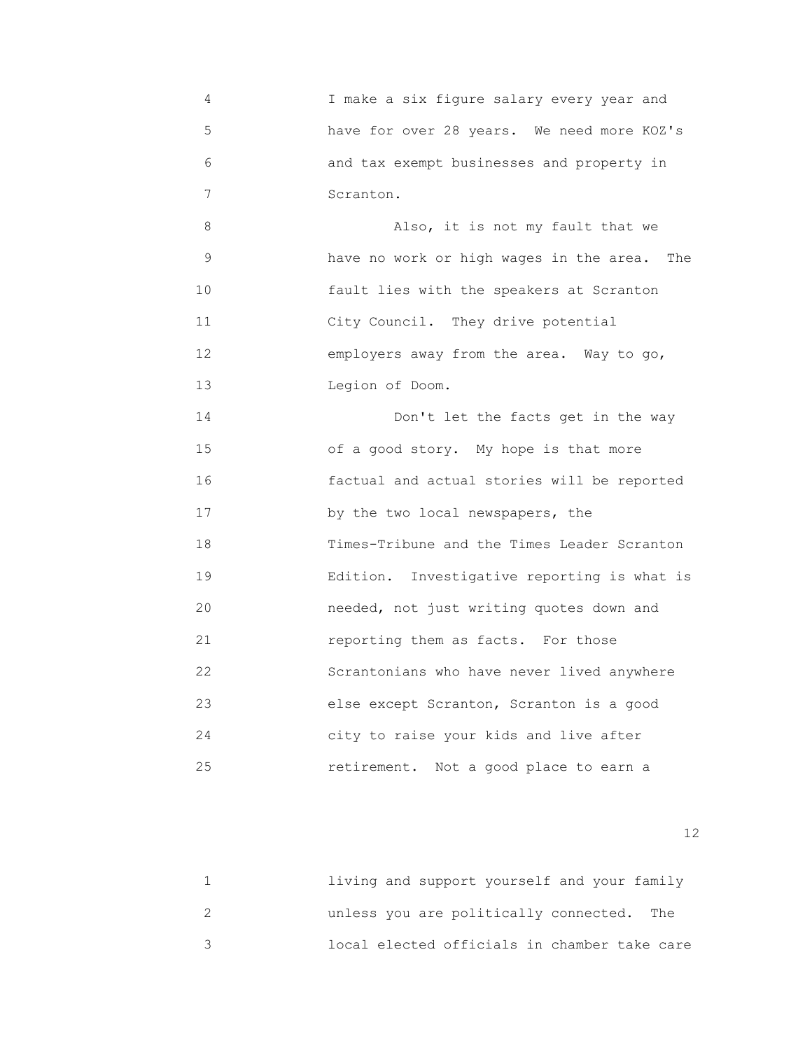4 I make a six figure salary every year and 5 have for over 28 years. We need more KOZ's 6 and tax exempt businesses and property in 7 Scranton. 8 Also, it is not my fault that we 9 have no work or high wages in the area. The 10 fault lies with the speakers at Scranton 11 City Council. They drive potential 12 employers away from the area. Way to go, 13 Legion of Doom. 14 Don't let the facts get in the way 15 of a good story. My hope is that more 16 factual and actual stories will be reported 17 by the two local newspapers, the 18 Times-Tribune and the Times Leader Scranton 19 Edition. Investigative reporting is what is 20 needed, not just writing quotes down and 21 reporting them as facts. For those 22 Scrantonians who have never lived anywhere 23 else except Scranton, Scranton is a good 24 city to raise your kids and live after

25 retirement. Not a good place to earn a

| living and support yourself and your family  |
|----------------------------------------------|
| unless you are politically connected. The    |
| local elected officials in chamber take care |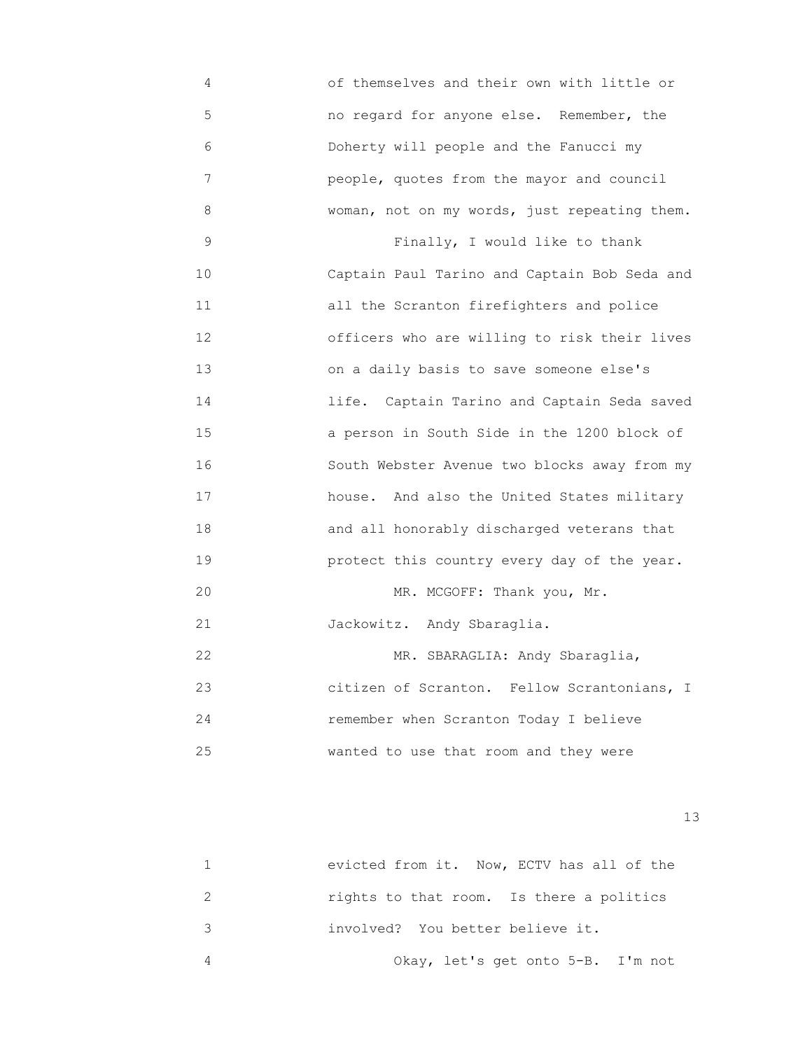4 of themselves and their own with little or 5 no regard for anyone else. Remember, the 6 Doherty will people and the Fanucci my 7 people, quotes from the mayor and council 8 woman, not on my words, just repeating them. 9 Finally, I would like to thank 10 Captain Paul Tarino and Captain Bob Seda and 11 all the Scranton firefighters and police 12 officers who are willing to risk their lives 13 on a daily basis to save someone else's 14 life. Captain Tarino and Captain Seda saved 15 a person in South Side in the 1200 block of 16 South Webster Avenue two blocks away from my 17 house. And also the United States military 18 and all honorably discharged veterans that 19 protect this country every day of the year. 20 MR. MCGOFF: Thank you, Mr. 21 Jackowitz. Andy Sbaraglia. 22 MR. SBARAGLIA: Andy Sbaraglia, 23 citizen of Scranton. Fellow Scrantonians, I 24 remember when Scranton Today I believe 25 wanted to use that room and they were

13<sup>3</sup>

|   | evicted from it. Now, ECTV has all of the |
|---|-------------------------------------------|
|   | rights to that room. Is there a politics  |
| ર | involved? You better believe it.          |
|   | Okay, let's get onto 5-B. I'm not         |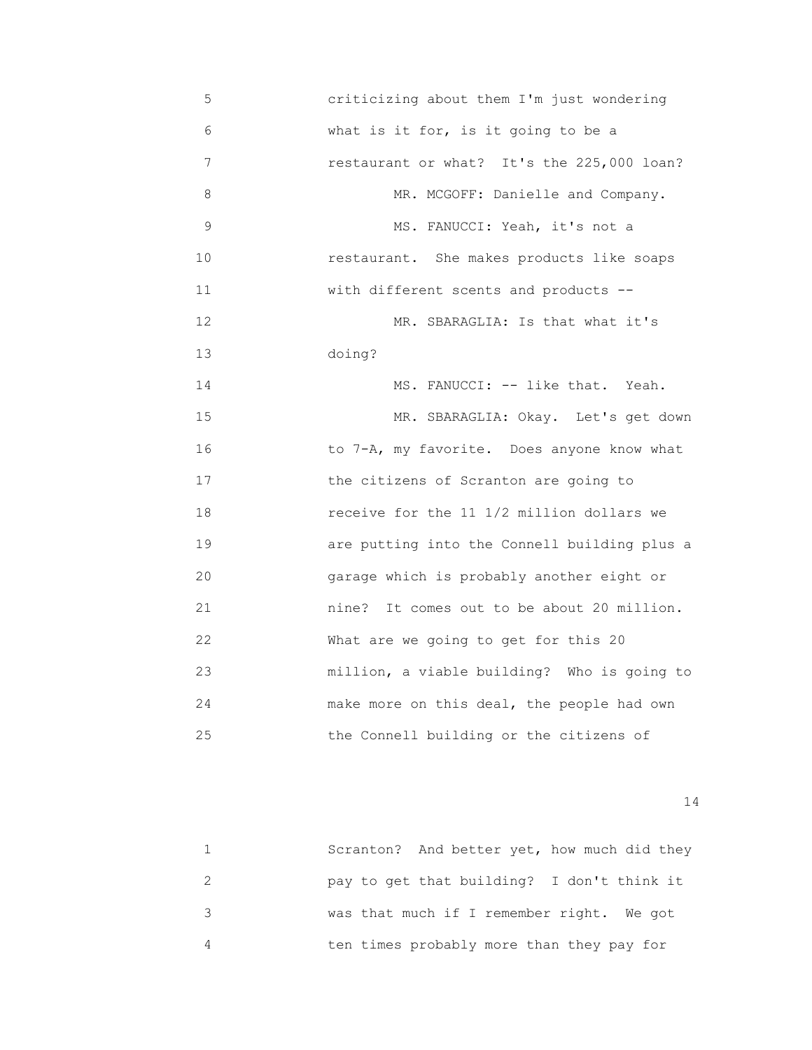| 5           | criticizing about them I'm just wondering     |
|-------------|-----------------------------------------------|
| 6           | what is it for, is it going to be a           |
| 7           | restaurant or what? It's the 225,000 loan?    |
| 8           | MR. MCGOFF: Danielle and Company.             |
| $\mathsf 9$ | MS. FANUCCI: Yeah, it's not a                 |
| 10          | restaurant. She makes products like soaps     |
| 11          | with different scents and products --         |
| 12          | MR. SBARAGLIA: Is that what it's              |
| 13          | doing?                                        |
| 14          | MS. FANUCCI: -- like that. Yeah.              |
| 15          | MR. SBARAGLIA: Okay. Let's get down           |
| 16          | to 7-A, my favorite. Does anyone know what    |
| 17          | the citizens of Scranton are going to         |
| 18          | receive for the 11 1/2 million dollars we     |
| 19          | are putting into the Connell building plus a  |
| 20          | garage which is probably another eight or     |
| 21          | It comes out to be about 20 million.<br>nine? |
| 22          | What are we going to get for this 20          |
| 23          | million, a viable building? Who is going to   |
| 24          | make more on this deal, the people had own    |
| 25          | the Connell building or the citizens of       |

| Scranton? And better yet, how much did they |
|---------------------------------------------|
| pay to get that building? I don't think it  |
| was that much if I remember right. We got   |
| ten times probably more than they pay for   |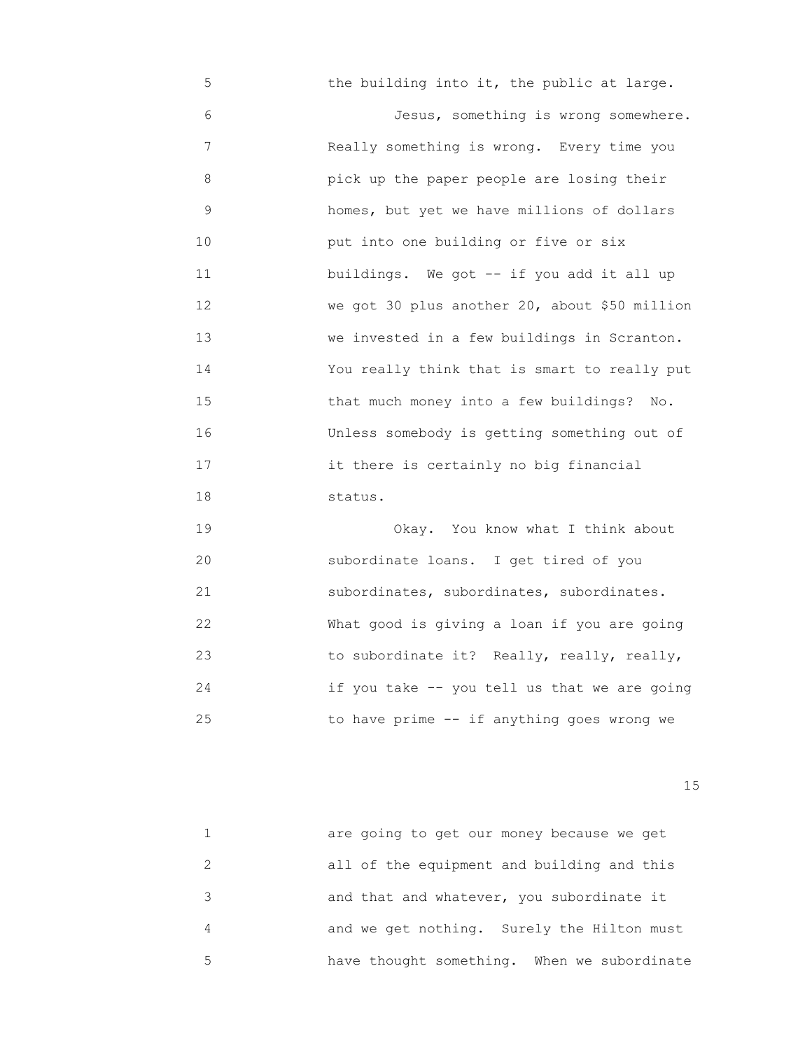5 the building into it, the public at large. 6 Jesus, something is wrong somewhere. 7 Really something is wrong. Every time you 8 pick up the paper people are losing their 9 homes, but yet we have millions of dollars 10 put into one building or five or six 11 buildings. We got -- if you add it all up 12 We got 30 plus another 20, about \$50 million 13 we invested in a few buildings in Scranton. 14 You really think that is smart to really put 15 that much money into a few buildings? No. 16 Unless somebody is getting something out of 17 it there is certainly no big financial 18 status.

 19 Okay. You know what I think about 20 subordinate loans. I get tired of you 21 subordinates, subordinates, subordinates. 22 What good is giving a loan if you are going 23 to subordinate it? Really, really, really, 24 if you take -- you tell us that we are going 25 to have prime -- if anything goes wrong we

15 and 15 and 15 and 15 and 15 and 15 and 15 and 15 and 15 and 15 and 15 and 15 and 15 and 15 and 15

|   | are going to get our money because we get   |
|---|---------------------------------------------|
|   | all of the equipment and building and this  |
|   | and that and whatever, you subordinate it   |
|   | and we get nothing. Surely the Hilton must  |
| 5 | have thought something. When we subordinate |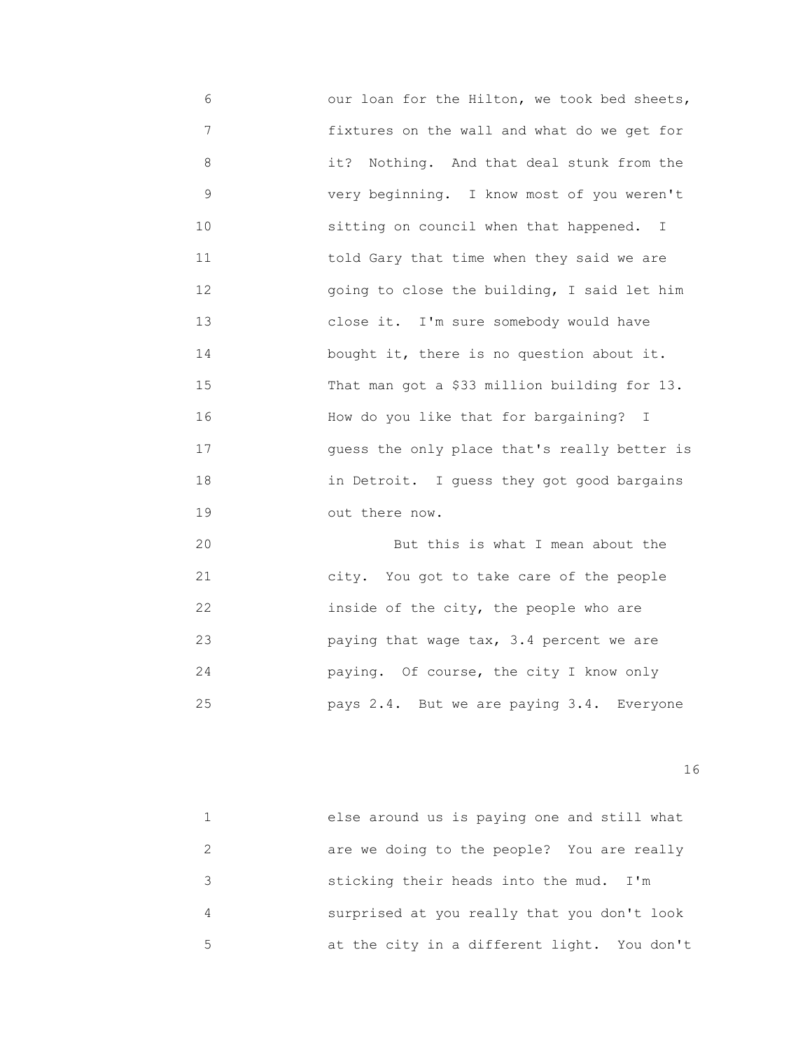6 our loan for the Hilton, we took bed sheets, 7 fixtures on the wall and what do we get for 8 it? Nothing. And that deal stunk from the 9 very beginning. I know most of you weren't 10 sitting on council when that happened. I 11 told Gary that time when they said we are 12 going to close the building, I said let him 13 close it. I'm sure somebody would have 14 bought it, there is no question about it. 15 That man got a \$33 million building for 13. 16 How do you like that for bargaining? I 17 guess the only place that's really better is 18 in Detroit. I guess they got good bargains 19 out there now. 20 **But this is what I mean about the** 

 21 city. You got to take care of the people 22 inside of the city, the people who are 23 paying that wage tax, 3.4 percent we are 24 paying. Of course, the city I know only 25 pays 2.4. But we are paying 3.4. Everyone

|   | else around us is paying one and still what |
|---|---------------------------------------------|
|   | are we doing to the people? You are really  |
|   | sticking their heads into the mud. I'm      |
|   | surprised at you really that you don't look |
| 5 | at the city in a different light. You don't |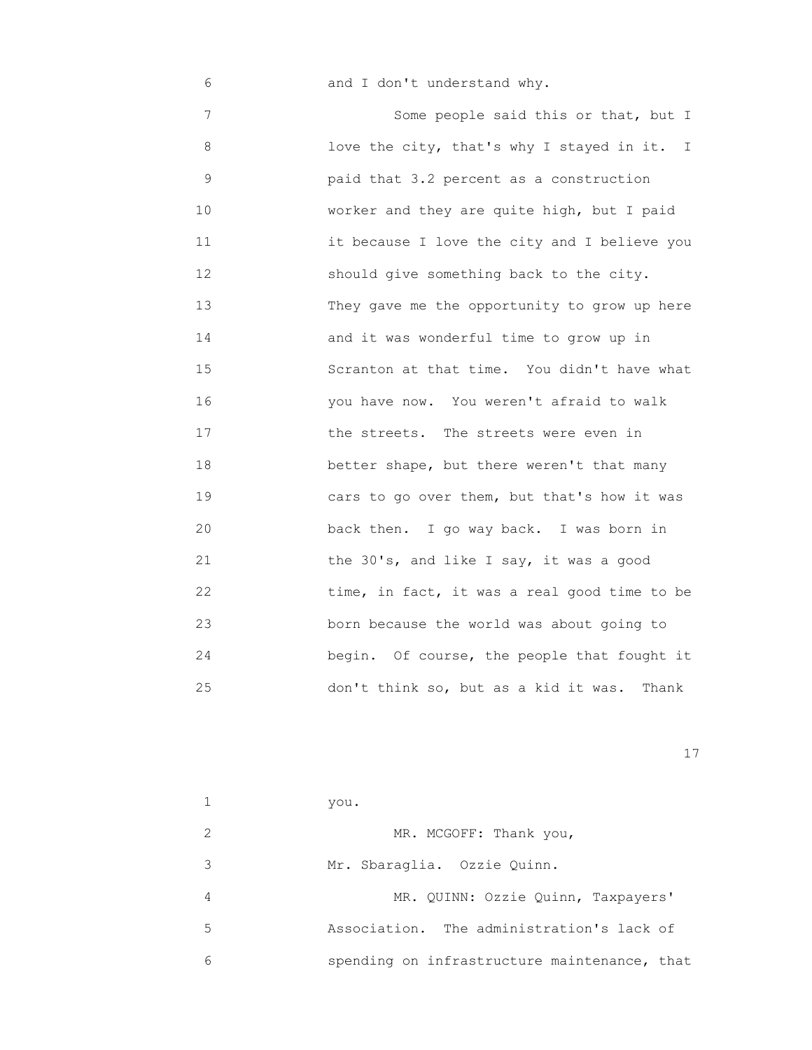6 and I don't understand why.

 7 Some people said this or that, but I 8 love the city, that's why I stayed in it. I 9 paid that 3.2 percent as a construction 10 **worker and they are quite high, but I paid**  11 it because I love the city and I believe you 12 should give something back to the city. 13 They gave me the opportunity to grow up here 14 and it was wonderful time to grow up in 15 Scranton at that time. You didn't have what 16 you have now. You weren't afraid to walk 17 **the streets.** The streets were even in 18 better shape, but there weren't that many 19 cars to go over them, but that's how it was 20 back then. I go way back. I was born in 21 the 30's, and like I say, it was a good 22 time, in fact, it was a real good time to be 23 born because the world was about going to 24 begin. Of course, the people that fought it 25 don't think so, but as a kid it was. Thank

|   | you.                                         |
|---|----------------------------------------------|
|   | MR. MCGOFF: Thank you,                       |
| 3 | Mr. Sbaraglia. Ozzie Quinn.                  |
| 4 | MR. QUINN: Ozzie Quinn, Taxpayers'           |
| 5 | Association. The administration's lack of    |
| 6 | spending on infrastructure maintenance, that |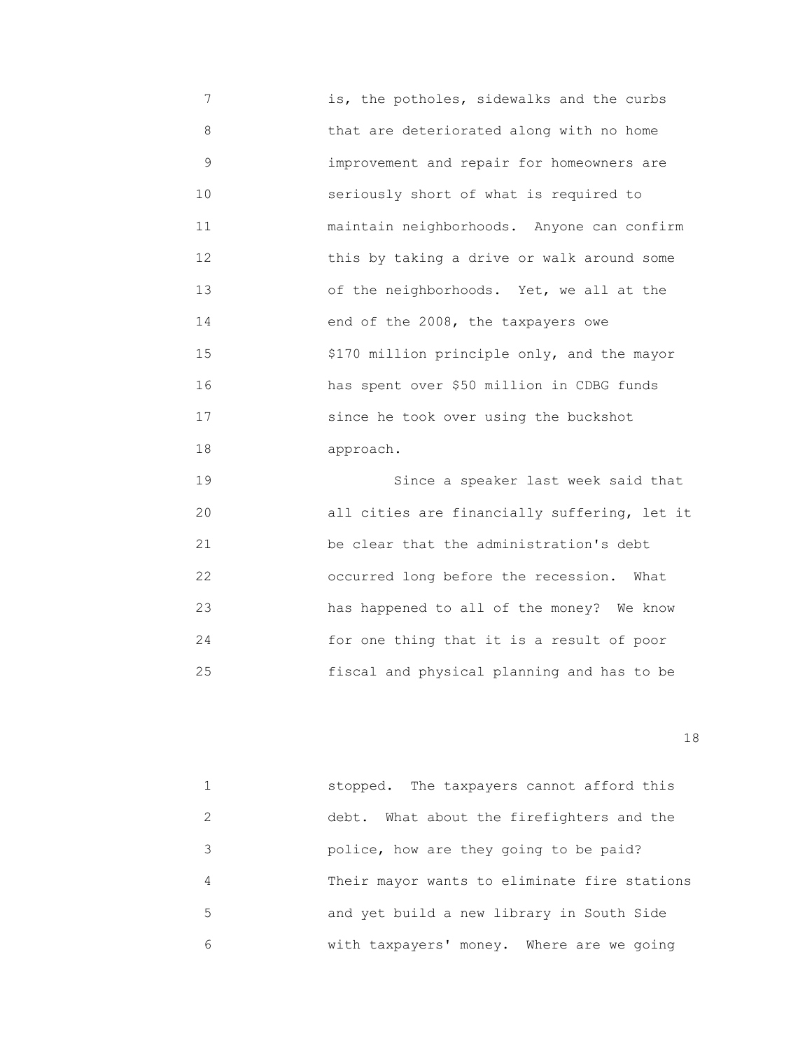7 is, the potholes, sidewalks and the curbs 8 that are deteriorated along with no home 9 improvement and repair for homeowners are 10 seriously short of what is required to 11 maintain neighborhoods. Anyone can confirm 12 this by taking a drive or walk around some 13 of the neighborhoods. Yet, we all at the 14 end of the 2008, the taxpayers owe 15 \$170 million principle only, and the mayor 16 has spent over \$50 million in CDBG funds 17 since he took over using the buckshot 18 approach.

 19 Since a speaker last week said that 20 **all cities are financially suffering, let it**  21 be clear that the administration's debt 22 occurred long before the recession. What 23 has happened to all of the money? We know 24 for one thing that it is a result of poor 25 fiscal and physical planning and has to be

|               | stopped. The taxpayers cannot afford this    |
|---------------|----------------------------------------------|
| $\mathcal{L}$ | What about the firefighters and the<br>debt. |
| 3             | police, how are they going to be paid?       |
| 4             | Their mayor wants to eliminate fire stations |
| 5             | and yet build a new library in South Side    |
| 6             | with taxpayers' money. Where are we going    |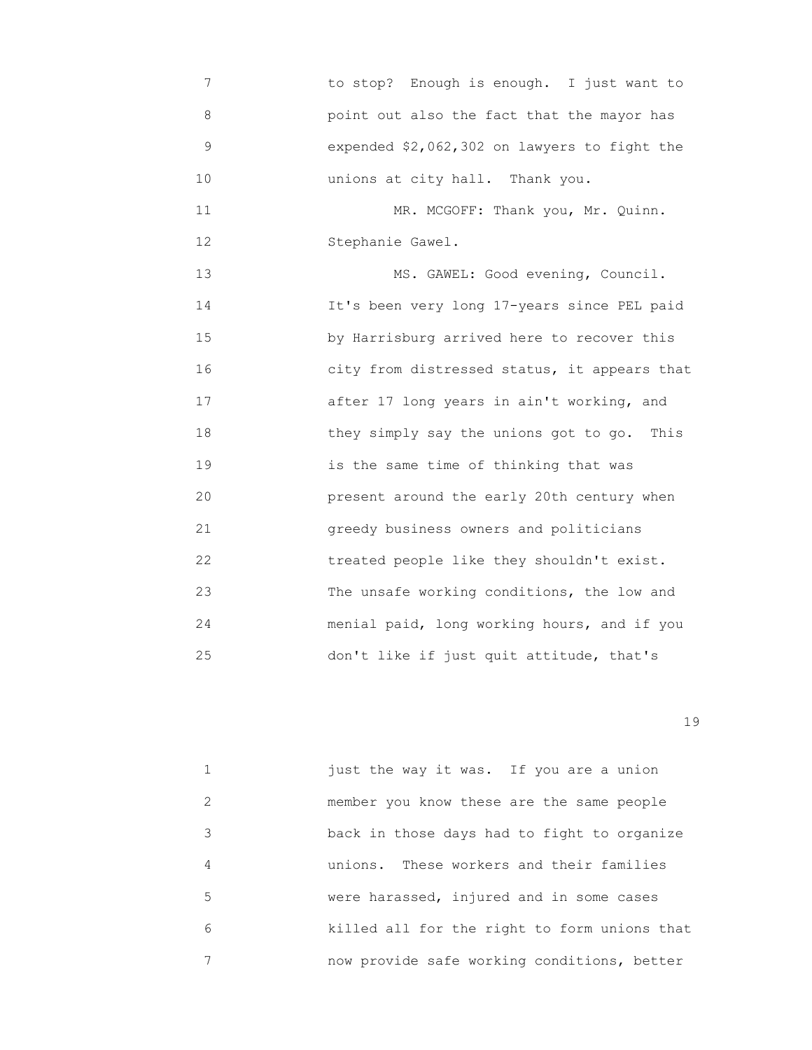7 to stop? Enough is enough. I just want to 8 point out also the fact that the mayor has 9 expended \$2,062,302 on lawyers to fight the 10 unions at city hall. Thank you. 11 MR. MCGOFF: Thank you, Mr. Quinn. 12 Stephanie Gawel. 13 MS. GAWEL: Good evening, Council. 14 It's been very long 17-years since PEL paid 15 by Harrisburg arrived here to recover this 16 city from distressed status, it appears that 17 after 17 long years in ain't working, and 18 they simply say the unions got to go. This 19 is the same time of thinking that was 20 present around the early 20th century when 21 greedy business owners and politicians 22 treated people like they shouldn't exist. 23 The unsafe working conditions, the low and

 24 menial paid, long working hours, and if you 25 don't like if just quit attitude, that's

19

 1 just the way it was. If you are a union 2 member you know these are the same people 3 back in those days had to fight to organize 4 unions. These workers and their families 5 were harassed, injured and in some cases 6 killed all for the right to form unions that 7 now provide safe working conditions, better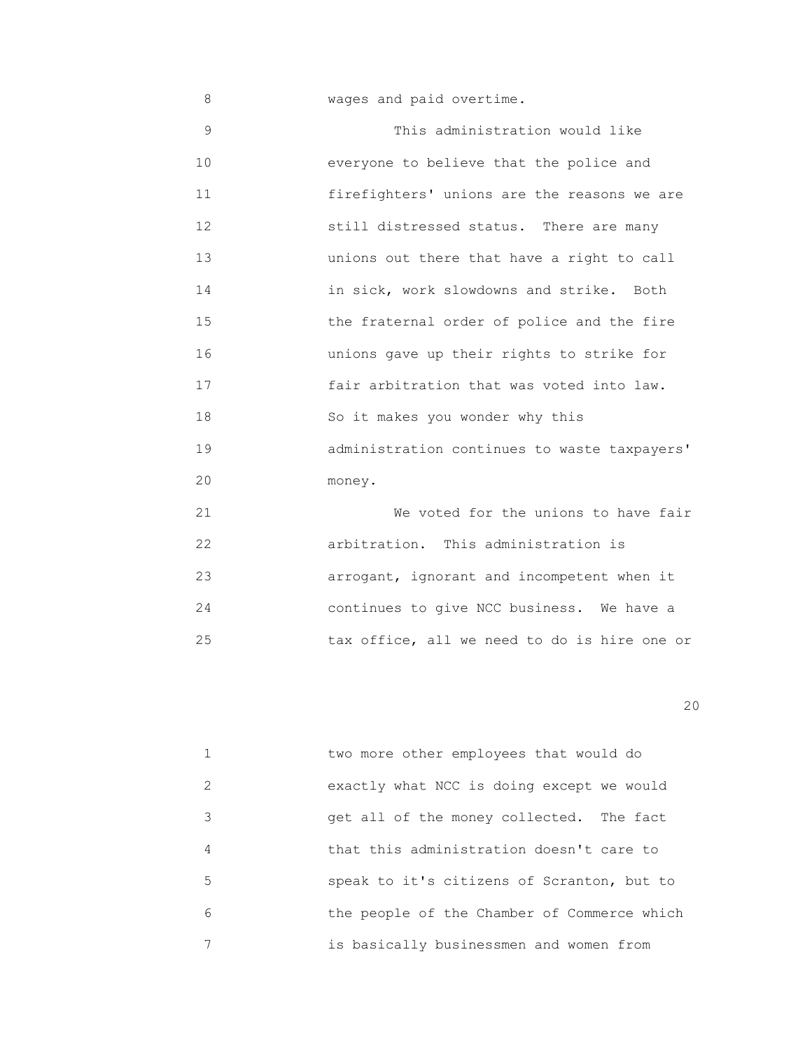8 wages and paid overtime. 9 This administration would like 10 everyone to believe that the police and 11 firefighters' unions are the reasons we are 12 still distressed status. There are many 13 unions out there that have a right to call 14 in sick, work slowdowns and strike. Both 15 the fraternal order of police and the fire 16 unions gave up their rights to strike for 17 fair arbitration that was voted into law. 18 So it makes you wonder why this

 19 administration continues to waste taxpayers' 20 money.

 21 We voted for the unions to have fair 22 arbitration. This administration is 23 arrogant, ignorant and incompetent when it 24 continues to give NCC business. We have a 25 tax office, all we need to do is hire one or

|   | two more other employees that would do      |
|---|---------------------------------------------|
| 2 | exactly what NCC is doing except we would   |
| 3 | get all of the money collected. The fact    |
| 4 | that this administration doesn't care to    |
| 5 | speak to it's citizens of Scranton, but to  |
| 6 | the people of the Chamber of Commerce which |
| 7 | is basically businessmen and women from     |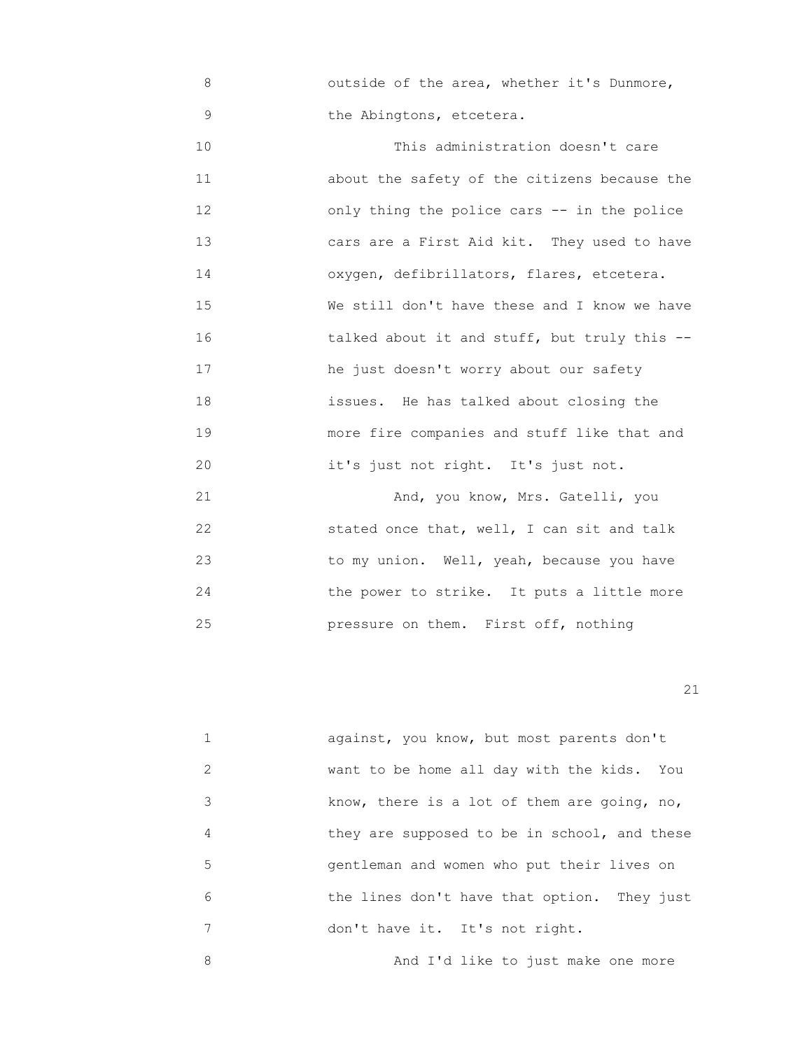8 outside of the area, whether it's Dunmore, 9 the Abingtons, etcetera.

10 **10** This administration doesn't care 11 about the safety of the citizens because the 12 only thing the police cars -- in the police 13 cars are a First Aid kit. They used to have 14 oxygen, defibrillators, flares, etcetera. 15 We still don't have these and I know we have 16 talked about it and stuff, but truly this -- 17 he just doesn't worry about our safety 18 issues. He has talked about closing the 19 more fire companies and stuff like that and 20 it's just not right. It's just not. 21 And, you know, Mrs. Gatelli, you 22 stated once that, well, I can sit and talk

 23 to my union. Well, yeah, because you have 24 the power to strike. It puts a little more 25 pressure on them. First off, nothing

21

 1 against, you know, but most parents don't 2 want to be home all day with the kids. You 3 know, there is a lot of them are going, no, 4 they are supposed to be in school, and these 5 gentleman and women who put their lives on 6 the lines don't have that option. They just 7 don't have it. It's not right.

8 And I'd like to just make one more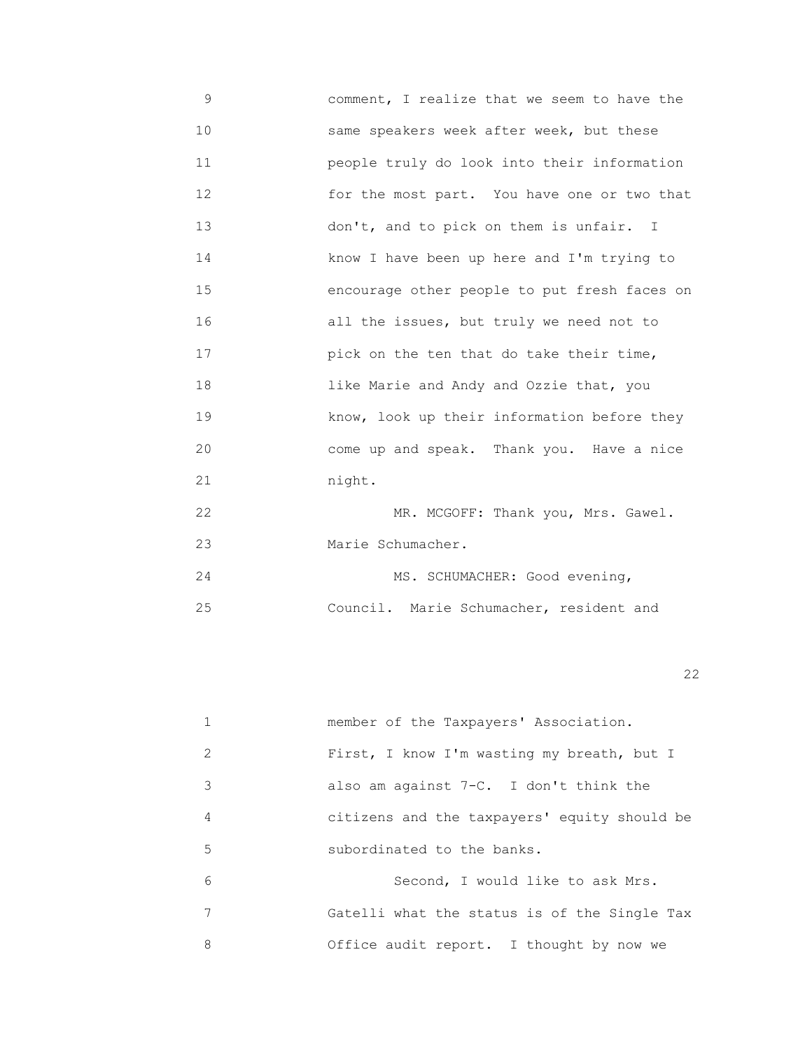- 9 comment, I realize that we seem to have the 10 same speakers week after week, but these 11 people truly do look into their information 12 for the most part. You have one or two that 13 don't, and to pick on them is unfair. I 14 know I have been up here and I'm trying to 15 encourage other people to put fresh faces on 16 all the issues, but truly we need not to 17 pick on the ten that do take their time, 18 like Marie and Andy and Ozzie that, you 19 know, look up their information before they 20 come up and speak. Thank you. Have a nice 21 night. 22 MR. MCGOFF: Thank you, Mrs. Gawel.
- 23 Marie Schumacher.

|    | MS. SCHUMACHER: Good evening,           |
|----|-----------------------------------------|
| 25 | Council. Marie Schumacher, resident and |

22 and 22 and 23 and 23 and 23 and 23 and 23 and 23 and 23 and 23 and 23 and 23 and 23 and 23 and 23 and 23 an

|               | member of the Taxpayers' Association.        |
|---------------|----------------------------------------------|
| $\mathcal{L}$ | First, I know I'm wasting my breath, but I   |
| 3             | also am against $7-C$ . I don't think the    |
| 4             | citizens and the taxpayers' equity should be |
| 5             | subordinated to the banks.                   |
| 6             | Second, I would like to ask Mrs.             |
|               | Gatelli what the status is of the Single Tax |
| 8             | Office audit report. I thought by now we     |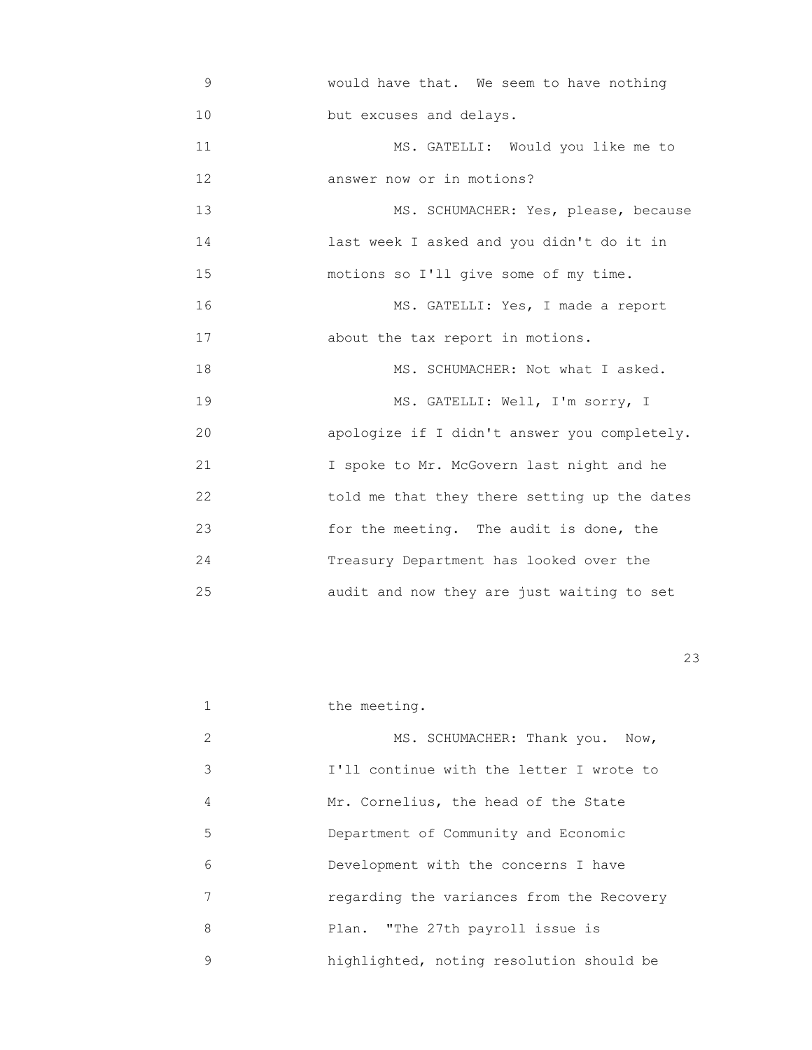9 would have that. We seem to have nothing 10 **but** excuses and delays. 11 MS. GATELLI: Would you like me to 12 **answer now or in motions?** 13 MS. SCHUMACHER: Yes, please, because 14 last week I asked and you didn't do it in 15 motions so I'll give some of my time. 16 MS. GATELLI: Yes, I made a report 17 about the tax report in motions. 18 MS. SCHUMACHER: Not what I asked. 19 MS. GATELLI: Well, I'm sorry, I 20 apologize if I didn't answer you completely. 21 I spoke to Mr. McGovern last night and he 22 told me that they there setting up the dates 23 for the meeting. The audit is done, the 24 Treasury Department has looked over the 25 audit and now they are just waiting to set

<u>23</u>

| $\mathbf{1}$ | the meeting.                              |
|--------------|-------------------------------------------|
| 2            | MS. SCHUMACHER: Thank you. Now,           |
| 3            | I'll continue with the letter I wrote to  |
| 4            | Mr. Cornelius, the head of the State      |
| 5            | Department of Community and Economic      |
| 6            | Development with the concerns I have      |
| 7            | regarding the variances from the Recovery |
| 8            | Plan. "The 27th payroll issue is          |
| 9            | highlighted, noting resolution should be  |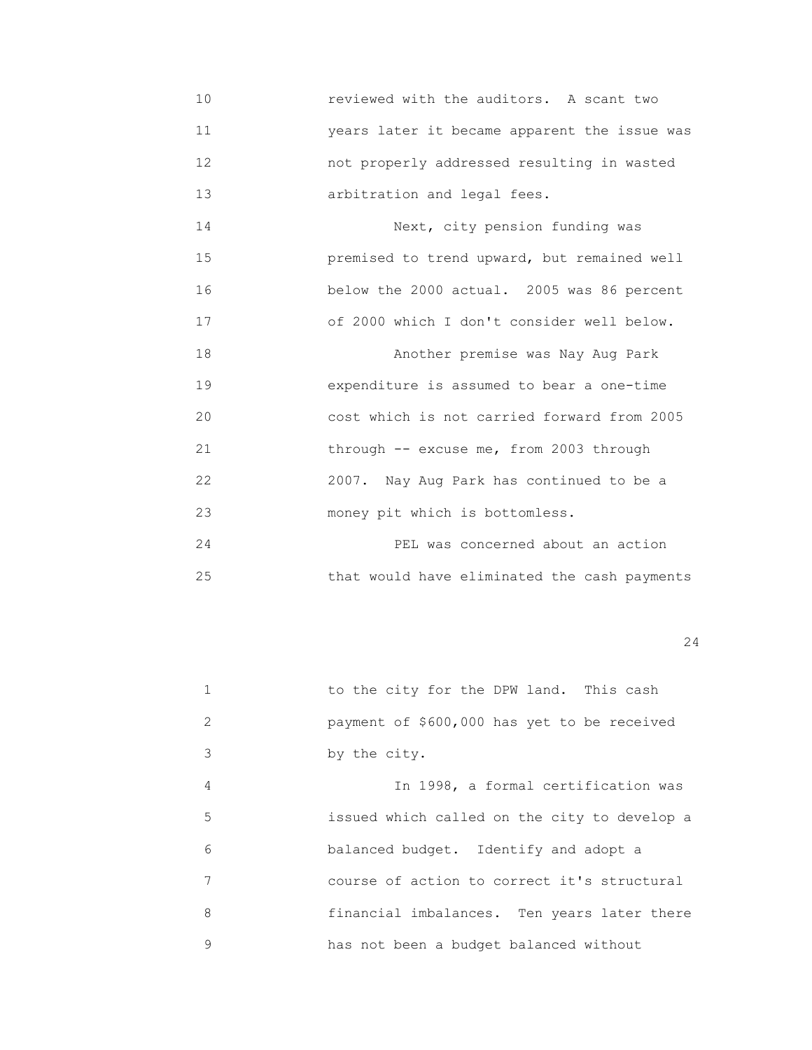10 reviewed with the auditors. A scant two 11 years later it became apparent the issue was 12 not properly addressed resulting in wasted 13 arbitration and legal fees.

 14 Next, city pension funding was 15 premised to trend upward, but remained well 16 below the 2000 actual. 2005 was 86 percent 17 of 2000 which I don't consider well below. 18 Another premise was Nay Aug Park 19 expenditure is assumed to bear a one-time 20 cost which is not carried forward from 2005 21 through -- excuse me, from 2003 through 22 2007. Nay Aug Park has continued to be a 23 money pit which is bottomless.

 24 PEL was concerned about an action 25 that would have eliminated the cash payments

|   | to the city for the DPW land. This cash      |
|---|----------------------------------------------|
| 2 | payment of \$600,000 has yet to be received  |
| 3 | by the city.                                 |
| 4 | In 1998, a formal certification was          |
| 5 | issued which called on the city to develop a |
| 6 | balanced budget. Identify and adopt a        |
| 7 | course of action to correct it's structural  |
| 8 | financial imbalances. Ten years later there  |
| 9 | has not been a budget balanced without       |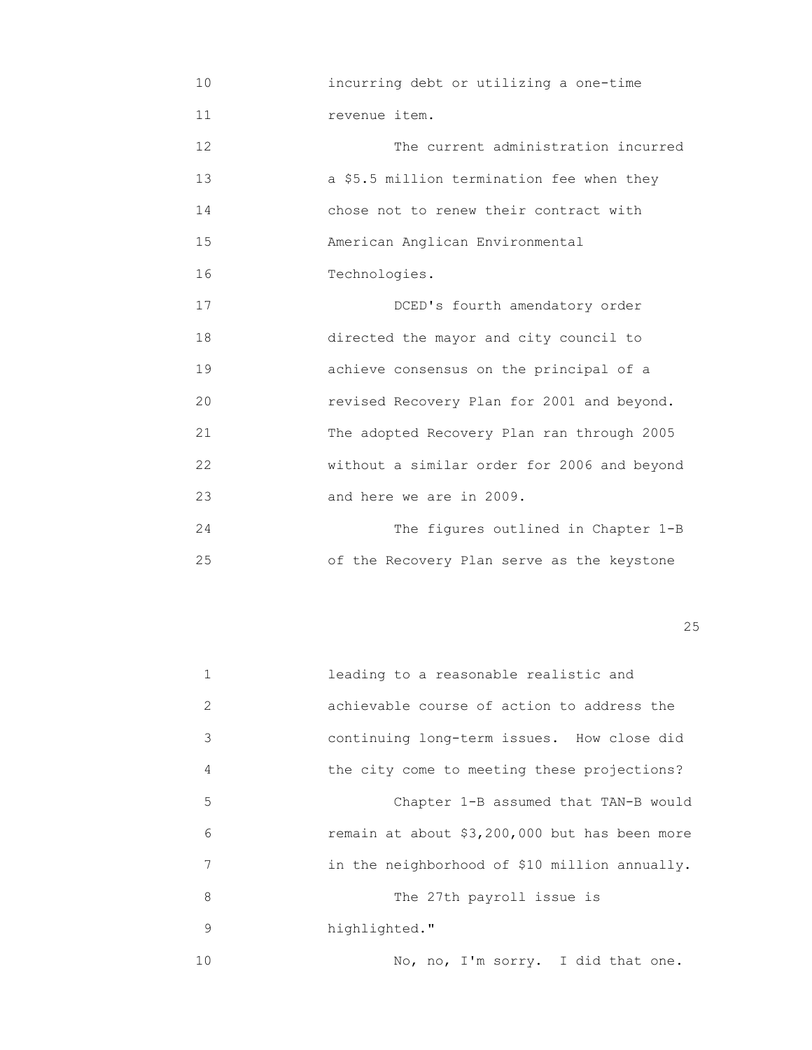- 10 incurring debt or utilizing a one-time 11 revenue item. 12 The current administration incurred 13 a \$5.5 million termination fee when they 14 chose not to renew their contract with 15 American Anglican Environmental 16 Technologies. 17 DCED's fourth amendatory order 18 directed the mayor and city council to 19 achieve consensus on the principal of a 20 revised Recovery Plan for 2001 and beyond. 21 The adopted Recovery Plan ran through 2005 22 without a similar order for 2006 and beyond 23 and here we are in 2009.
- 24 The figures outlined in Chapter 1-B 25 of the Recovery Plan serve as the keystone

## <u>25</u>

| 1  | leading to a reasonable realistic and         |
|----|-----------------------------------------------|
| 2  | achievable course of action to address the    |
| 3  | continuing long-term issues. How close did    |
| 4  | the city come to meeting these projections?   |
| 5  | Chapter 1-B assumed that TAN-B would          |
| 6  | remain at about \$3,200,000 but has been more |
| 7  | in the neighborhood of \$10 million annually. |
| 8  | The 27th payroll issue is                     |
| 9  | highlighted."                                 |
| 10 | No, no, I'm sorry. I did that one.            |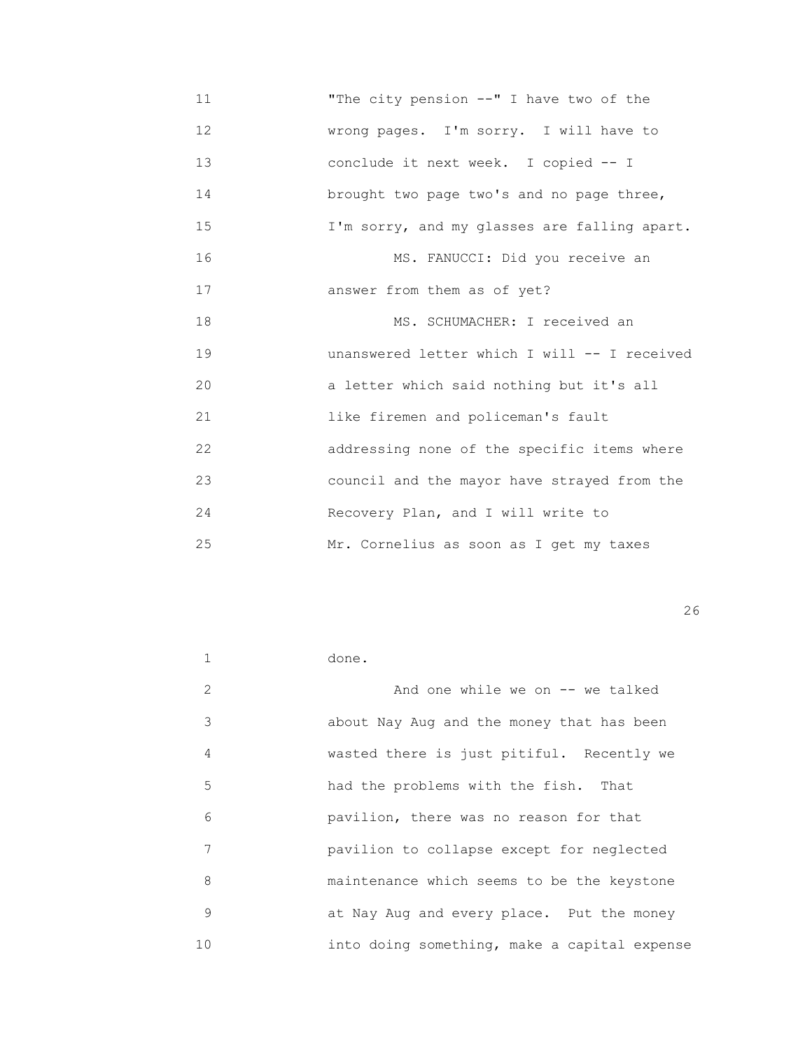11 "The city pension --" I have two of the 12 **WERENE WARES** WERENGING WARD WAS UP TO WELL MOVE TO WELL A WARD TO WELL A WARD WARD TO WELL A 13 conclude it next week. I copied -- I 14 brought two page two's and no page three, 15 I'm sorry, and my glasses are falling apart. 16 MS. FANUCCI: Did you receive an 17 answer from them as of yet? 18 MS. SCHUMACHER: I received an 19 unanswered letter which I will -- I received 20 a letter which said nothing but it's all 21 like firemen and policeman's fault 22 addressing none of the specific items where 23 council and the mayor have strayed from the 24 Recovery Plan, and I will write to 25 Mr. Cornelius as soon as I get my taxes

|    | done.                                        |
|----|----------------------------------------------|
| 2  | And one while we on $--$ we talked           |
| 3  | about Nay Aug and the money that has been    |
| 4  | wasted there is just pitiful. Recently we    |
| 5  | had the problems with the fish. That         |
| 6  | pavilion, there was no reason for that       |
| 7  | pavilion to collapse except for neglected    |
| 8  | maintenance which seems to be the keystone   |
| 9  | at Nay Aug and every place. Put the money    |
| 10 | into doing something, make a capital expense |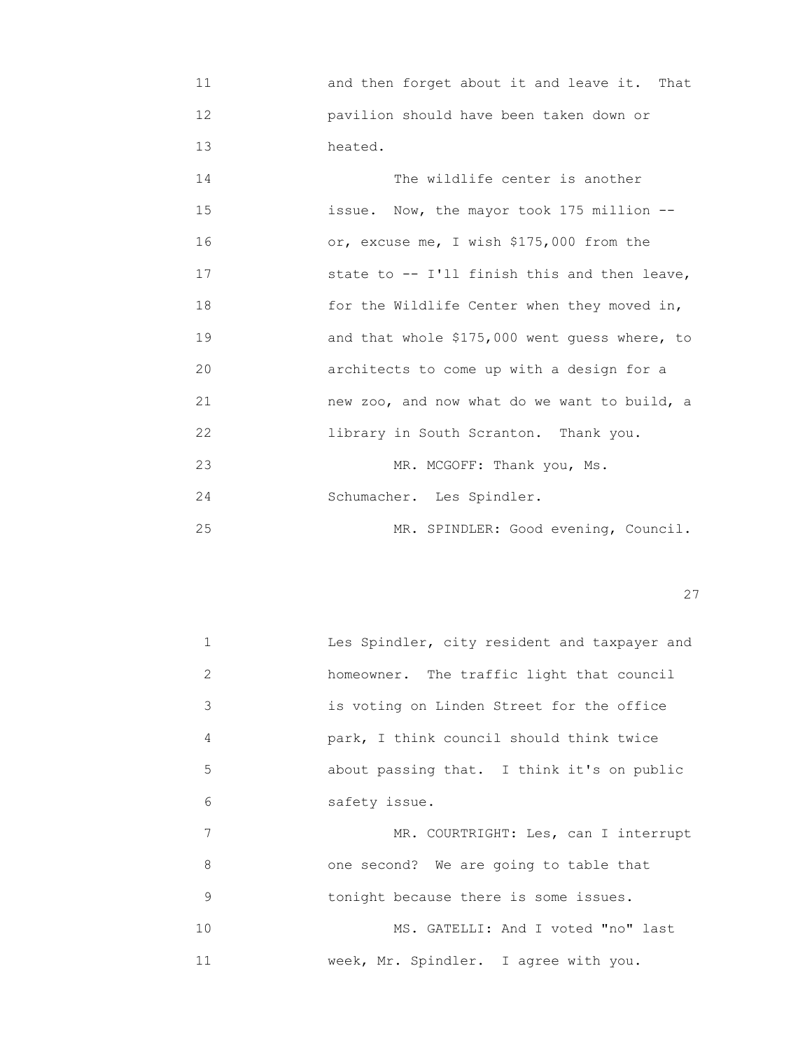11 and then forget about it and leave it. That 12 pavilion should have been taken down or 13 heated.

14 The wildlife center is another 15 issue. Now, the mayor took 175 million -- 16 or, excuse me, I wish \$175,000 from the 17 state to -- I'll finish this and then leave, 18 for the Wildlife Center when they moved in, 19 and that whole \$175,000 went guess where, to 20 architects to come up with a design for a 21 new zoo, and now what do we want to build, a 22 library in South Scranton. Thank you. 23 MR. MCGOFF: Thank you, Ms. 24 Schumacher. Les Spindler. 25 MR. SPINDLER: Good evening, Council.

<u>27</u>

| $\mathbf{1}$ | Les Spindler, city resident and taxpayer and |
|--------------|----------------------------------------------|
| 2            | homeowner. The traffic light that council    |
| 3            | is voting on Linden Street for the office    |
| 4            | park, I think council should think twice     |
| 5            | about passing that. I think it's on public   |
| 6            | safety issue.                                |
| 7            | MR. COURTRIGHT: Les, can I interrupt         |
| 8            | one second? We are going to table that       |
| 9            | tonight because there is some issues.        |
| 10           | MS. GATELLI: And I voted "no" last           |
| 11           | week, Mr. Spindler. I agree with you.        |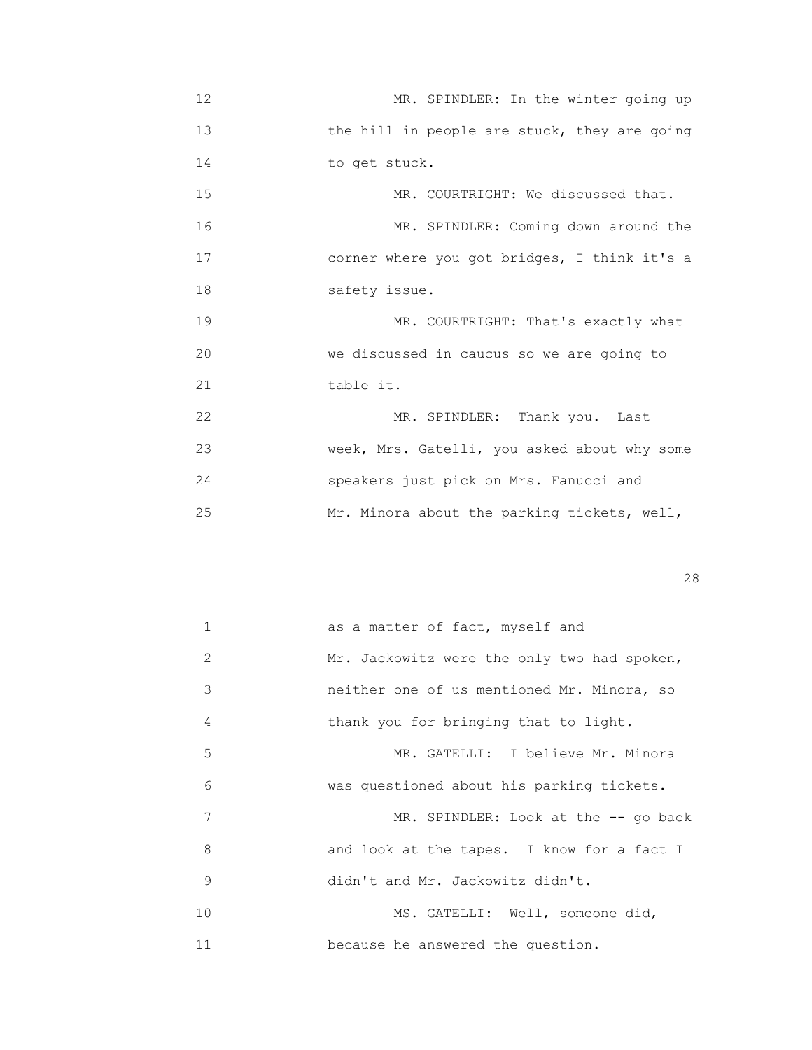12 MR. SPINDLER: In the winter going up 13 the hill in people are stuck, they are going 14 to get stuck. 15 MR. COURTRIGHT: We discussed that. 16 MR. SPINDLER: Coming down around the 17 corner where you got bridges, I think it's a 18 safety issue. 19 MR. COURTRIGHT: That's exactly what 20 we discussed in caucus so we are going to 21 table it. 22 MR. SPINDLER: Thank you. Last 23 week, Mrs. Gatelli, you asked about why some 24 speakers just pick on Mrs. Fanucci and 25 Mr. Minora about the parking tickets, well,

<u>28</u>

| $\mathbf{1}$  | as a matter of fact, myself and             |
|---------------|---------------------------------------------|
| $\mathcal{L}$ | Mr. Jackowitz were the only two had spoken, |
| 3             | neither one of us mentioned Mr. Minora, so  |
| 4             | thank you for bringing that to light.       |
| 5             | MR. GATELLI: I believe Mr. Minora           |
| 6             | was questioned about his parking tickets.   |
| 7             | MR. SPINDLER: Look at the -- go back        |
| 8             | and look at the tapes. I know for a fact I  |
| 9             | didn't and Mr. Jackowitz didn't.            |
| 10            | MS. GATELLI: Well, someone did,             |
| 11            | because he answered the question.           |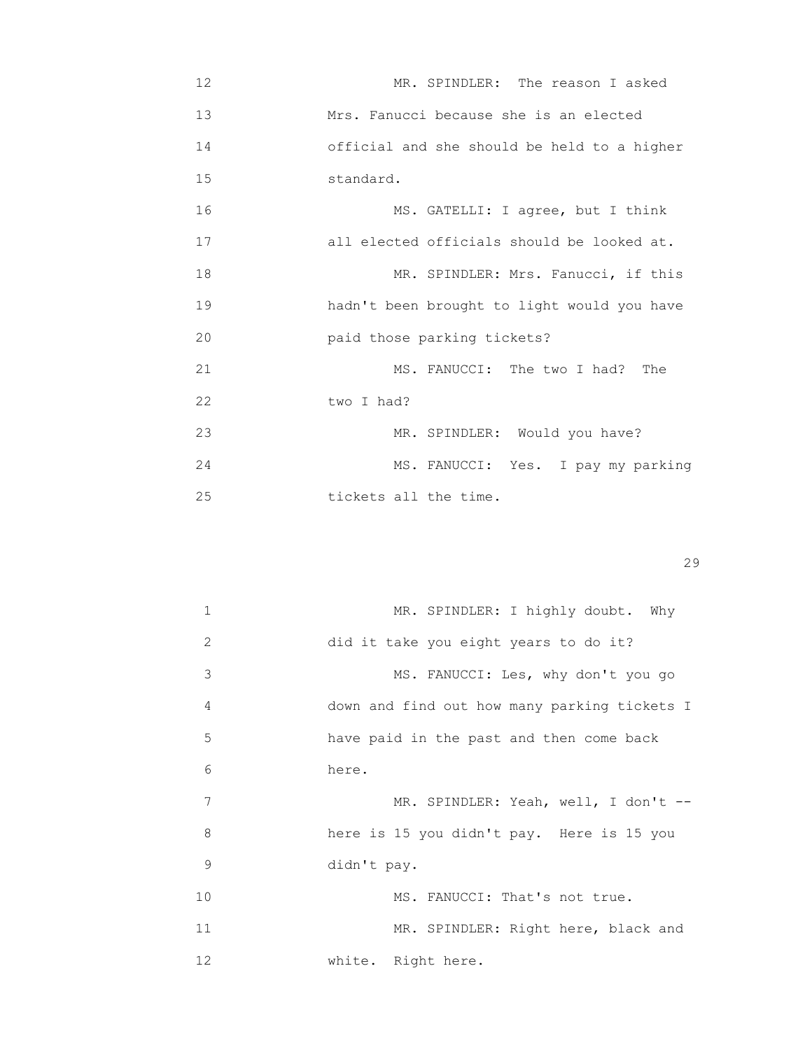12 MR. SPINDLER: The reason I asked 13 Mrs. Fanucci because she is an elected 14 official and she should be held to a higher 15 standard.

16 MS. GATELLI: I agree, but I think 17 all elected officials should be looked at. 18 MR. SPINDLER: Mrs. Fanucci, if this 19 hadn't been brought to light would you have 20 paid those parking tickets? 21 MS. FANUCCI: The two I had? The 22 two I had? 23 MR. SPINDLER: Would you have? 24 MS. FANUCCI: Yes. I pay my parking

25 tickets all the time.

| 1             | MR. SPINDLER: I highly doubt. Why            |
|---------------|----------------------------------------------|
| $\mathcal{L}$ | did it take you eight years to do it?        |
| 3             | MS. FANUCCI: Les, why don't you go           |
| 4             | down and find out how many parking tickets I |
| 5             | have paid in the past and then come back     |
| 6             | here.                                        |
| 7             | MR. SPINDLER: Yeah, well, I don't --         |
| 8             | here is 15 you didn't pay. Here is 15 you    |
| 9             | didn't pay.                                  |
| 10            | MS. FANUCCI: That's not true.                |
| 11            | MR. SPINDLER: Right here, black and          |
| 12            | white. Right here.                           |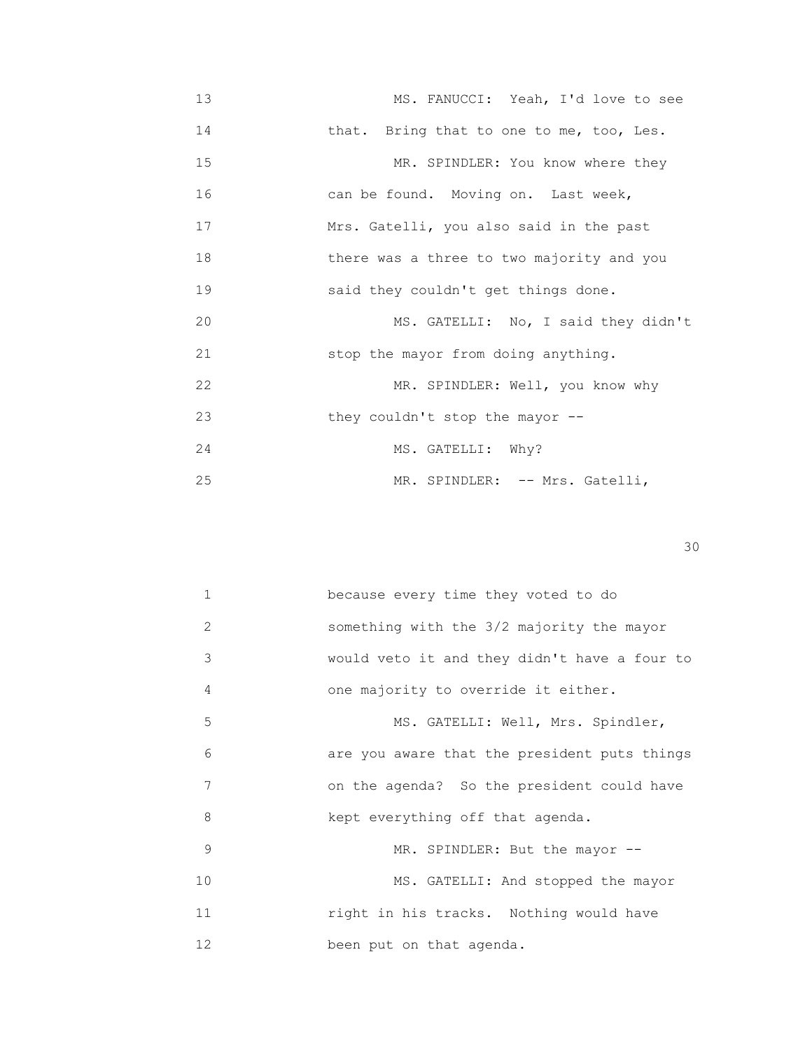13 MS. FANUCCI: Yeah, I'd love to see 14 that. Bring that to one to me, too, Les. 15 MR. SPINDLER: You know where they 16 can be found. Moving on. Last week, 17 Mrs. Gatelli, you also said in the past 18 there was a three to two majority and you 19 said they couldn't get things done. 20 MS. GATELLI: No, I said they didn't 21 stop the mayor from doing anything. 22 MR. SPINDLER: Well, you know why 23 they couldn't stop the mayor -- 24 MS. GATELLI: Why? 25 MR. SPINDLER: -- Mrs. Gatelli,

| $\mathbf{1}$ | because every time they voted to do          |
|--------------|----------------------------------------------|
| 2            | something with the 3/2 majority the mayor    |
| 3            | would veto it and they didn't have a four to |
| 4            | one majority to override it either.          |
| 5            | MS. GATELLI: Well, Mrs. Spindler,            |
| 6            | are you aware that the president puts things |
| 7            | on the agenda? So the president could have   |
| 8            | kept everything off that agenda.             |
| 9            | MR. SPINDLER: But the mayor --               |
| 10           | MS. GATELLI: And stopped the mayor           |
| 11           | right in his tracks. Nothing would have      |
| 12           | been put on that agenda.                     |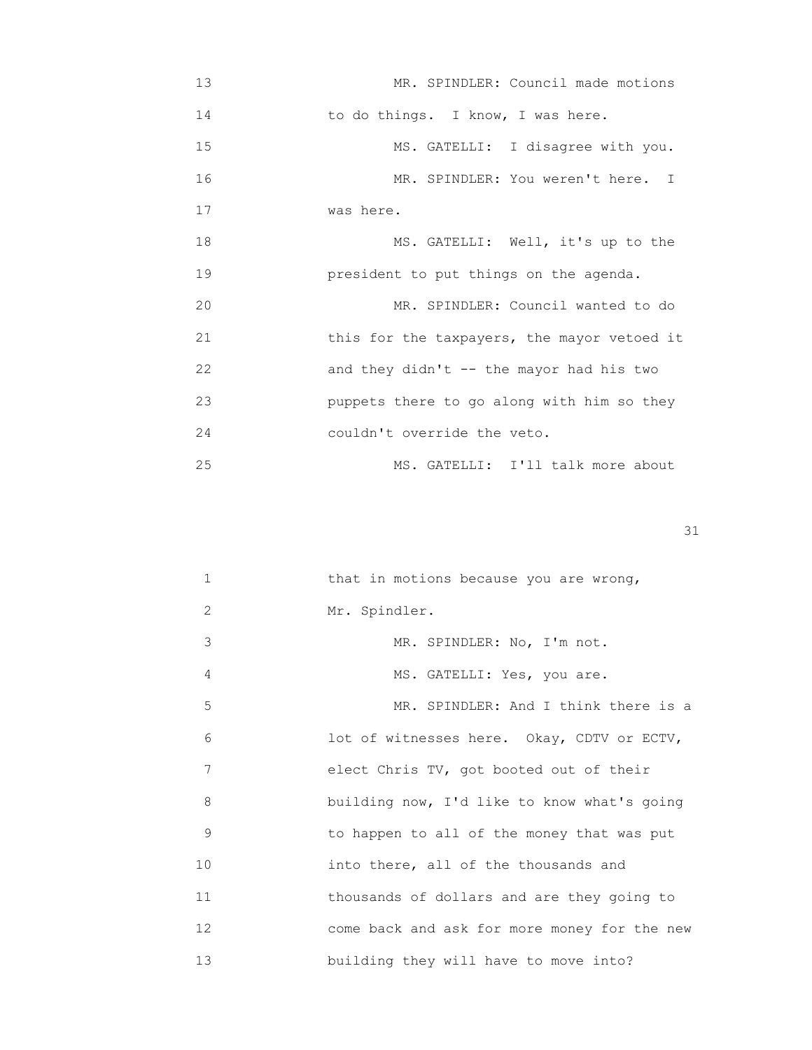| 13 | MR. SPINDLER: Council made motions          |
|----|---------------------------------------------|
| 14 | to do things. I know, I was here.           |
| 15 | MS. GATELLI: I disagree with you.           |
| 16 | MR. SPINDLER: You weren't here. I           |
| 17 | was here.                                   |
| 18 | MS. GATELLI: Well, it's up to the           |
| 19 | president to put things on the agenda.      |
| 20 | MR. SPINDLER: Council wanted to do          |
| 21 | this for the taxpayers, the mayor vetoed it |
| 22 | and they didn't $-$ the mayor had his two   |
| 23 | puppets there to go along with him so they  |
| 24 | couldn't override the veto.                 |
| 25 | MS. GATELLI: I'll talk more about           |

| 1  | that in motions because you are wrong,       |
|----|----------------------------------------------|
| 2  | Mr. Spindler.                                |
| 3  | MR. SPINDLER: No, I'm not.                   |
| 4  | MS. GATELLI: Yes, you are.                   |
| 5  | MR. SPINDLER: And I think there is a         |
| 6  | lot of witnesses here. Okay, CDTV or ECTV,   |
| 7  | elect Chris TV, got booted out of their      |
| 8  | building now, I'd like to know what's going  |
| 9  | to happen to all of the money that was put   |
| 10 | into there, all of the thousands and         |
| 11 | thousands of dollars and are they going to   |
| 12 | come back and ask for more money for the new |
| 13 | building they will have to move into?        |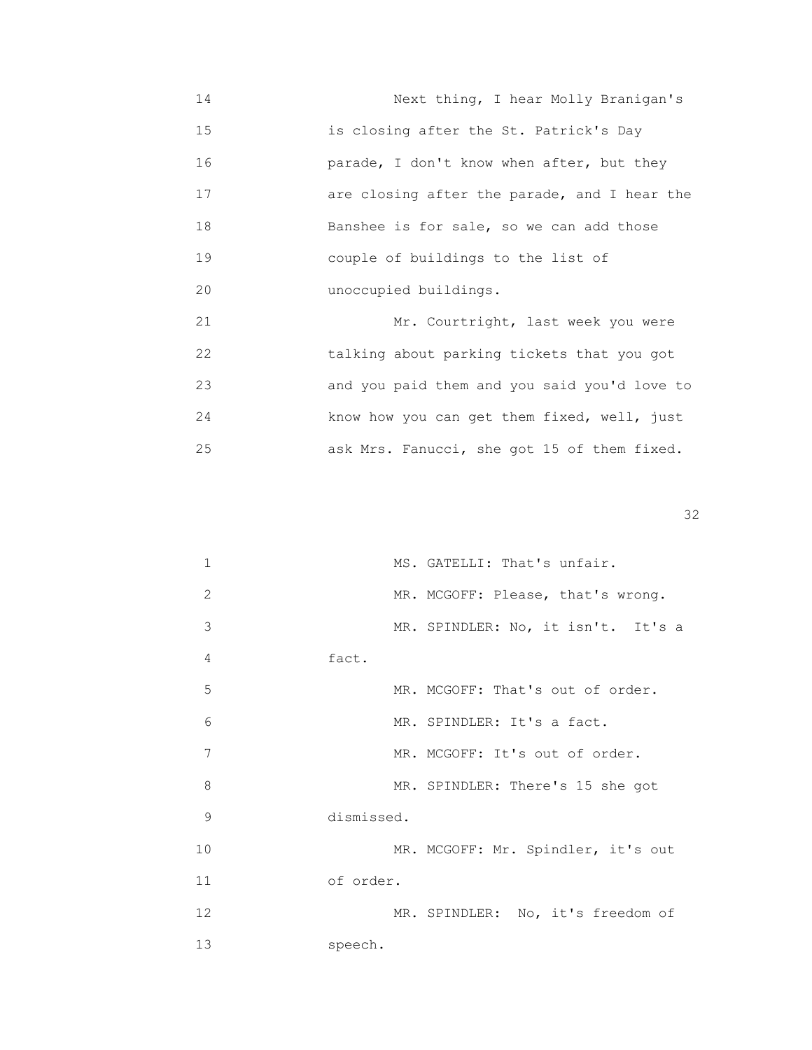14 Next thing, I hear Molly Branigan's 15 is closing after the St. Patrick's Day 16 parade, I don't know when after, but they 17 are closing after the parade, and I hear the 18 Banshee is for sale, so we can add those 19 couple of buildings to the list of 20 unoccupied buildings.

21 Mr. Courtright, last week you were 22 talking about parking tickets that you got 23 and you paid them and you said you'd love to 24 know how you can get them fixed, well, just 25 ask Mrs. Fanucci, she got 15 of them fixed.

| 1  | MS. GATELLI: That's unfair.        |
|----|------------------------------------|
| 2  | MR. MCGOFF: Please, that's wrong.  |
| 3  | MR. SPINDLER: No, it isn't. It's a |
| 4  | fact.                              |
| 5  | MR. MCGOFF: That's out of order.   |
| 6  | MR. SPINDLER: It's a fact.         |
| 7  | MR. MCGOFF: It's out of order.     |
| 8  | MR. SPINDLER: There's 15 she got   |
| 9  | dismissed.                         |
| 10 | MR. MCGOFF: Mr. Spindler, it's out |
| 11 | of order.                          |
| 12 | MR. SPINDLER: No, it's freedom of  |
| 13 | speech.                            |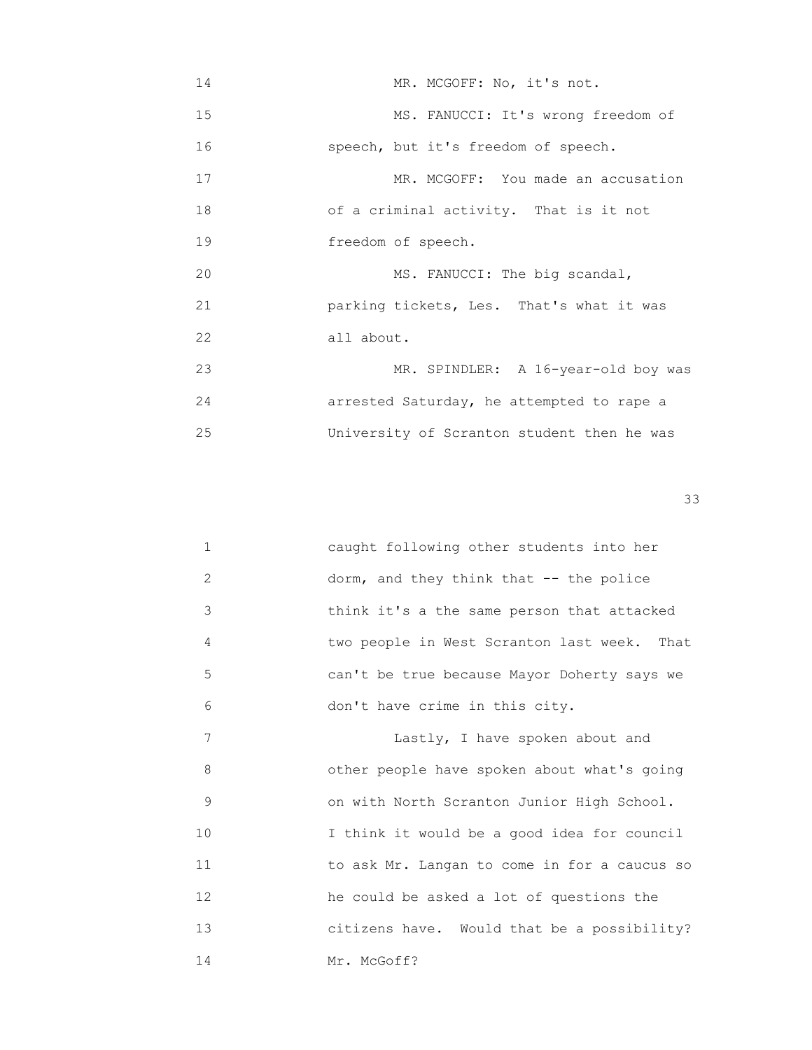14 MR. MCGOFF: No, it's not. 15 MS. FANUCCI: It's wrong freedom of 16 speech, but it's freedom of speech. 17 MR. MCGOFF: You made an accusation 18 of a criminal activity. That is it not 19 **freedom** of speech. 20 MS. FANUCCI: The big scandal, 21 parking tickets, Les. That's what it was 22 all about. 23 MR. SPINDLER: A 16-year-old boy was 24 arrested Saturday, he attempted to rape a 25 University of Scranton student then he was

 $33$ 

|   | caught following other students into her    |
|---|---------------------------------------------|
| 2 | dorm, and they think that $-$ - the police  |
| 3 | think it's a the same person that attacked  |
| 4 | two people in West Scranton last week. That |
| 5 | can't be true because Mayor Doherty says we |
| 6 | don't have crime in this city.              |

7 **Lastly, I have spoken about and**  8 other people have spoken about what's going 9 on with North Scranton Junior High School. 10 I think it would be a good idea for council 11 to ask Mr. Langan to come in for a caucus so 12 he could be asked a lot of questions the 13 **b Calizens have.** Would that be a possibility? 14 Mr. McGoff?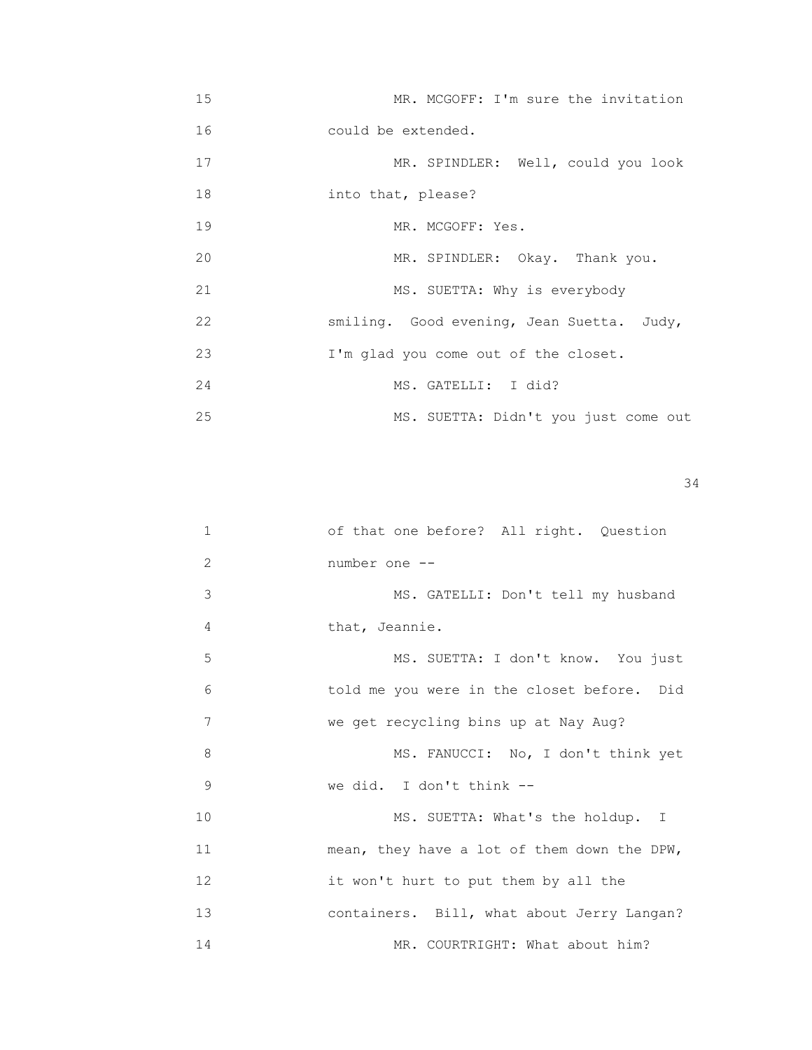| 15 | MR. MCGOFF: I'm sure the invitation       |
|----|-------------------------------------------|
| 16 | could be extended.                        |
| 17 | MR. SPINDLER: Well, could you look        |
| 18 | into that, please?                        |
| 19 | MR. MCGOFF: Yes.                          |
| 20 | MR. SPINDLER: Okay. Thank you.            |
| 21 | MS. SUETTA: Why is everybody              |
| 22 | smiling. Good evening, Jean Suetta. Judy, |
| 23 | I'm glad you come out of the closet.      |
| 24 | MS. GATELLI: I did?                       |
| 25 | MS. SUETTA: Didn't you just come out      |

| $\mathbf 1$ | of that one before? All right. Question     |
|-------------|---------------------------------------------|
| 2           | number one --                               |
| 3           | MS. GATELLI: Don't tell my husband          |
| 4           | that, Jeannie.                              |
| 5           | MS. SUETTA: I don't know. You just          |
| 6           | told me you were in the closet before. Did  |
| 7           | we get recycling bins up at Nay Aug?        |
| 8           | MS. FANUCCI: No, I don't think yet          |
| 9           | we did. I don't think --                    |
| 10          | MS. SUETTA: What's the holdup. I            |
| 11          | mean, they have a lot of them down the DPW, |
| 12          | it won't hurt to put them by all the        |
| 13          | containers. Bill, what about Jerry Langan?  |
| 14          | MR. COURTRIGHT: What about him?             |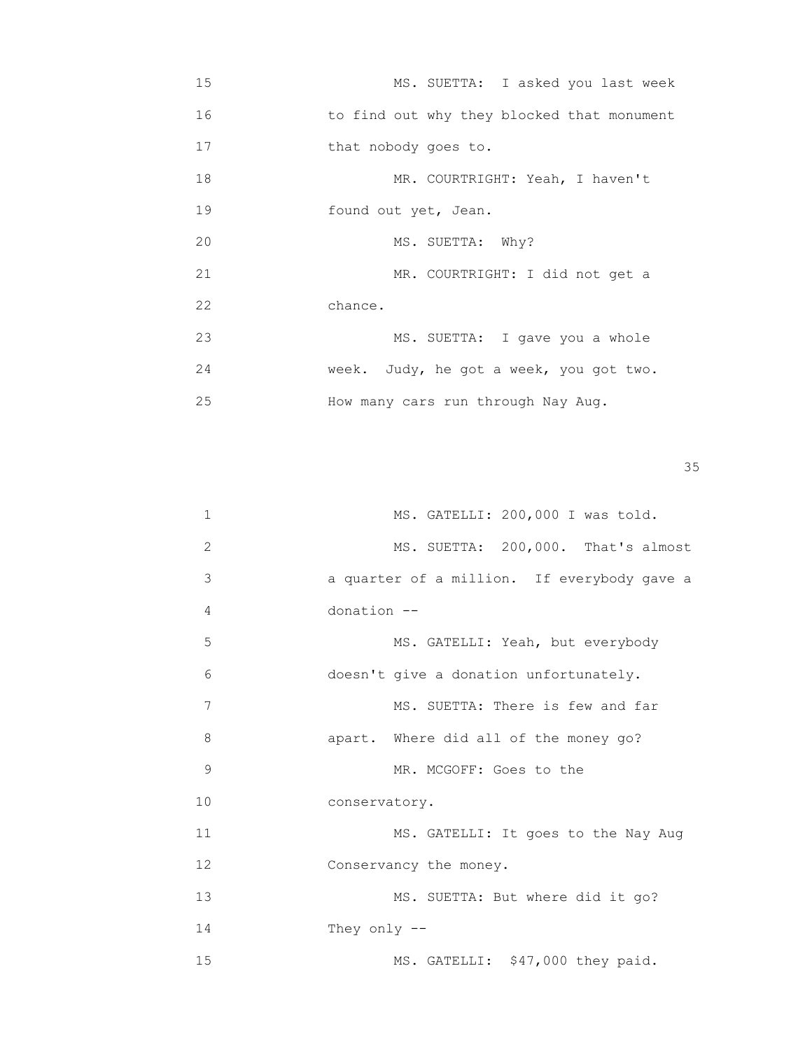15 MS. SUETTA: I asked you last week 16 to find out why they blocked that monument 17 that nobody goes to. 18 MR. COURTRIGHT: Yeah, I haven't 19 found out yet, Jean. 20 MS. SUETTA: Why? 21 MR. COURTRIGHT: I did not get a 22 chance. 23 MS. SUETTA: I gave you a whole 24 week. Judy, he got a week, you got two. 25 How many cars run through Nay Aug.

<u>35 September 2005 September 2005 September 2005 September 2005 September 2005 September 2005 September 2005 S</u>

| 1  | MS. GATELLI: 200,000 I was told.            |
|----|---------------------------------------------|
| 2  | MS. SUETTA: 200,000. That's almost          |
| 3  | a quarter of a million. If everybody gave a |
| 4  | donation --                                 |
| 5  | MS. GATELLI: Yeah, but everybody            |
| 6  | doesn't give a donation unfortunately.      |
| 7  | MS. SUETTA: There is few and far            |
| 8  | apart. Where did all of the money go?       |
| 9  | MR. MCGOFF: Goes to the                     |
| 10 | conservatory.                               |
| 11 | MS. GATELLI: It goes to the Nay Aug         |
| 12 | Conservancy the money.                      |
| 13 | MS. SUETTA: But where did it go?            |
| 14 | They only $-$                               |
| 15 | MS. GATELLI: \$47,000 they paid.            |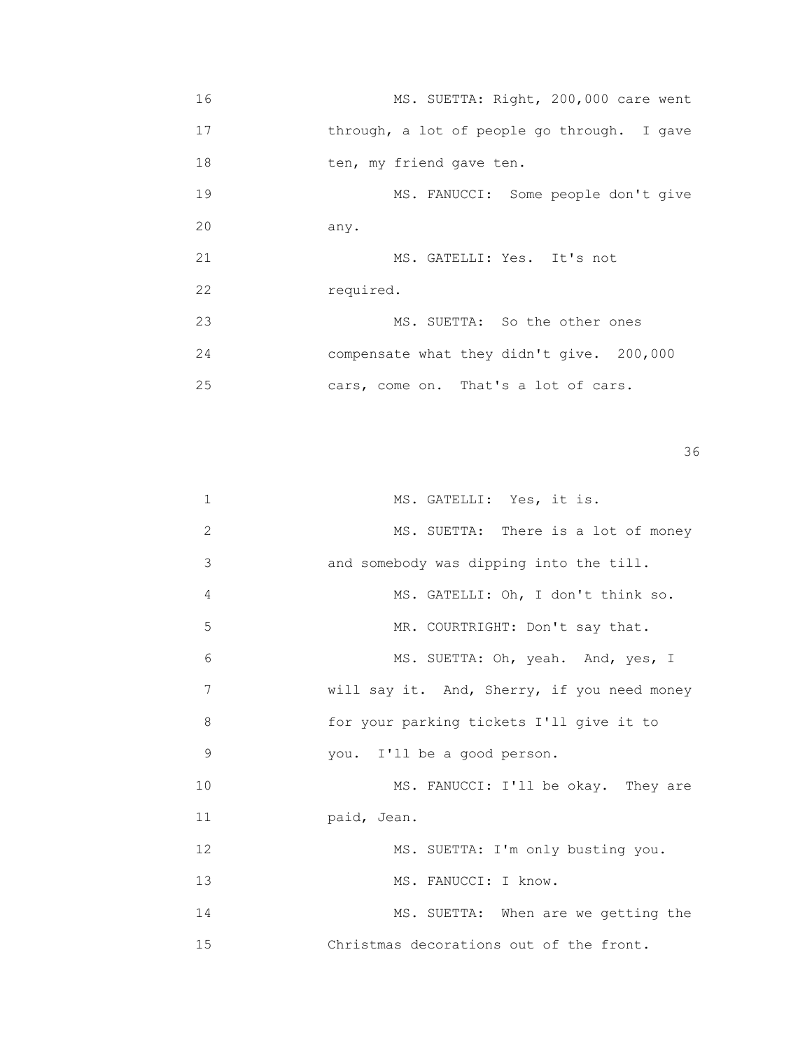16 MS. SUETTA: Right, 200,000 care went 17 through, a lot of people go through. I gave 18 ten, my friend gave ten. 19 MS. FANUCCI: Some people don't give 20 any. 21 MS. GATELLI: Yes. It's not 22 required. 23 MS. SUETTA: So the other ones 24 compensate what they didn't give. 200,000 25 cars, come on. That's a lot of cars.

| $\mathbf 1$ | MS. GATELLI: Yes, it is.                    |
|-------------|---------------------------------------------|
| 2           | MS. SUETTA: There is a lot of money         |
| 3           | and somebody was dipping into the till.     |
| 4           | MS. GATELLI: Oh, I don't think so.          |
| 5           | MR. COURTRIGHT: Don't say that.             |
| 6           | MS. SUETTA: Oh, yeah. And, yes, I           |
| 7           | will say it. And, Sherry, if you need money |
| 8           | for your parking tickets I'll give it to    |
| 9           | you. I'll be a good person.                 |
| 10          | MS. FANUCCI: I'll be okay. They are         |
| 11          | paid, Jean.                                 |
| 12          | MS. SUETTA: I'm only busting you.           |
| 13          | MS. FANUCCI: I know.                        |
| 14          | MS. SUETTA: When are we getting the         |
| 15          | Christmas decorations out of the front.     |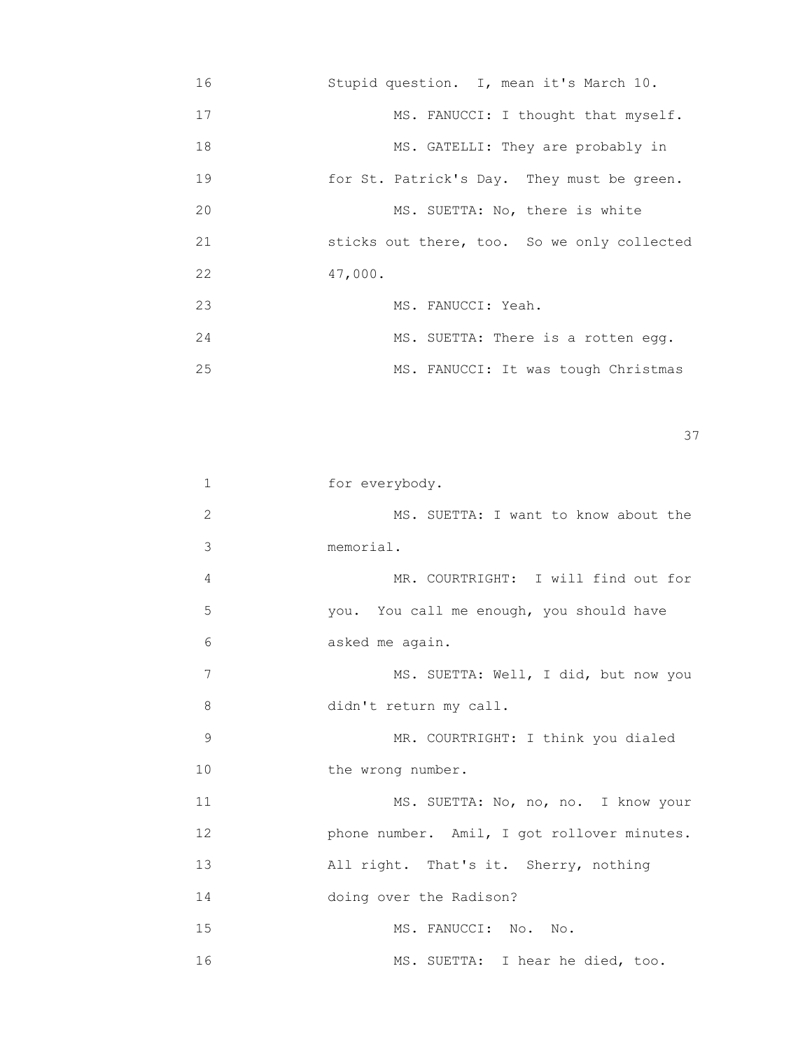16 Stupid question. I, mean it's March 10. 17 MS. FANUCCI: I thought that myself. 18 MS. GATELLI: They are probably in 19 for St. Patrick's Day. They must be green. 20 MS. SUETTA: No, there is white 21 sticks out there, too. So we only collected 22 47,000. 23 MS. FANUCCI: Yeah. 24 MS. SUETTA: There is a rotten egg. 25 MS. FANUCCI: It was tough Christmas

<u>37</u>

| 1  | for everybody.                              |
|----|---------------------------------------------|
| 2  | MS. SUETTA: I want to know about the        |
| 3  | memorial.                                   |
| 4  | MR. COURTRIGHT: I will find out for         |
| 5  | you. You call me enough, you should have    |
| 6  | asked me again.                             |
| 7  | MS. SUETTA: Well, I did, but now you        |
| 8  | didn't return my call.                      |
| 9  | MR. COURTRIGHT: I think you dialed          |
| 10 | the wrong number.                           |
| 11 | MS. SUETTA: No, no, no. I know your         |
| 12 | phone number. Amil, I got rollover minutes. |
| 13 | All right. That's it. Sherry, nothing       |
| 14 | doing over the Radison?                     |
| 15 | MS. FANUCCI: No. No.                        |
| 16 | MS. SUETTA: I hear he died, too.            |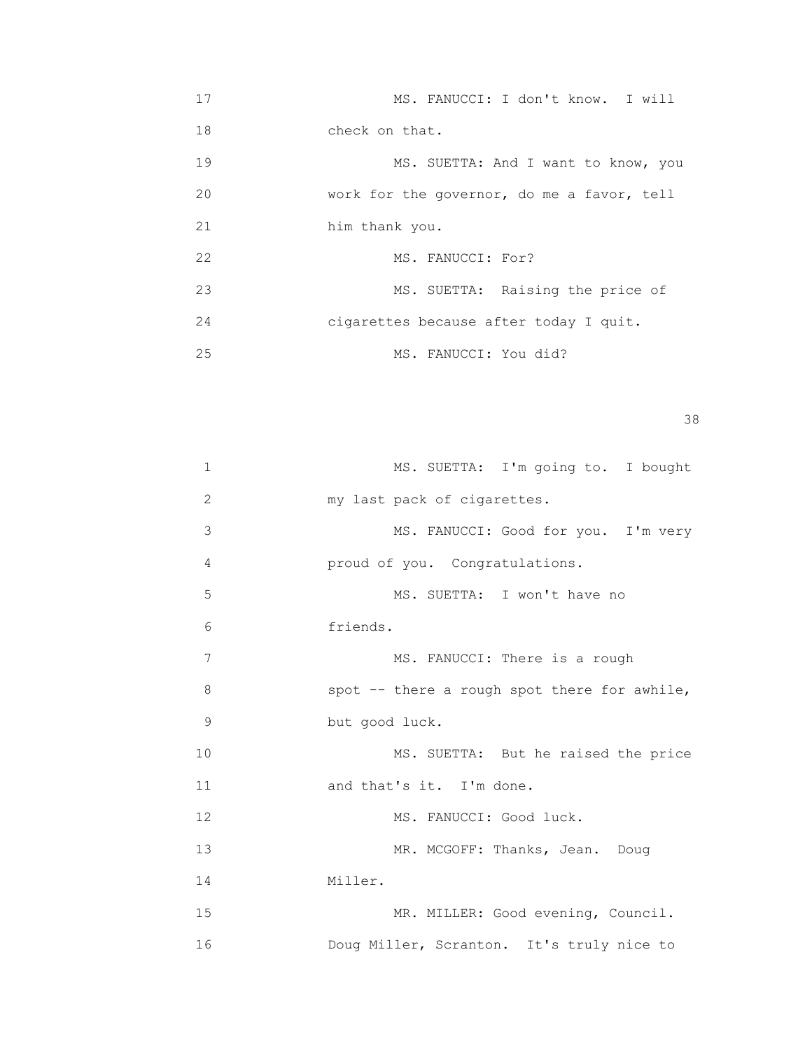17 MS. FANUCCI: I don't know. I will 18 check on that. 19 MS. SUETTA: And I want to know, you 20 work for the governor, do me a favor, tell 21 him thank you. 22 MS. FANUCCI: For? 23 MS. SUETTA: Raising the price of 24 cigarettes because after today I quit. 25 MS. FANUCCI: You did?

## <u>38 and 2001 and 2002 and 2003 and 2003 and 2003 and 2003 and 2003 and 2003 and 2003 and 2003 and 2003 and 200</u>

| $\mathbf 1$  | MS. SUETTA: I'm going to. I bought           |
|--------------|----------------------------------------------|
| $\mathbf{2}$ | my last pack of cigarettes.                  |
| 3            | MS. FANUCCI: Good for you. I'm very          |
| 4            | proud of you. Congratulations.               |
| 5            | MS. SUETTA: I won't have no                  |
| 6            | friends.                                     |
| 7            | MS. FANUCCI: There is a rough                |
| 8            | spot -- there a rough spot there for awhile, |
| 9            | but good luck.                               |
| 10           | MS. SUETTA: But he raised the price          |
| 11           | and that's it. I'm done.                     |
| 12           | MS. FANUCCI: Good luck.                      |
| 13           | MR. MCGOFF: Thanks, Jean. Doug               |
| 14           | Miller.                                      |
| 15           | MR. MILLER: Good evening, Council.           |
| 16           | Doug Miller, Scranton. It's truly nice to    |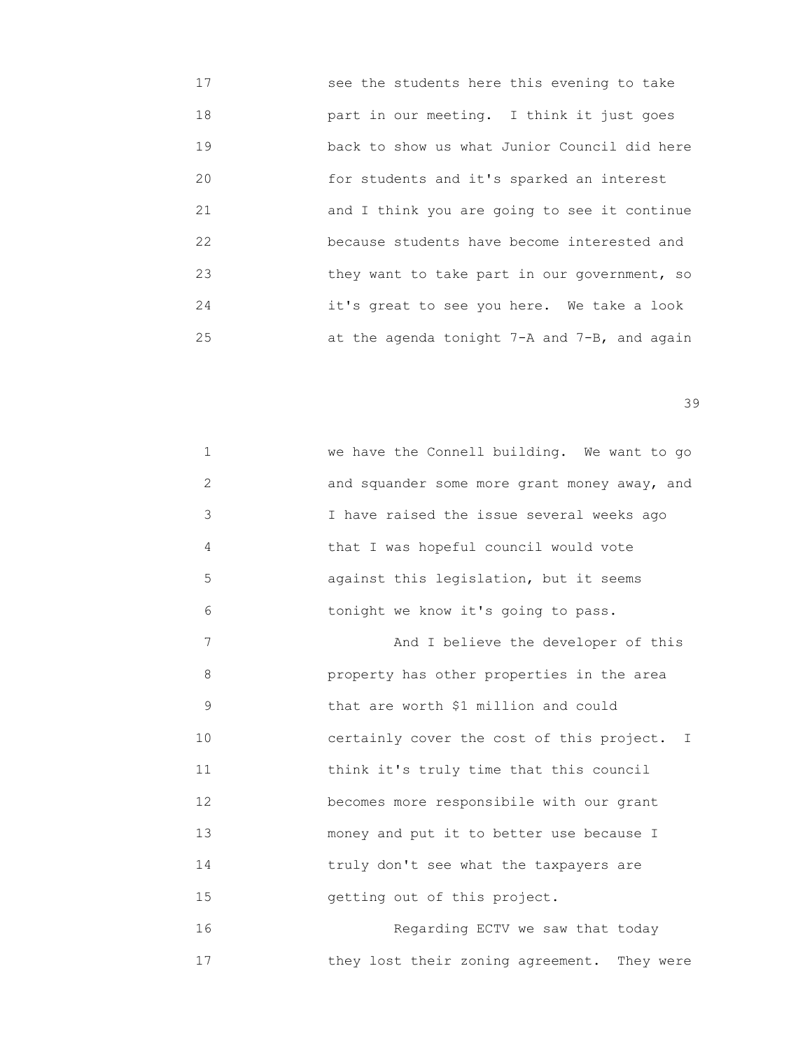17 see the students here this evening to take 18 part in our meeting. I think it just goes 19 back to show us what Junior Council did here 20 for students and it's sparked an interest 21 and I think you are going to see it continue 22 because students have become interested and 23 they want to take part in our government, so 24 it's great to see you here. We take a look 25 at the agenda tonight 7-A and 7-B, and again

| $\mathbf 1$  | we have the Connell building. We want to go    |
|--------------|------------------------------------------------|
| $\mathbf{2}$ | and squander some more grant money away, and   |
| 3            | I have raised the issue several weeks ago      |
| 4            | that I was hopeful council would vote          |
| 5            | against this legislation, but it seems         |
| 6            | tonight we know it's going to pass.            |
| 7            | And I believe the developer of this            |
| 8            | property has other properties in the area      |
| $\mathsf 9$  | that are worth \$1 million and could           |
| 10           | certainly cover the cost of this project. I    |
| 11           | think it's truly time that this council        |
| 12           | becomes more responsibile with our grant       |
| 13           | money and put it to better use because I       |
| 14           | truly don't see what the taxpayers are         |
| 15           | getting out of this project.                   |
| 16           | Regarding ECTV we saw that today               |
| 17           | they lost their zoning agreement.<br>They were |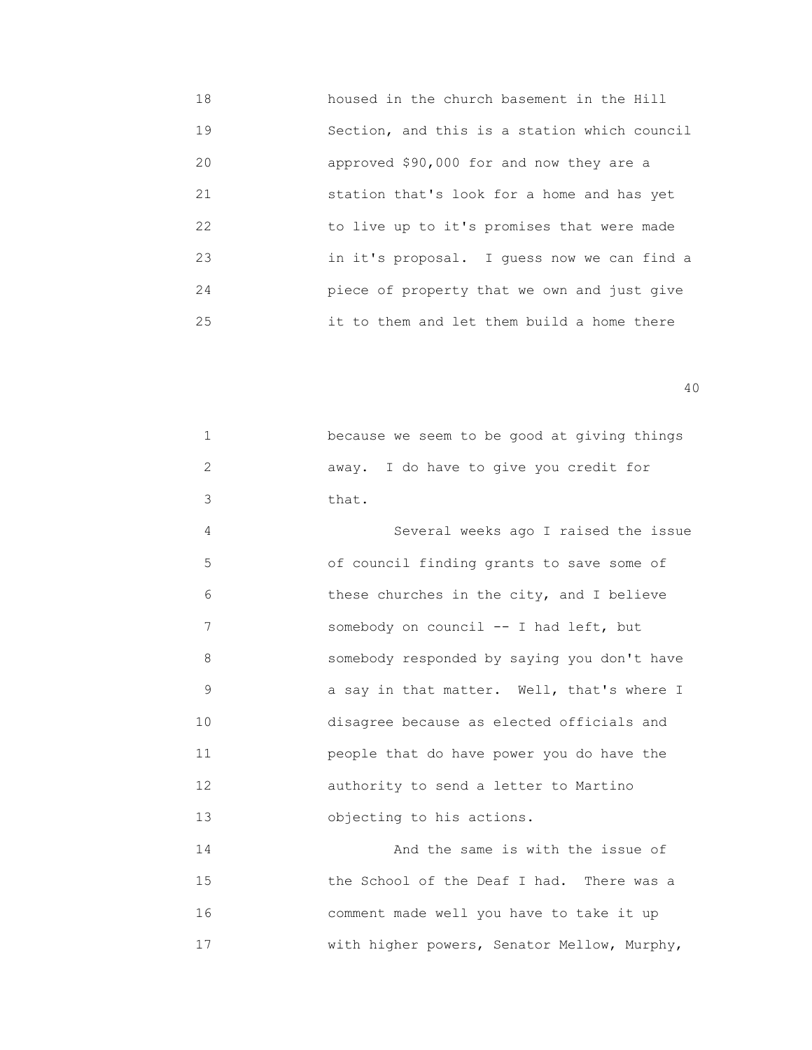18 housed in the church basement in the Hill 19 Section, and this is a station which council 20 approved \$90,000 for and now they are a 21 station that's look for a home and has yet 22 to live up to it's promises that were made 23 in it's proposal. I guess now we can find a 24 piece of property that we own and just give 25 it to them and let them build a home there

40

| $\mathbf{1}$ | because we seem to be good at giving things |
|--------------|---------------------------------------------|
| 2            | away. I do have to give you credit for      |
| 3            | that.                                       |
| 4            | Several weeks ago I raised the issue        |
| 5            | of council finding grants to save some of   |
| 6            | these churches in the city, and I believe   |
| 7            | somebody on council -- I had left, but      |
| 8            | somebody responded by saying you don't have |
| 9            | a say in that matter. Well, that's where I  |
| 10           | disagree because as elected officials and   |
| 11           | people that do have power you do have the   |
| 12           | authority to send a letter to Martino       |
| 13           | objecting to his actions.                   |
| 14           | And the same is with the issue of           |
|              |                                             |

 15 the School of the Deaf I had. There was a 16 comment made well you have to take it up 17 with higher powers, Senator Mellow, Murphy,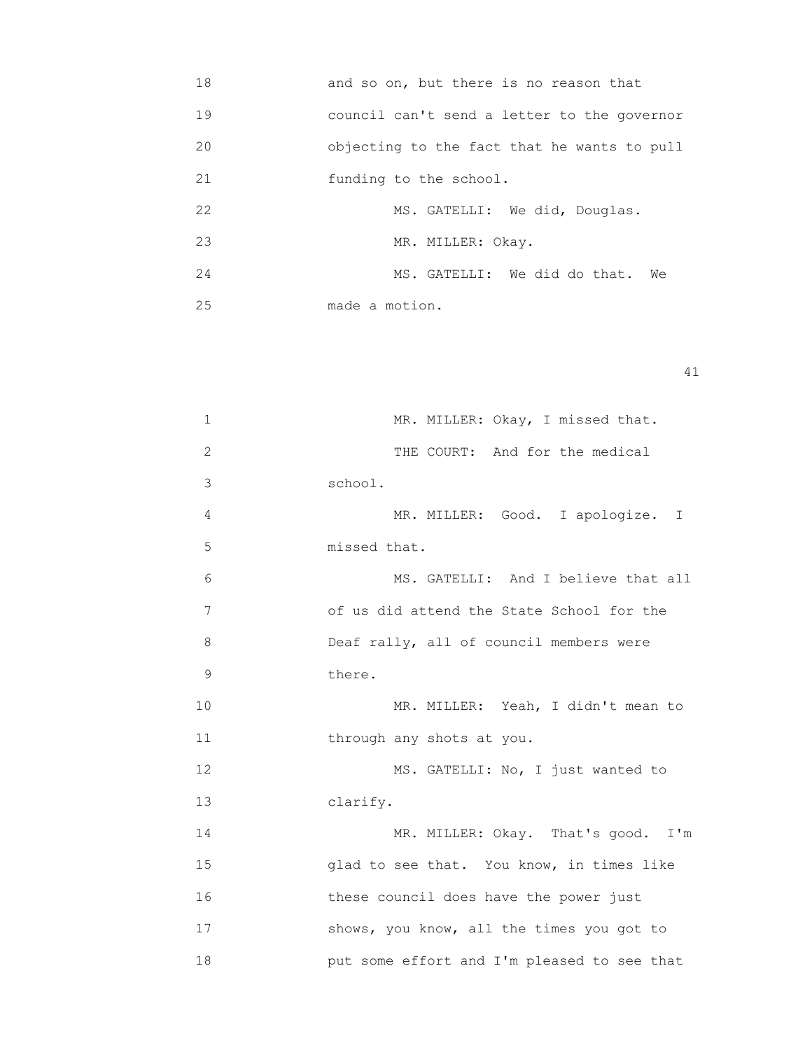18 and so on, but there is no reason that 19 council can't send a letter to the governor 20 objecting to the fact that he wants to pull 21 funding to the school. 22 MS. GATELLI: We did, Douglas. 23 MR. MILLER: Okay. 24 MS. GATELLI: We did do that. We 25 made a motion.

```
                                                                     41
```

| 1  | MR. MILLER: Okay, I missed that.            |
|----|---------------------------------------------|
| 2  | THE COURT: And for the medical              |
| 3  | school.                                     |
| 4  | MR. MILLER: Good. I apologize. I            |
| 5  | missed that.                                |
| 6  | MS. GATELLI: And I believe that all         |
| 7  | of us did attend the State School for the   |
| 8  | Deaf rally, all of council members were     |
| 9  | there.                                      |
| 10 | MR. MILLER: Yeah, I didn't mean to          |
| 11 | through any shots at you.                   |
| 12 | MS. GATELLI: No, I just wanted to           |
| 13 | clarify.                                    |
| 14 | MR. MILLER: Okay. That's good. I'm          |
| 15 | glad to see that. You know, in times like   |
| 16 | these council does have the power just      |
| 17 | shows, you know, all the times you got to   |
| 18 | put some effort and I'm pleased to see that |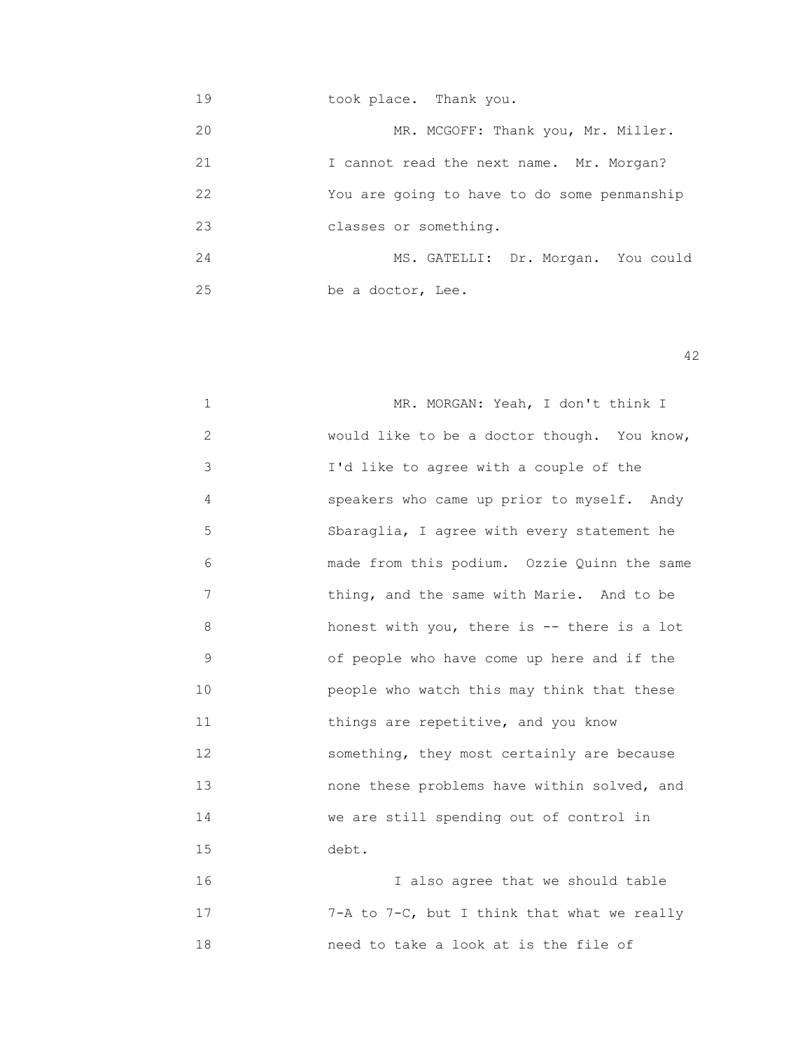19 took place. Thank you. 20 MR. MCGOFF: Thank you, Mr. Miller. 21 I cannot read the next name. Mr. Morgan? 22 You are going to have to do some penmanship 23 classes or something. 24 MS. GATELLI: Dr. Morgan. You could 25 be a doctor, Lee.

42

1 MR. MORGAN: Yeah, I don't think I 2 would like to be a doctor though. You know, 3 I'd like to agree with a couple of the 4 speakers who came up prior to myself. Andy 5 Sbaraglia, I agree with every statement he 6 made from this podium. Ozzie Quinn the same 7 thing, and the same with Marie. And to be 8 honest with you, there is -- there is a lot 9 of people who have come up here and if the 10 people who watch this may think that these 11 **things are repetitive, and you know**  12 something, they most certainly are because 13 none these problems have within solved, and 14 We are still spending out of control in 15 debt. 16 I also agree that we should table

 17 7-A to 7-C, but I think that what we really 18 need to take a look at is the file of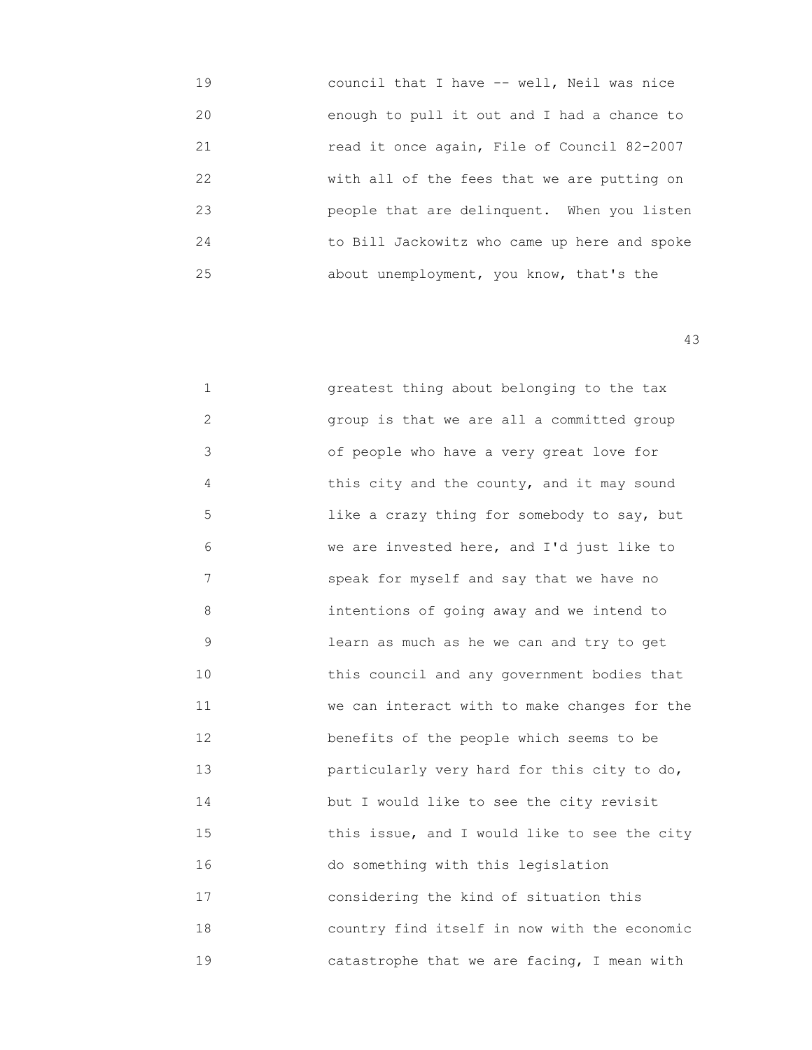| 19 | council that I have -- well, Neil was nice   |
|----|----------------------------------------------|
| 20 | enough to pull it out and I had a chance to  |
| 21 | read it once again, File of Council 82-2007  |
| 22 | with all of the fees that we are putting on  |
| 23 | people that are delinquent. When you listen  |
| 24 | to Bill Jackowitz who came up here and spoke |
| 25 | about unemployment, you know, that's the     |
|    |                                              |

 1 greatest thing about belonging to the tax 2 group is that we are all a committed group 3 of people who have a very great love for 4 **a** this city and the county, and it may sound 5 1ike a crazy thing for somebody to say, but 6 we are invested here, and I'd just like to 7 speak for myself and say that we have no 8 intentions of going away and we intend to 9 learn as much as he we can and try to get 10 this council and any government bodies that 11 we can interact with to make changes for the 12 **benefits of the people which seems to be**  13 particularly very hard for this city to do, 14 but I would like to see the city revisit 15 this issue, and I would like to see the city 16 do something with this legislation 17 considering the kind of situation this 18 country find itself in now with the economic 19 catastrophe that we are facing, I mean with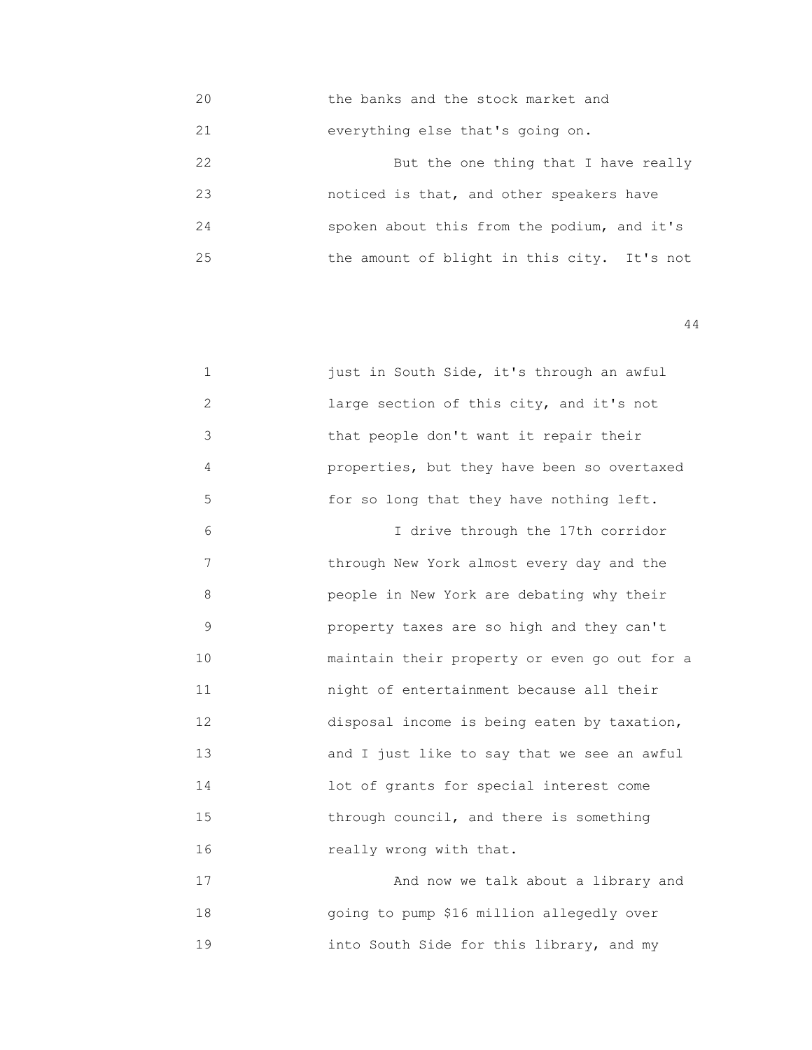20 the banks and the stock market and

21 everything else that's going on.

22 But the one thing that I have really 23 noticed is that, and other speakers have 24 spoken about this from the podium, and it's 25 the amount of blight in this city. It's not

44

| $\mathbf{1}$ | just in South Side, it's through an awful    |
|--------------|----------------------------------------------|
| 2            | large section of this city, and it's not     |
| 3            | that people don't want it repair their       |
| 4            | properties, but they have been so overtaxed  |
| 5            | for so long that they have nothing left.     |
| 6            | I drive through the 17th corridor            |
| 7            | through New York almost every day and the    |
| 8            | people in New York are debating why their    |
| 9            | property taxes are so high and they can't    |
| 10           | maintain their property or even go out for a |
| 11           | night of entertainment because all their     |
| 12           | disposal income is being eaten by taxation,  |
| 13           | and I just like to say that we see an awful  |
| 14           | lot of grants for special interest come      |
| 15           | through council, and there is something      |
| 16           | really wrong with that.                      |
| 17           | And now we talk about a library and          |
| 18           | going to pump \$16 million allegedly over    |

19 into South Side for this library, and my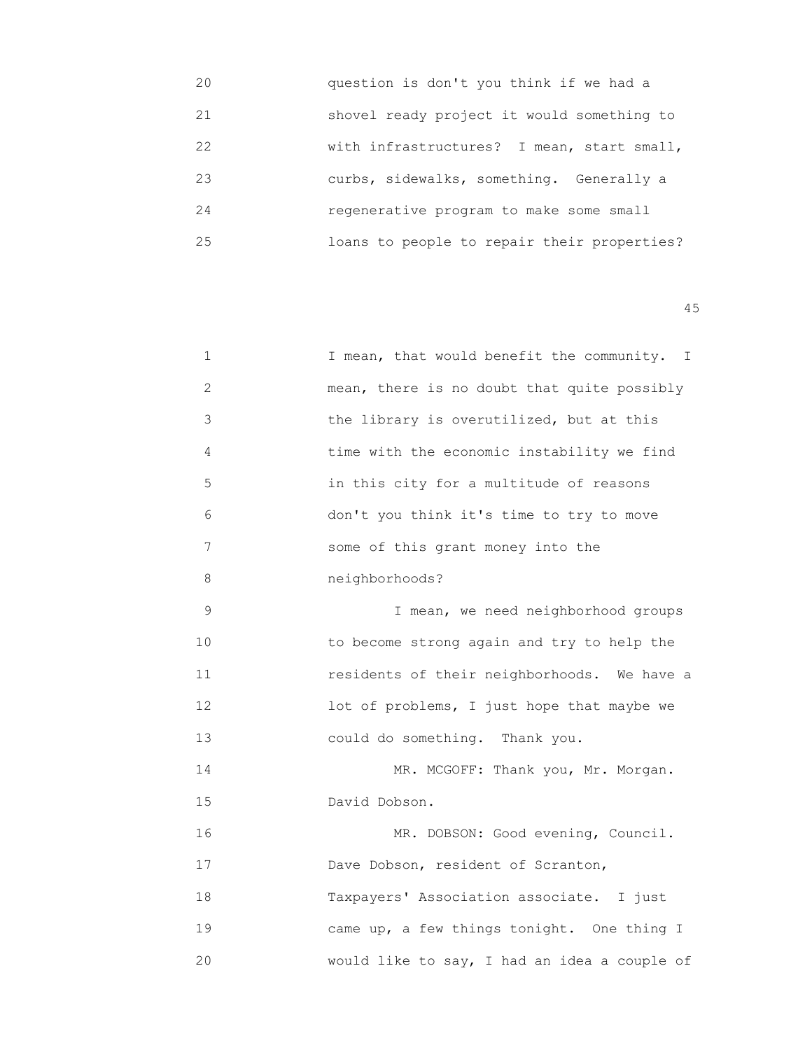| 20 | question is don't you think if we had a     |
|----|---------------------------------------------|
| 21 | shovel ready project it would something to  |
| 22 | with infrastructures? I mean, start small,  |
| 23 | curbs, sidewalks, something. Generally a    |
| 24 | regenerative program to make some small     |
| 25 | loans to people to repair their properties? |

| 1           | I mean, that would benefit the community. I  |
|-------------|----------------------------------------------|
| 2           | mean, there is no doubt that quite possibly  |
| 3           | the library is overutilized, but at this     |
| 4           | time with the economic instability we find   |
| 5           | in this city for a multitude of reasons      |
| 6           | don't you think it's time to try to move     |
| 7           | some of this grant money into the            |
| 8           | neighborhoods?                               |
| $\mathsf 9$ | I mean, we need neighborhood groups          |
| 10          | to become strong again and try to help the   |
| 11          | residents of their neighborhoods. We have a  |
| 12          | lot of problems, I just hope that maybe we   |
| 13          | could do something. Thank you.               |
| 14          | MR. MCGOFF: Thank you, Mr. Morgan.           |
| 15          | David Dobson.                                |
| 16          | MR. DOBSON: Good evening, Council.           |
| 17          | Dave Dobson, resident of Scranton,           |
| 18          | Taxpayers' Association associate. I just     |
| 19          | came up, a few things tonight. One thing I   |
| 20          | would like to say, I had an idea a couple of |
|             |                                              |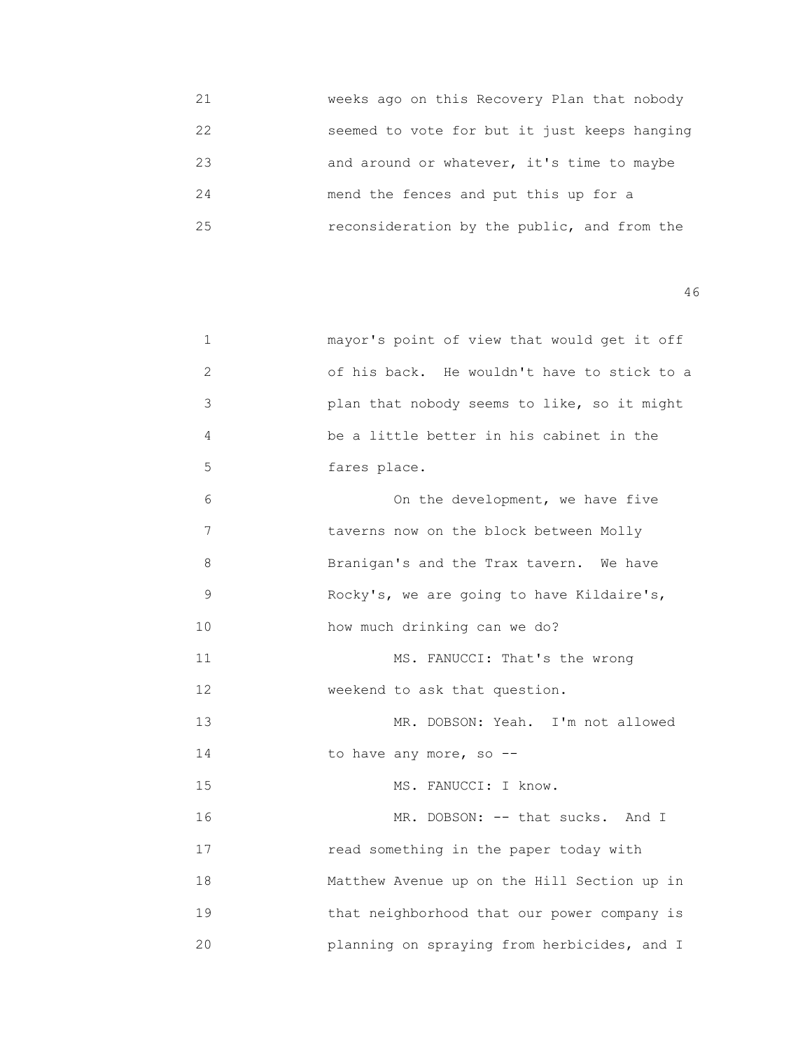| 21 | weeks ago on this Recovery Plan that nobody  |
|----|----------------------------------------------|
| 22 | seemed to vote for but it just keeps hanging |
| 23 | and around or whatever, it's time to maybe   |
| 24 | mend the fences and put this up for a        |
| 25 | reconsideration by the public, and from the  |

| 1            | mayor's point of view that would get it off |
|--------------|---------------------------------------------|
| $\mathbf{2}$ | of his back. He wouldn't have to stick to a |
| 3            | plan that nobody seems to like, so it might |
| 4            | be a little better in his cabinet in the    |
| 5            | fares place.                                |
| 6            | On the development, we have five            |
| 7            | taverns now on the block between Molly      |
| 8            | Branigan's and the Trax tavern. We have     |
| $\mathsf 9$  | Rocky's, we are going to have Kildaire's,   |
| 10           | how much drinking can we do?                |
| 11           | MS. FANUCCI: That's the wrong               |
| 12           | weekend to ask that question.               |
| 13           | MR. DOBSON: Yeah. I'm not allowed           |
| 14           | to have any more, so --                     |
| 15           | MS. FANUCCI: I know.                        |
| 16           | MR. DOBSON: -- that sucks. And I            |
| 17           | read something in the paper today with      |
| 18           | Matthew Avenue up on the Hill Section up in |
| 19           | that neighborhood that our power company is |
| 20           | planning on spraying from herbicides, and I |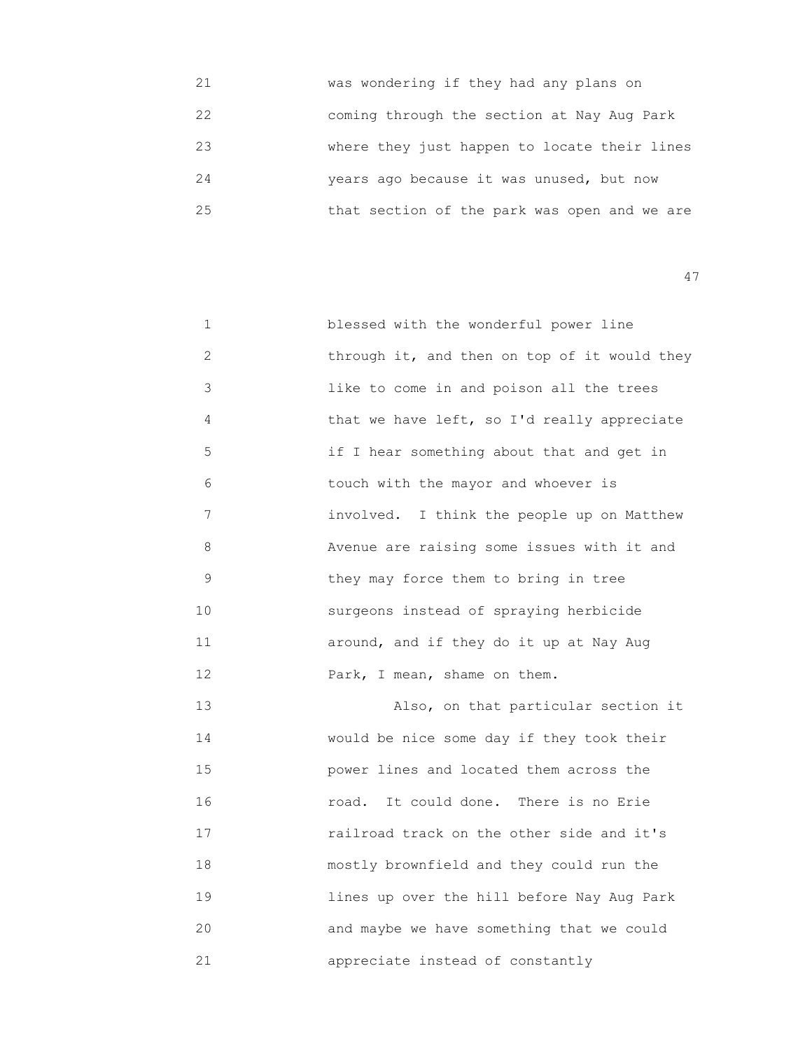| 21 | was wondering if they had any plans on       |
|----|----------------------------------------------|
| 22 | coming through the section at Nay Aug Park   |
| 23 | where they just happen to locate their lines |
| 24 | years ago because it was unused, but now     |
| 25 | that section of the park was open and we are |

| $\mathbf{1}$ | blessed with the wonderful power line        |
|--------------|----------------------------------------------|
| 2            | through it, and then on top of it would they |
| 3            | like to come in and poison all the trees     |
| 4            | that we have left, so I'd really appreciate  |
| 5            | if I hear something about that and get in    |
| 6            | touch with the mayor and whoever is          |
| 7            | involved. I think the people up on Matthew   |
| 8            | Avenue are raising some issues with it and   |
| 9            | they may force them to bring in tree         |
| 10           | surgeons instead of spraying herbicide       |
| 11           | around, and if they do it up at Nay Aug      |
| 12           | Park, I mean, shame on them.                 |
|              |                                              |

 13 Also, on that particular section it 14 would be nice some day if they took their 15 power lines and located them across the 16 road. It could done. There is no Erie 17 railroad track on the other side and it's 18 mostly brownfield and they could run the 19 lines up over the hill before Nay Aug Park 20 and maybe we have something that we could 21 appreciate instead of constantly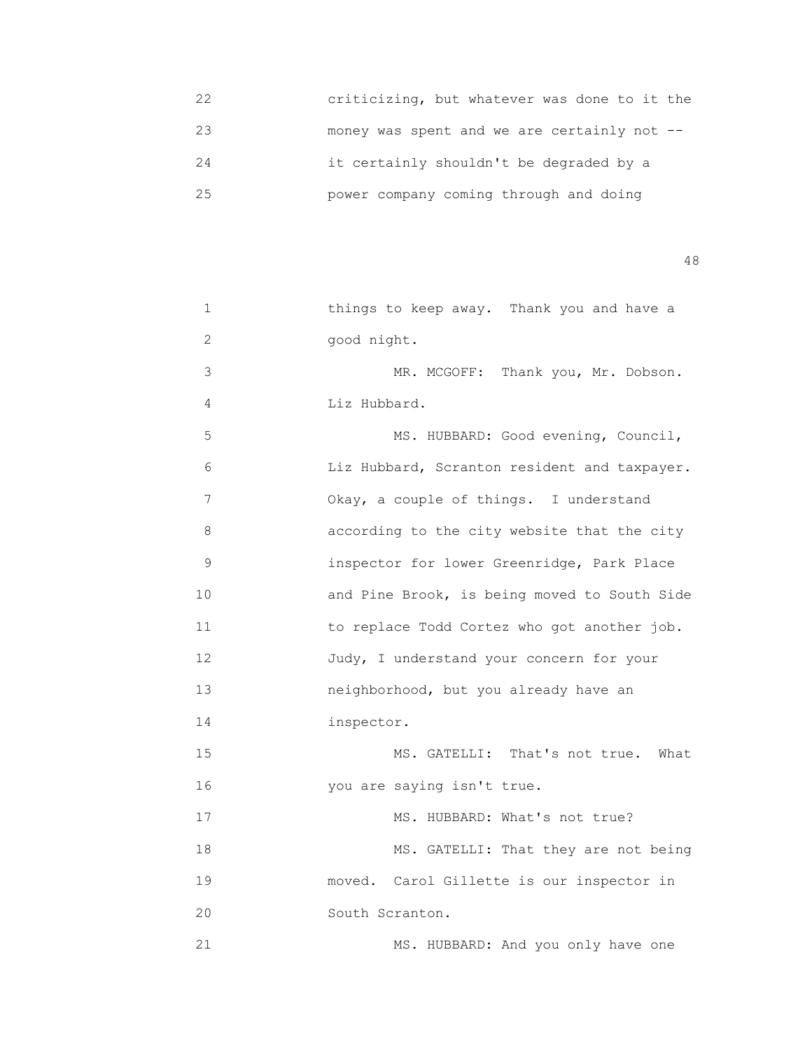| 22 | criticizing, but whatever was done to it the   |
|----|------------------------------------------------|
| 23 | money was spent and we are certainly not $-$ - |
| 24 | it certainly shouldn't be degraded by a        |
| 25 | power company coming through and doing         |

| 1              | things to keep away. Thank you and have a    |
|----------------|----------------------------------------------|
| $\overline{c}$ | good night.                                  |
| 3              | MR. MCGOFF: Thank you, Mr. Dobson.           |
| 4              | Liz Hubbard.                                 |
| 5              | MS. HUBBARD: Good evening, Council,          |
| 6              | Liz Hubbard, Scranton resident and taxpayer. |
| 7              | Okay, a couple of things. I understand       |
| 8              | according to the city website that the city  |
| $\mathsf 9$    | inspector for lower Greenridge, Park Place   |
| 10             | and Pine Brook, is being moved to South Side |
| 11             | to replace Todd Cortez who got another job.  |
| 12             | Judy, I understand your concern for your     |
| 13             | neighborhood, but you already have an        |
| 14             | inspector.                                   |
| 15             | MS. GATELLI: That's not true.<br>What        |
| 16             | you are saying isn't true.                   |
| 17             | MS. HUBBARD: What's not true?                |
| 18             | MS. GATELLI: That they are not being         |
| 19             | moved. Carol Gillette is our inspector in    |
| 20             | South Scranton.                              |
| 21             | MS. HUBBARD: And you only have one           |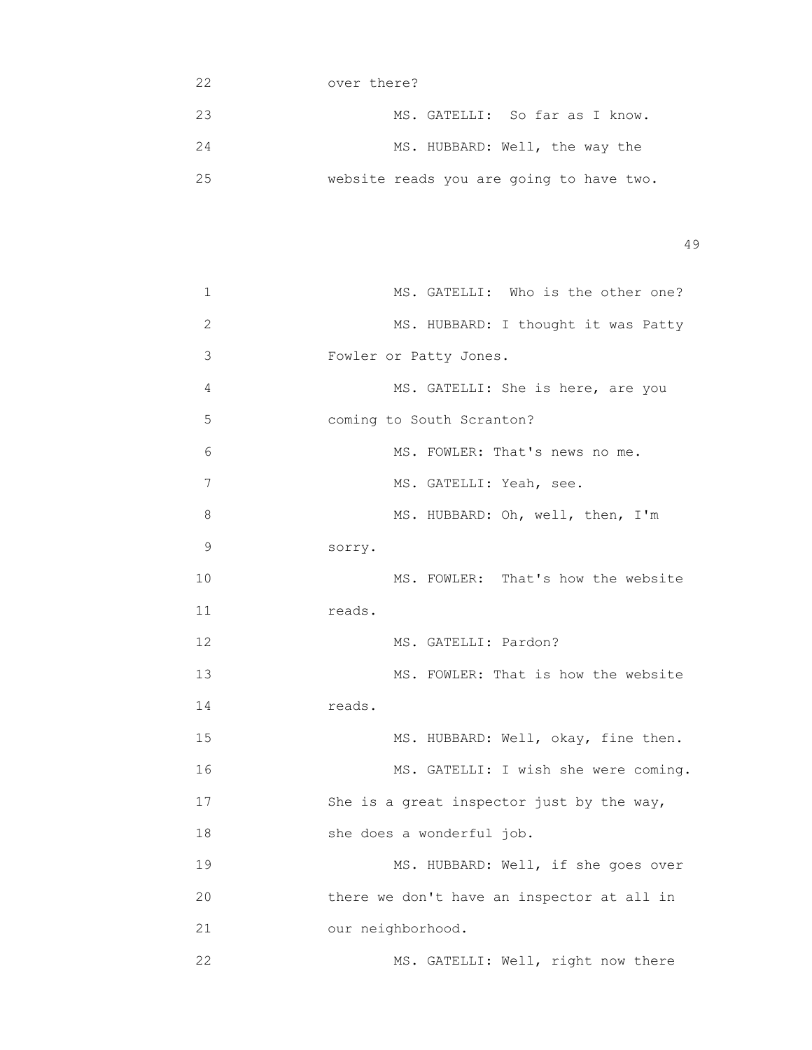|                                          | over there? | クク |
|------------------------------------------|-------------|----|
| MS. GATELLI: So far as I know.           |             | 23 |
| MS. HUBBARD: Well, the way the           |             | 24 |
| website reads you are going to have two. |             | 25 |

| $\mathbf 1$ | MS. GATELLI: Who is the other one?         |
|-------------|--------------------------------------------|
| 2           | MS. HUBBARD: I thought it was Patty        |
| 3           | Fowler or Patty Jones.                     |
| 4           | MS. GATELLI: She is here, are you          |
| 5           | coming to South Scranton?                  |
| 6           | MS. FOWLER: That's news no me.             |
| 7           | MS. GATELLI: Yeah, see.                    |
| 8           | MS. HUBBARD: Oh, well, then, I'm           |
| $\mathsf 9$ | sorry.                                     |
| 10          | MS. FOWLER: That's how the website         |
| 11          | reads.                                     |
| 12          | MS. GATELLI: Pardon?                       |
| 13          | MS. FOWLER: That is how the website        |
| 14          | reads.                                     |
| 15          | MS. HUBBARD: Well, okay, fine then.        |
| 16          | MS. GATELLI: I wish she were coming.       |
| 17          | She is a great inspector just by the way,  |
| 18          | she does a wonderful job.                  |
| 19          | MS. HUBBARD: Well, if she goes over        |
| 20          | there we don't have an inspector at all in |
| 21          | our neighborhood.                          |
| 22          | MS. GATELLI: Well, right now there         |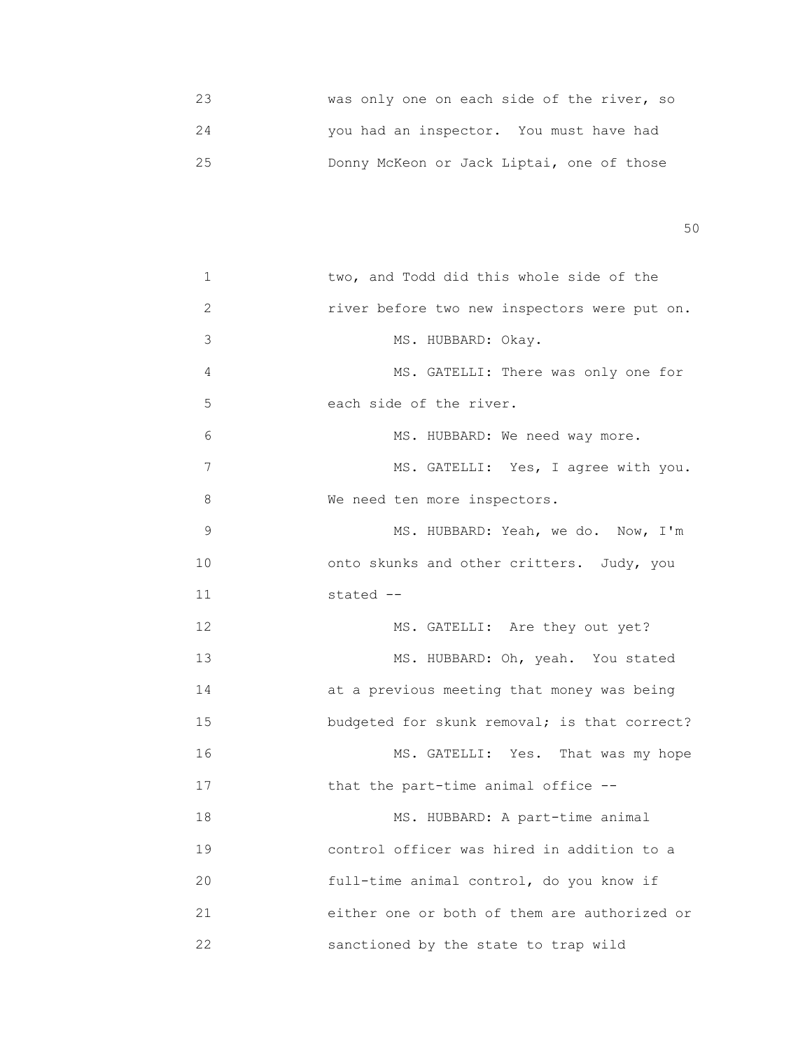23 was only one on each side of the river, so 24 you had an inspector. You must have had 25 Donny McKeon or Jack Liptai, one of those

 $50<sub>50</sub>$ 

| 1  | two, and Todd did this whole side of the     |
|----|----------------------------------------------|
| 2  | river before two new inspectors were put on. |
| 3  | MS. HUBBARD: Okay.                           |
| 4  | MS. GATELLI: There was only one for          |
| 5  | each side of the river.                      |
| 6  | MS. HUBBARD: We need way more.               |
| 7  | MS. GATELLI: Yes, I agree with you.          |
| 8  | We need ten more inspectors.                 |
| 9  | MS. HUBBARD: Yeah, we do. Now, I'm           |
| 10 | onto skunks and other critters. Judy, you    |
| 11 | stated --                                    |
| 12 | MS. GATELLI: Are they out yet?               |
| 13 | MS. HUBBARD: Oh, yeah. You stated            |
| 14 | at a previous meeting that money was being   |
| 15 | budgeted for skunk removal; is that correct? |
| 16 | MS. GATELLI: Yes.<br>That was my hope        |
| 17 | that the part-time animal office --          |
| 18 | MS. HUBBARD: A part-time animal              |
| 19 | control officer was hired in addition to a   |
| 20 | full-time animal control, do you know if     |
| 21 | either one or both of them are authorized or |
| 22 | sanctioned by the state to trap wild         |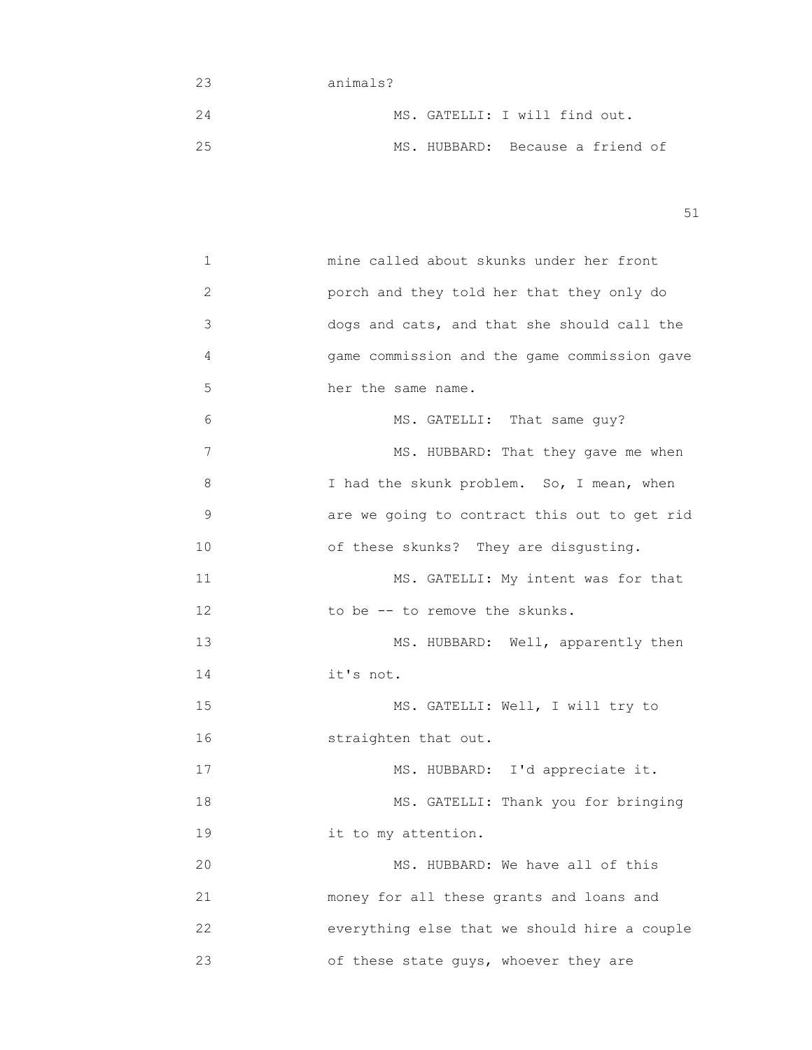- 23 animals? 24 MS. GATELLI: I will find out. 25 MS. HUBBARD: Because a friend of
- $51$

| 1  | mine called about skunks under her front     |
|----|----------------------------------------------|
| 2  | porch and they told her that they only do    |
| 3  | dogs and cats, and that she should call the  |
| 4  | game commission and the game commission gave |
| 5  | her the same name.                           |
| 6  | MS. GATELLI: That same guy?                  |
| 7  | MS. HUBBARD: That they gave me when          |
| 8  | I had the skunk problem. So, I mean, when    |
| 9  | are we going to contract this out to get rid |
| 10 | of these skunks? They are disgusting.        |
| 11 | MS. GATELLI: My intent was for that          |
| 12 | to be -- to remove the skunks.               |
| 13 | MS. HUBBARD: Well, apparently then           |
| 14 | it's not.                                    |
| 15 | MS. GATELLI: Well, I will try to             |
| 16 | straighten that out.                         |
| 17 | MS. HUBBARD: I'd appreciate it.              |
| 18 | MS. GATELLI: Thank you for bringing          |
| 19 | it to my attention.                          |
| 20 | MS. HUBBARD: We have all of this             |
| 21 | money for all these grants and loans and     |
| 22 | everything else that we should hire a couple |
| 23 | of these state guys, whoever they are        |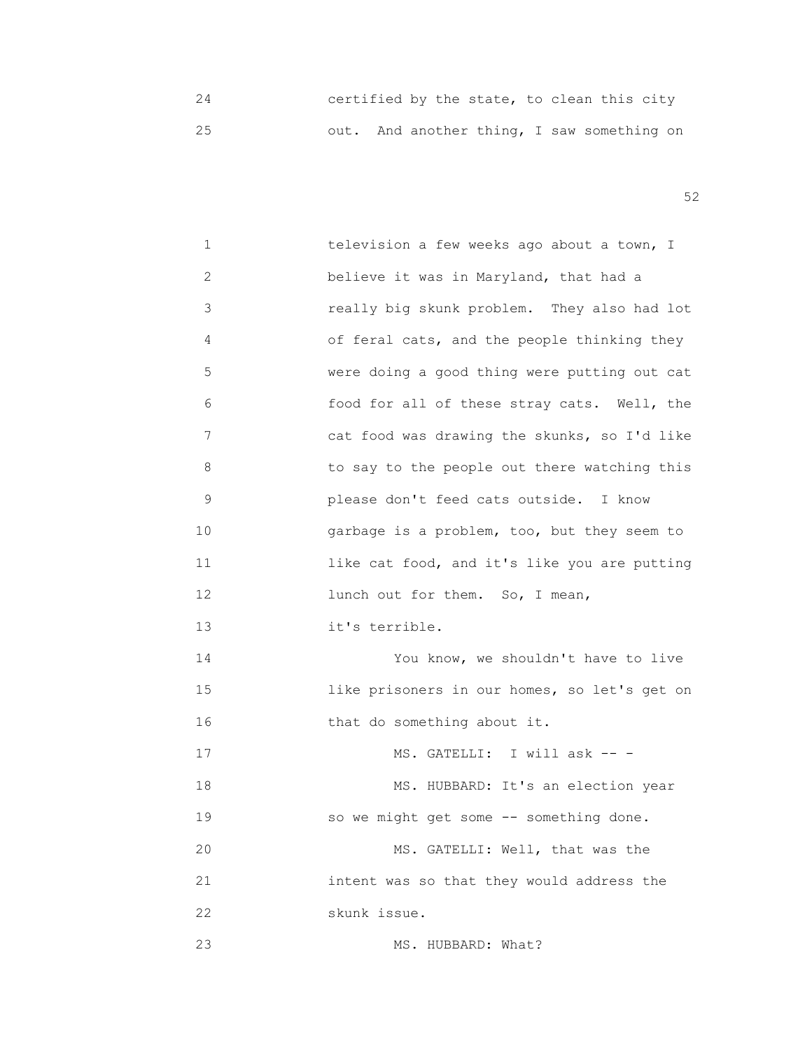24 certified by the state, to clean this city 25 out. And another thing, I saw something on

 $52$ 

 1 television a few weeks ago about a town, I 2 believe it was in Maryland, that had a 3 really big skunk problem. They also had lot 4 of feral cats, and the people thinking they 5 were doing a good thing were putting out cat 6 food for all of these stray cats. Well, the 7 cat food was drawing the skunks, so I'd like 8 to say to the people out there watching this 9 please don't feed cats outside. I know 10 garbage is a problem, too, but they seem to 11 like cat food, and it's like you are putting 12 lunch out for them. So, I mean, 13 it's terrible. 14 You know, we shouldn't have to live 15 15 1ike prisoners in our homes, so let's get on 16 that do something about it. 17 MS. GATELLI: I will ask -- -18 MS. HUBBARD: It's an election year 19 so we might get some -- something done. 20 MS. GATELLI: Well, that was the 21 intent was so that they would address the 22 skunk issue. 23 MS. HUBBARD: What?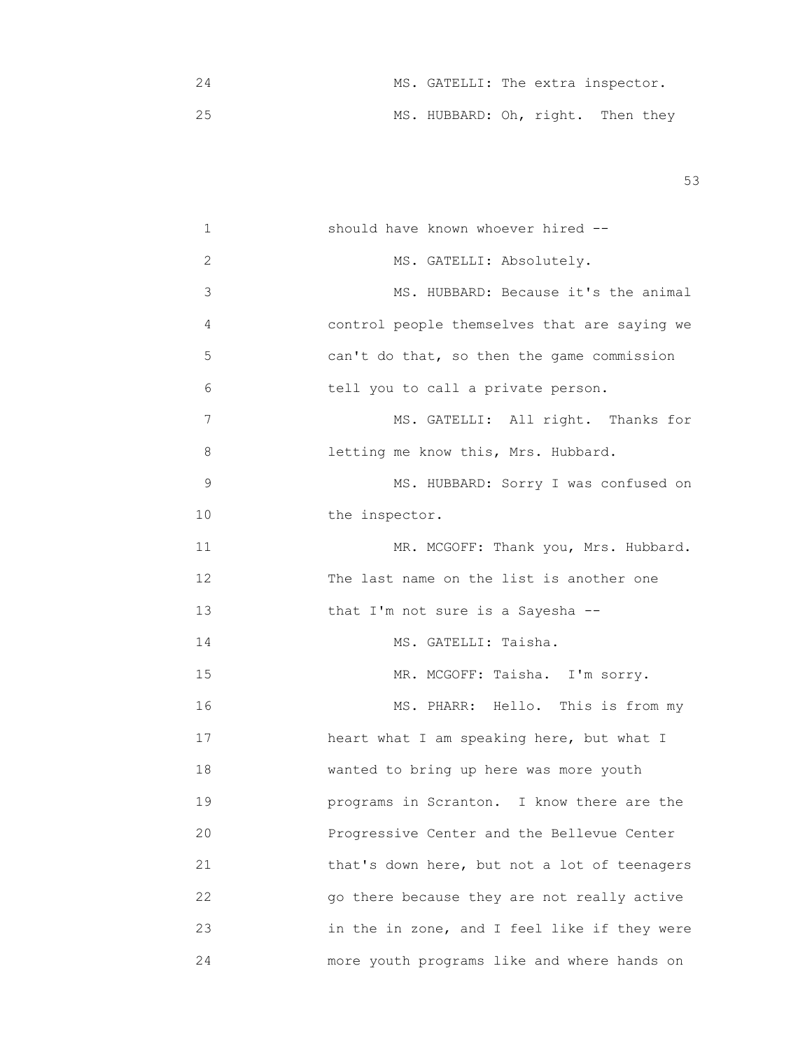|  | MS. GATELLI: The extra inspector. |  |  |
|--|-----------------------------------|--|--|
|  | MS. HUBBARD: Oh, right. Then they |  |  |

| 1  | should have known whoever hired --           |
|----|----------------------------------------------|
| 2  | MS. GATELLI: Absolutely.                     |
| 3  | MS. HUBBARD: Because it's the animal         |
| 4  | control people themselves that are saying we |
| 5  | can't do that, so then the game commission   |
| 6  | tell you to call a private person.           |
| 7  | MS. GATELLI: All right. Thanks for           |
| 8  | letting me know this, Mrs. Hubbard.          |
| 9  | MS. HUBBARD: Sorry I was confused on         |
| 10 | the inspector.                               |
| 11 | MR. MCGOFF: Thank you, Mrs. Hubbard.         |
| 12 | The last name on the list is another one     |
| 13 | that I'm not sure is a Sayesha --            |
| 14 | MS. GATELLI: Taisha.                         |
| 15 | MR. MCGOFF: Taisha. I'm sorry.               |
| 16 | MS. PHARR: Hello. This is from my            |
| 17 | heart what I am speaking here, but what I    |
| 18 | wanted to bring up here was more youth       |
| 19 | programs in Scranton. I know there are the   |
| 20 | Progressive Center and the Bellevue Center   |
| 21 | that's down here, but not a lot of teenagers |
| 22 | go there because they are not really active  |
| 23 | in the in zone, and I feel like if they were |
| 24 | more youth programs like and where hands on  |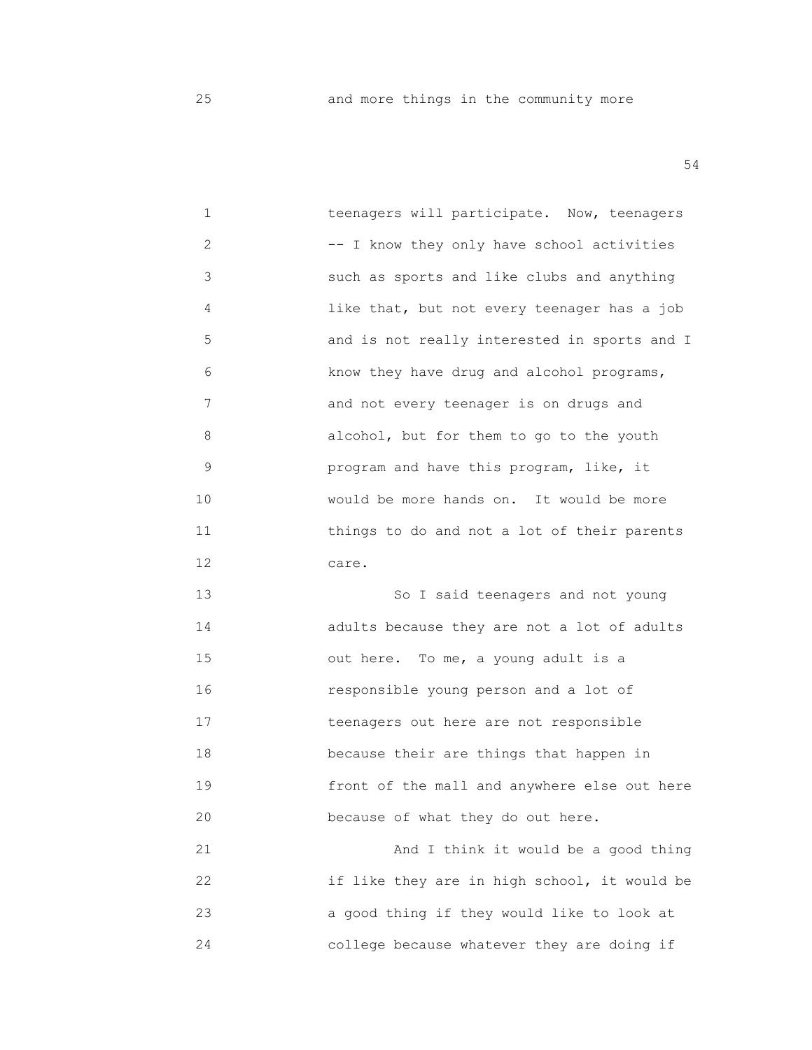25 and more things in the community more

54

1 **1** *Deemagers will participate.* Now, teenagers 2 -- I know they only have school activities 3 such as sports and like clubs and anything 4 like that, but not every teenager has a job 5 and is not really interested in sports and I 6 know they have drug and alcohol programs, 7 **and not every teenager is on drugs and**  8 alcohol, but for them to go to the youth 9 program and have this program, like, it 10 would be more hands on. It would be more 11 things to do and not a lot of their parents 12 care. 13 So I said teenagers and not young

 14 adults because they are not a lot of adults 15 out here. To me, a young adult is a 16 responsible young person and a lot of 17 teenagers out here are not responsible 18 **because their are things that happen in**  19 front of the mall and anywhere else out here 20 **because of what they do out here.** 

 21 And I think it would be a good thing 22 if like they are in high school, it would be 23 a good thing if they would like to look at 24 college because whatever they are doing if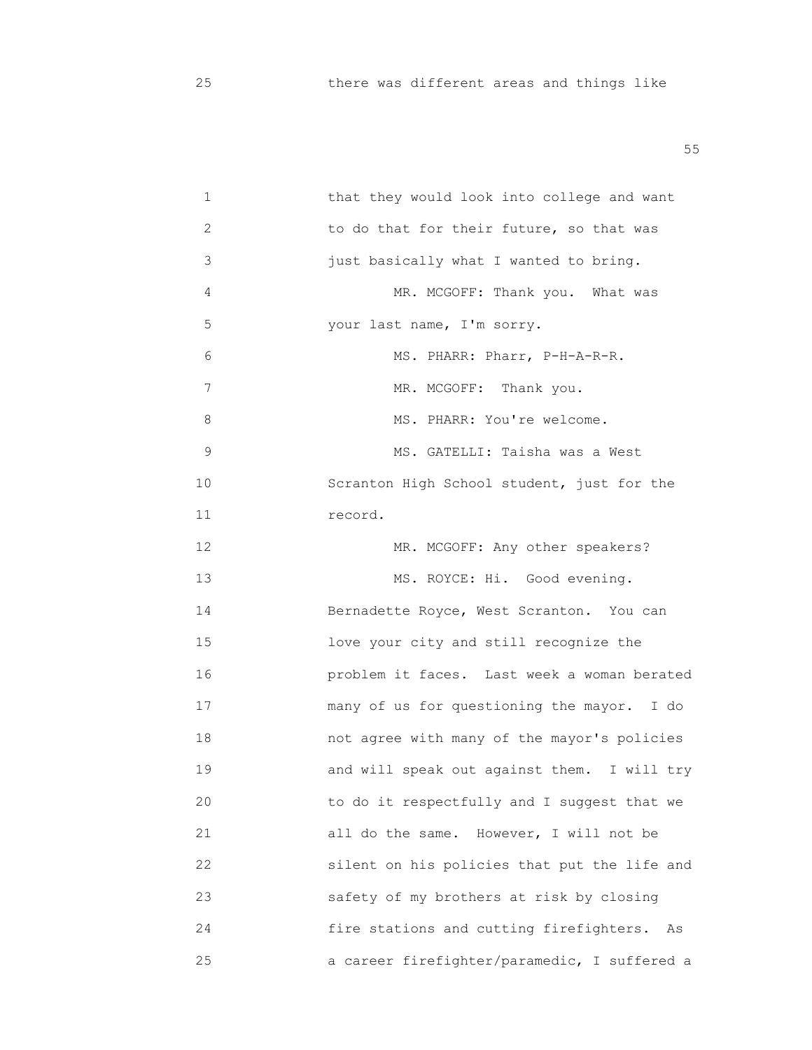1 that they would look into college and want 2 to do that for their future, so that was 3 just basically what I wanted to bring. 4 MR. MCGOFF: Thank you. What was 5 your last name, I'm sorry. 6 MS. PHARR: Pharr, P-H-A-R-R. 7 MR. MCGOFF: Thank you. 8 MS. PHARR: You're welcome. 9 MS. GATELLI: Taisha was a West 10 Scranton High School student, just for the 11 record. 12 MR. MCGOFF: Any other speakers? 13 MS. ROYCE: Hi. Good evening. 14 **Bernadette Royce, West Scranton.** You can 15 love your city and still recognize the 16 problem it faces. Last week a woman berated 17 many of us for questioning the mayor. I do 18 not agree with many of the mayor's policies 19 **and will speak out against them.** I will try 20 to do it respectfully and I suggest that we 21 all do the same. However, I will not be 22 silent on his policies that put the life and 23 safety of my brothers at risk by closing 24 fire stations and cutting firefighters. As 25 a career firefighter/paramedic, I suffered a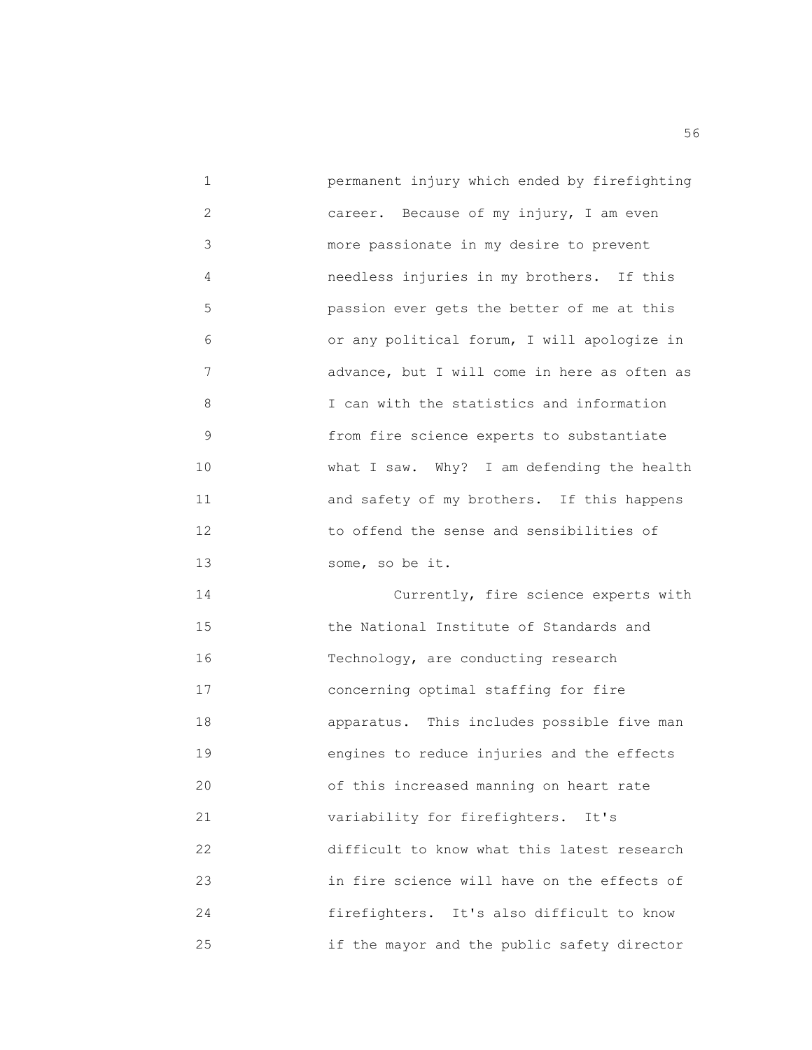| 1              | permanent injury which ended by firefighting |
|----------------|----------------------------------------------|
| $\overline{2}$ | career. Because of my injury, I am even      |
| 3              | more passionate in my desire to prevent      |
| 4              | needless injuries in my brothers. If this    |
| 5              | passion ever gets the better of me at this   |
| 6              | or any political forum, I will apologize in  |
| 7              | advance, but I will come in here as often as |
| 8              | I can with the statistics and information    |
| 9              | from fire science experts to substantiate    |
| 10             | what I saw. Why? I am defending the health   |
| 11             | and safety of my brothers. If this happens   |
| 12             | to offend the sense and sensibilities of     |
| 13             | some, so be it.                              |
| 14             | Currently, fire science experts with         |
| 15             | the National Institute of Standards and      |
| 16             | Technology, are conducting research          |
| 17             | concerning optimal staffing for fire         |
| 18             | apparatus. This includes possible five man   |
| 19             | engines to reduce injuries and the effects   |
| 20             | of this increased manning on heart rate      |
| 21             | variability for firefighters.<br>It's        |
| 22             | difficult to know what this latest research  |
| 23             | in fire science will have on the effects of  |
| 24             | firefighters. It's also difficult to know    |
| 25             | if the mayor and the public safety director  |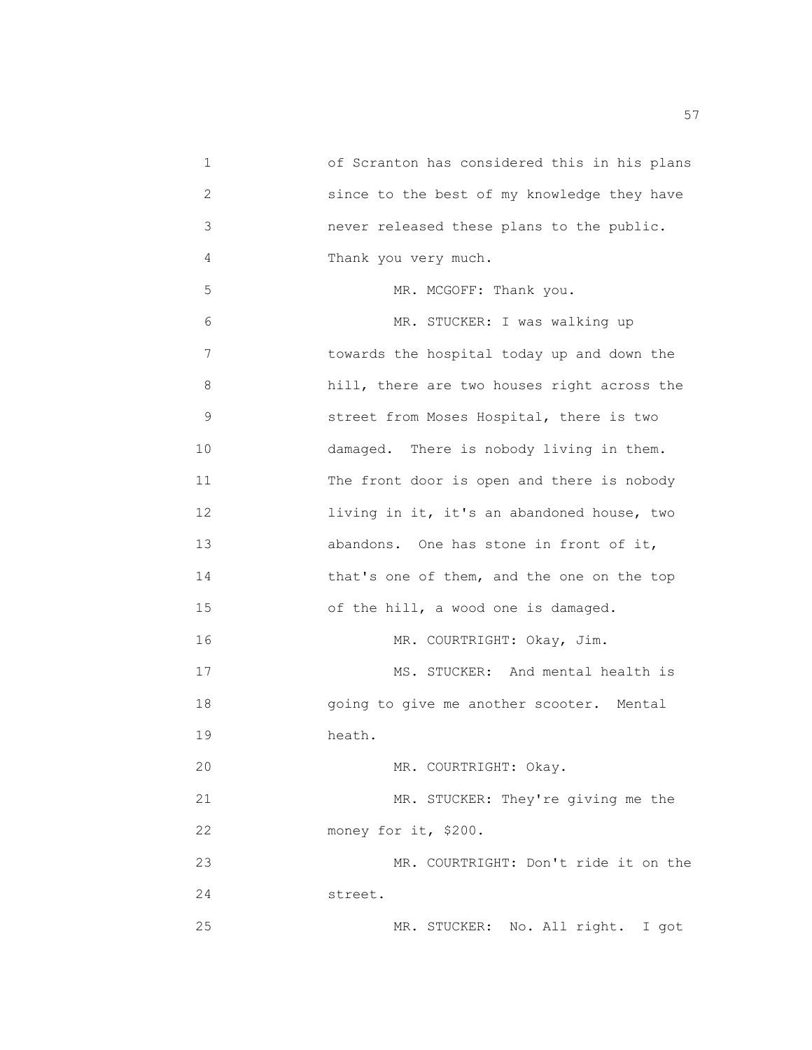1 of Scranton has considered this in his plans 2 since to the best of my knowledge they have 3 never released these plans to the public. 4 Thank you very much. 5 MR. MCGOFF: Thank you. 6 MR. STUCKER: I was walking up 7 towards the hospital today up and down the 8 hill, there are two houses right across the 9 street from Moses Hospital, there is two 10 damaged. There is nobody living in them. 11 The front door is open and there is nobody 12 living in it, it's an abandoned house, two 13 abandons. One has stone in front of it, 14 that's one of them, and the one on the top 15 of the hill, a wood one is damaged. 16 MR. COURTRIGHT: Okay, Jim. 17 MS. STUCKER: And mental health is 18 going to give me another scooter. Mental 19 heath. 20 MR. COURTRIGHT: Okay. 21 MR. STUCKER: They're giving me the 22 money for it, \$200. 23 MR. COURTRIGHT: Don't ride it on the 24 street. 25 MR. STUCKER: No. All right. I got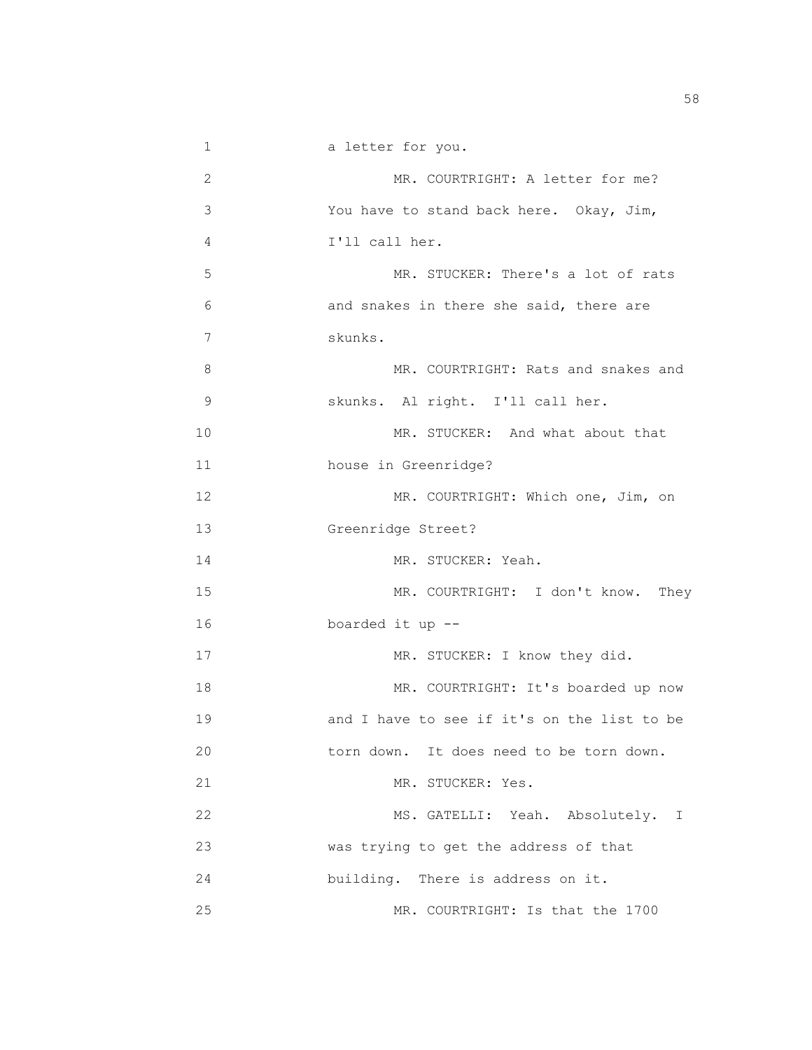1 a letter for you. 2 MR. COURTRIGHT: A letter for me? 3 You have to stand back here. Okay, Jim, 4 I'll call her. 5 MR. STUCKER: There's a lot of rats 6 and snakes in there she said, there are 7 skunks. 8 MR. COURTRIGHT: Rats and snakes and 9 skunks. Al right. I'll call her. 10 MR. STUCKER: And what about that 11 house in Greenridge? 12 MR. COURTRIGHT: Which one, Jim, on 13 Greenridge Street? 14 MR. STUCKER: Yeah. 15 MR. COURTRIGHT: I don't know. They 16 boarded it up -- 17 MR. STUCKER: I know they did. 18 MR. COURTRIGHT: It's boarded up now 19 and I have to see if it's on the list to be 20 torn down. It does need to be torn down. 21 MR. STUCKER: Yes. 22 MS. GATELLI: Yeah. Absolutely. I 23 was trying to get the address of that 24 building. There is address on it. 25 MR. COURTRIGHT: Is that the 1700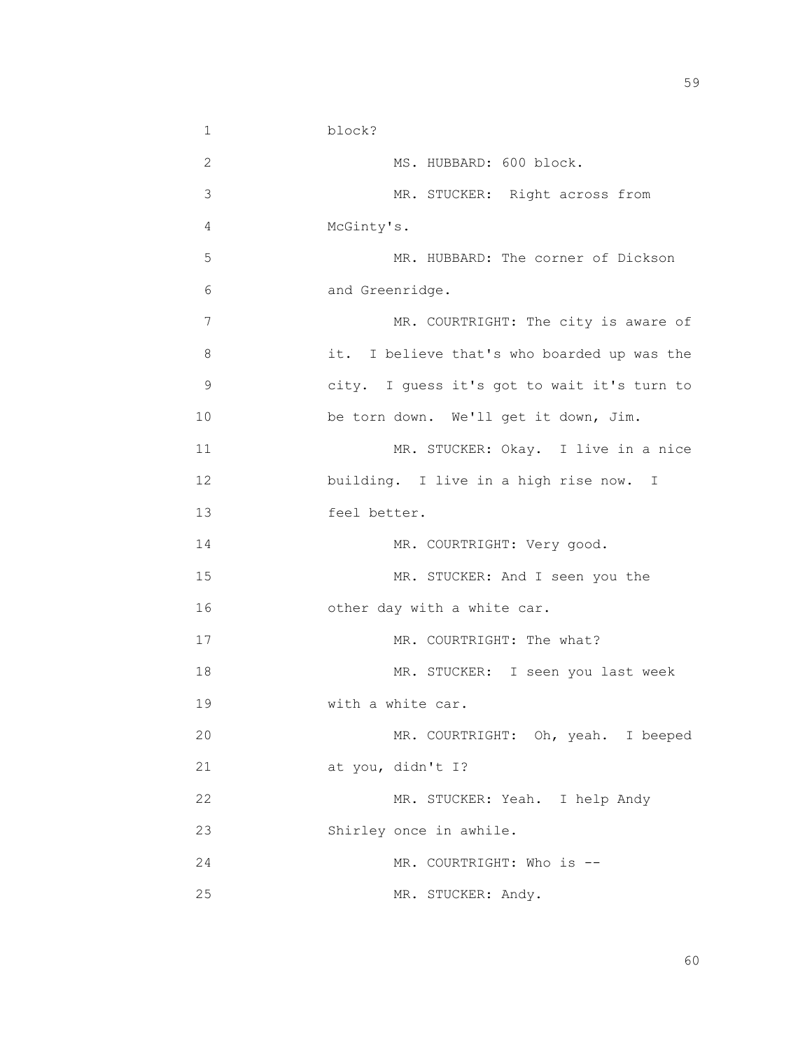1 block? 2 MS. HUBBARD: 600 block. 3 MR. STUCKER: Right across from 4 McGinty's. 5 MR. HUBBARD: The corner of Dickson 6 and Greenridge. 7 MR. COURTRIGHT: The city is aware of 8 it. I believe that's who boarded up was the 9 city. I guess it's got to wait it's turn to 10 be torn down. We'll get it down, Jim. 11 MR. STUCKER: Okay. I live in a nice 12 **building.** I live in a high rise now. I 13 feel better. 14 MR. COURTRIGHT: Very good. 15 MR. STUCKER: And I seen you the 16 other day with a white car. 17 MR. COURTRIGHT: The what? 18 MR. STUCKER: I seen you last week 19 With a white car. 20 MR. COURTRIGHT: Oh, yeah. I beeped 21 at you, didn't I? 22 MR. STUCKER: Yeah. I help Andy 23 Shirley once in awhile. 24 MR. COURTRIGHT: Who is --25 MR. STUCKER: Andy.

 $59$ 

 $\sim$  60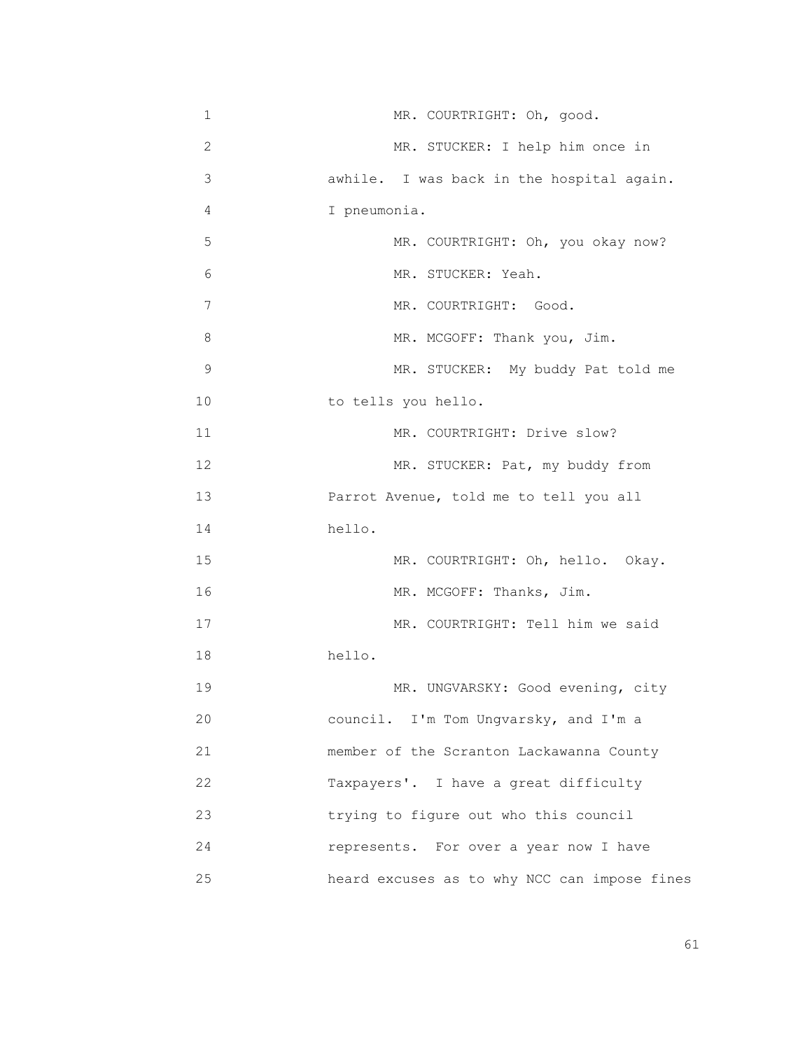| 1  | MR. COURTRIGHT: Oh, good.                    |
|----|----------------------------------------------|
| 2  | MR. STUCKER: I help him once in              |
| 3  | awhile. I was back in the hospital again.    |
| 4  | I pneumonia.                                 |
| 5  | MR. COURTRIGHT: Oh, you okay now?            |
| 6  | MR. STUCKER: Yeah.                           |
| 7  | MR. COURTRIGHT: Good.                        |
| 8  | MR. MCGOFF: Thank you, Jim.                  |
| 9  | MR. STUCKER: My buddy Pat told me            |
| 10 | to tells you hello.                          |
| 11 | MR. COURTRIGHT: Drive slow?                  |
| 12 | MR. STUCKER: Pat, my buddy from              |
| 13 | Parrot Avenue, told me to tell you all       |
| 14 | hello.                                       |
| 15 | MR. COURTRIGHT: Oh, hello. Okay.             |
| 16 | MR. MCGOFF: Thanks, Jim.                     |
| 17 | MR. COURTRIGHT: Tell him we said             |
| 18 | hello.                                       |
| 19 | MR. UNGVARSKY: Good evening, city            |
| 20 | council. I'm Tom Ungvarsky, and I'm a        |
| 21 | member of the Scranton Lackawanna County     |
| 22 | Taxpayers'. I have a great difficulty        |
| 23 | trying to figure out who this council        |
| 24 | represents. For over a year now I have       |
| 25 | heard excuses as to why NCC can impose fines |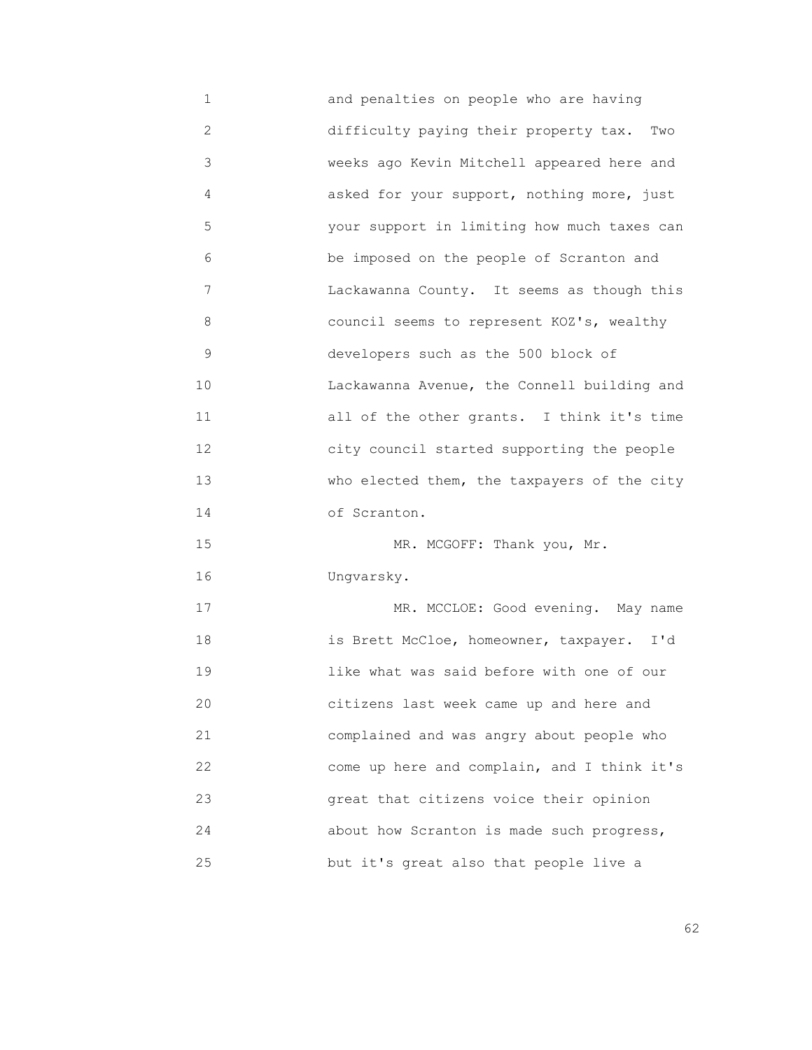1 and penalties on people who are having 2 difficulty paying their property tax. Two 3 weeks ago Kevin Mitchell appeared here and 4 asked for your support, nothing more, just 5 your support in limiting how much taxes can 6 be imposed on the people of Scranton and 7 Lackawanna County. It seems as though this 8 council seems to represent KOZ's, wealthy 9 developers such as the 500 block of 10 Lackawanna Avenue, the Connell building and 11 all of the other grants. I think it's time 12 city council started supporting the people 13 Who elected them, the taxpayers of the city 14 of Scranton. 15 MR. MCGOFF: Thank you, Mr. 16 Ungvarsky. 17 MR. MCCLOE: Good evening. May name 18 is Brett McCloe, homeowner, taxpayer. I'd 19 like what was said before with one of our 20 citizens last week came up and here and 21 complained and was angry about people who 22 come up here and complain, and I think it's 23 great that citizens voice their opinion 24 about how Scranton is made such progress, 25 but it's great also that people live a

 $\sim$  62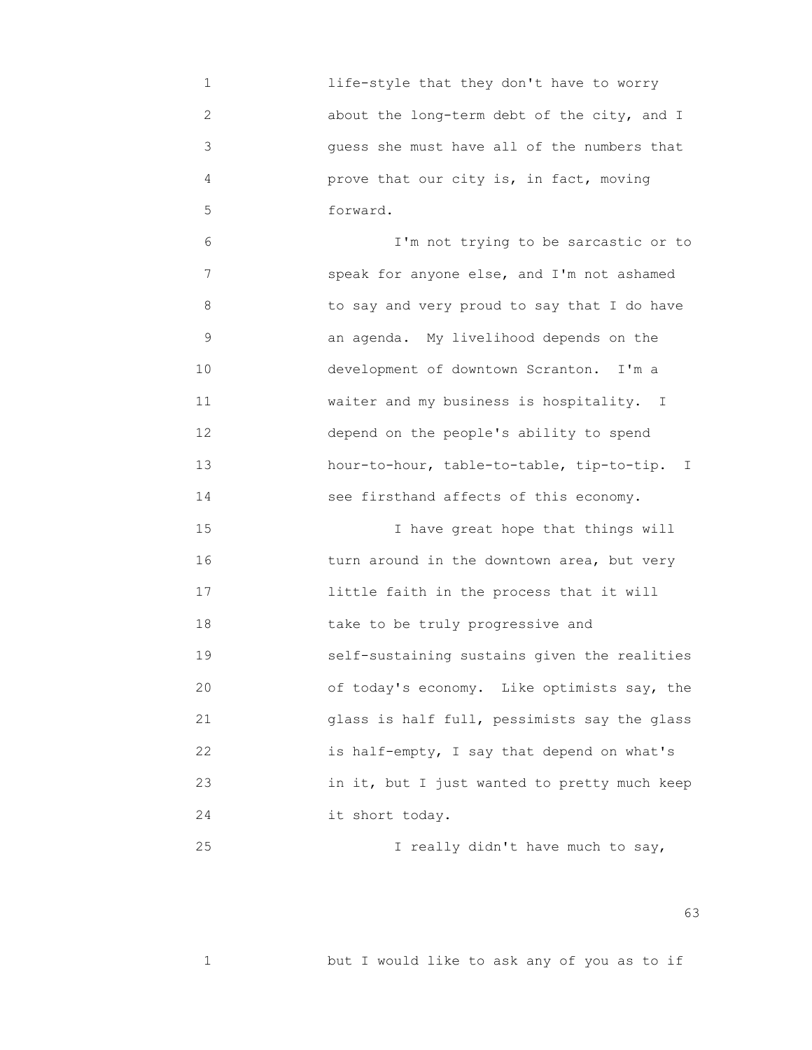1 life-style that they don't have to worry 2 about the long-term debt of the city, and I 3 guess she must have all of the numbers that 4 prove that our city is, in fact, moving 5 forward.

 6 I'm not trying to be sarcastic or to 7 speak for anyone else, and I'm not ashamed 8 to say and very proud to say that I do have 9 an agenda. My livelihood depends on the 10 development of downtown Scranton. I'm a 11 **WARER WAS WAS MEET AND MARKET METALLET AND MARKET MARKET MARKET MARKET MARKET MARKET MARKET MARKET MARKET**  12 depend on the people's ability to spend 13 hour-to-hour, table-to-table, tip-to-tip. I 14 see firsthand affects of this economy.

 15 I have great hope that things will 16 turn around in the downtown area, but very 17 little faith in the process that it will 18 take to be truly progressive and 19 self-sustaining sustains given the realities 20 of today's economy. Like optimists say, the 21 glass is half full, pessimists say the glass 22 is half-empty, I say that depend on what's 23 in it, but I just wanted to pretty much keep 24 it short today.

25 I really didn't have much to say,

 $\sim$  63

1 but I would like to ask any of you as to if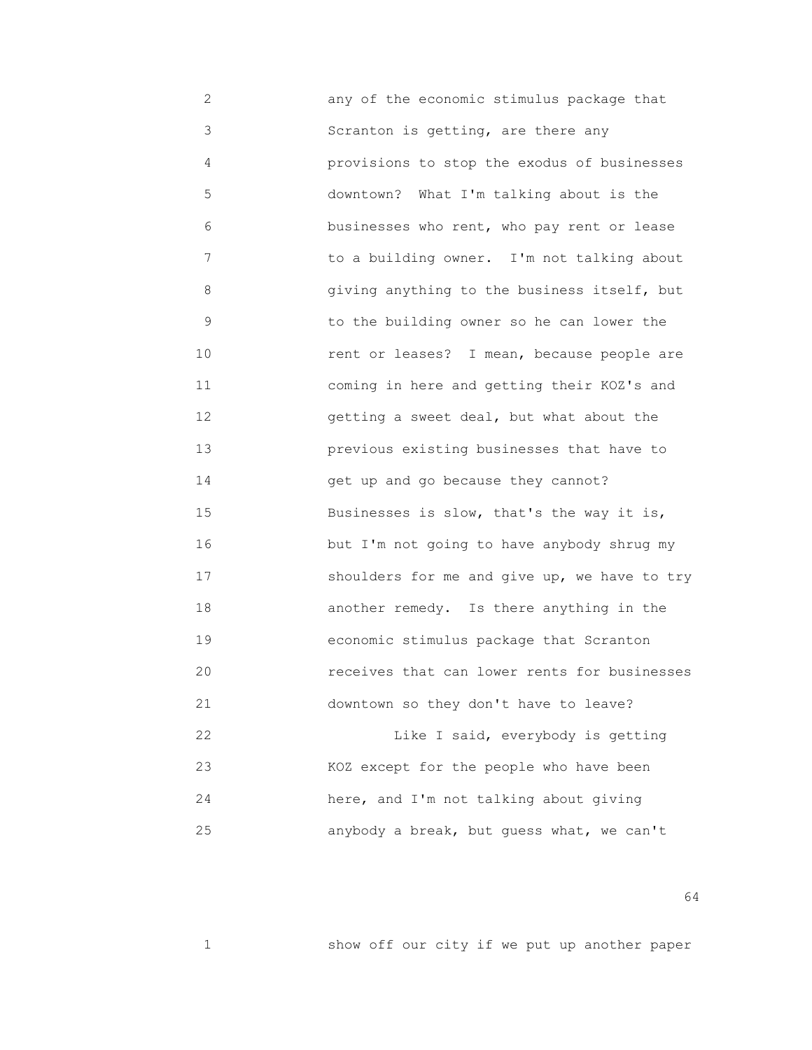2 any of the economic stimulus package that 3 Scranton is getting, are there any 4 provisions to stop the exodus of businesses 5 downtown? What I'm talking about is the 6 businesses who rent, who pay rent or lease 7 to a building owner. I'm not talking about 8 giving anything to the business itself, but 9 to the building owner so he can lower the 10 rent or leases? I mean, because people are 11 coming in here and getting their KOZ's and 12 getting a sweet deal, but what about the 13 previous existing businesses that have to 14 get up and go because they cannot? 15 Businesses is slow, that's the way it is, 16 but I'm not going to have anybody shrug my 17 shoulders for me and give up, we have to try 18 another remedy. Is there anything in the 19 economic stimulus package that Scranton 20 receives that can lower rents for businesses 21 downtown so they don't have to leave? 22 Like I said, everybody is getting 23 KOZ except for the people who have been 24 here, and I'm not talking about giving 25 anybody a break, but guess what, we can't

 $64$ 

1 show off our city if we put up another paper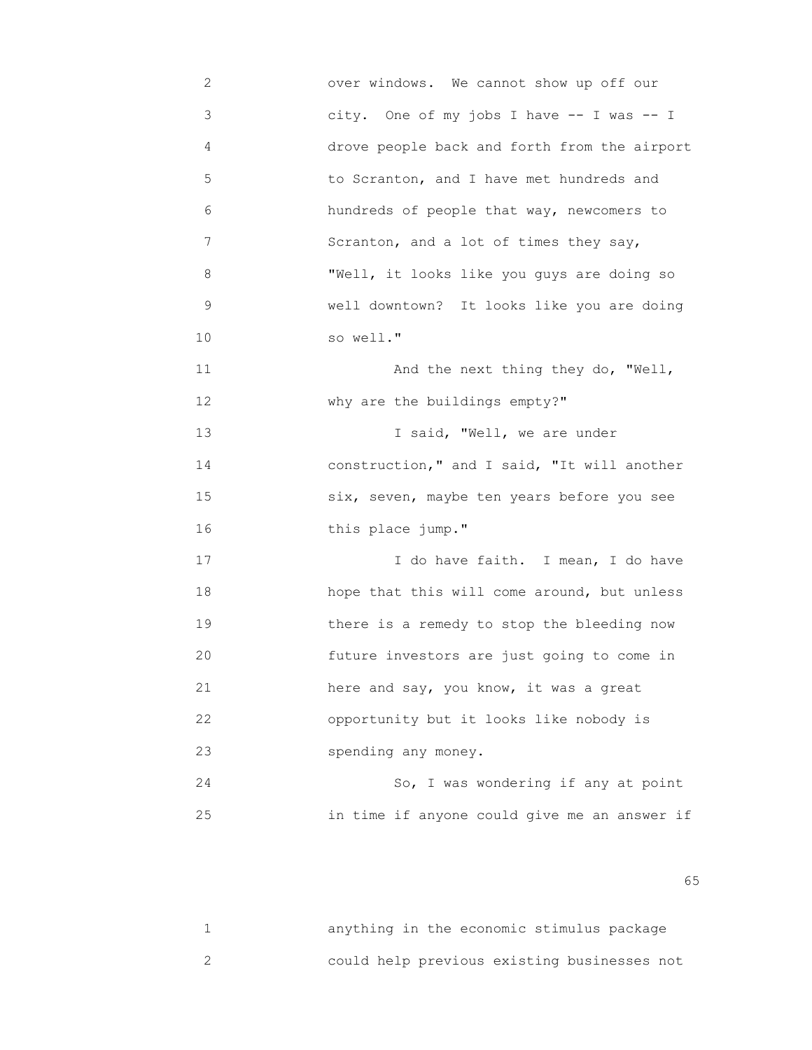2 over windows. We cannot show up off our 3 city. One of my jobs I have -- I was -- I 4 drove people back and forth from the airport 5 to Scranton, and I have met hundreds and 6 hundreds of people that way, newcomers to 7 Scranton, and a lot of times they say, 8 "Well, it looks like you guys are doing so 9 well downtown? It looks like you are doing 10 so well." 11 And the next thing they do, "Well, 12 why are the buildings empty?" 13 I said, "Well, we are under 14 construction," and I said, "It will another 15 six, seven, maybe ten years before you see 16 **this place jump."** 17 17 I do have faith. I mean, I do have 18 hope that this will come around, but unless 19 there is a remedy to stop the bleeding now 20 future investors are just going to come in 21 here and say, you know, it was a great 22 opportunity but it looks like nobody is 23 spending any money. 24 So, I was wondering if any at point

25 in time if anyone could give me an answer if

 $\sim$  65

| anything in the economic stimulus package   |  |  |  |  |
|---------------------------------------------|--|--|--|--|
| could help previous existing businesses not |  |  |  |  |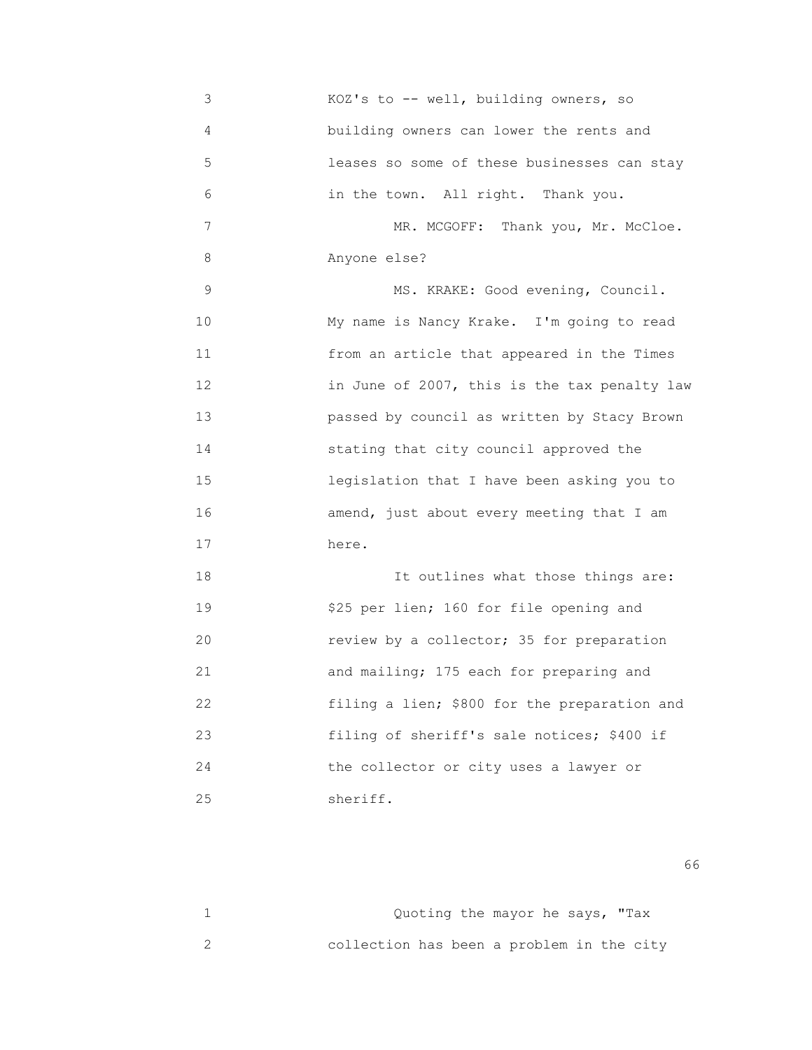3 KOZ's to -- well, building owners, so 4 building owners can lower the rents and 5 leases so some of these businesses can stay 6 in the town. All right. Thank you. 7 MR. MCGOFF: Thank you, Mr. McCloe. 8 Anyone else? 9 MS. KRAKE: Good evening, Council. 10 My name is Nancy Krake. I'm going to read 11 from an article that appeared in the Times 12 in June of 2007, this is the tax penalty law 13 passed by council as written by Stacy Brown 14 stating that city council approved the 15 legislation that I have been asking you to 16 amend, just about every meeting that I am 17 here. 18 It outlines what those things are: 19 \$25 per lien; 160 for file opening and 20 review by a collector; 35 for preparation 21 and mailing; 175 each for preparing and 22 filing a lien; \$800 for the preparation and 23 filing of sheriff's sale notices; \$400 if 24 the collector or city uses a lawyer or

25 sheriff.

 $\sim$  66

|                                           |  | Quoting the mayor he says, "Tax |  |
|-------------------------------------------|--|---------------------------------|--|
| collection has been a problem in the city |  |                                 |  |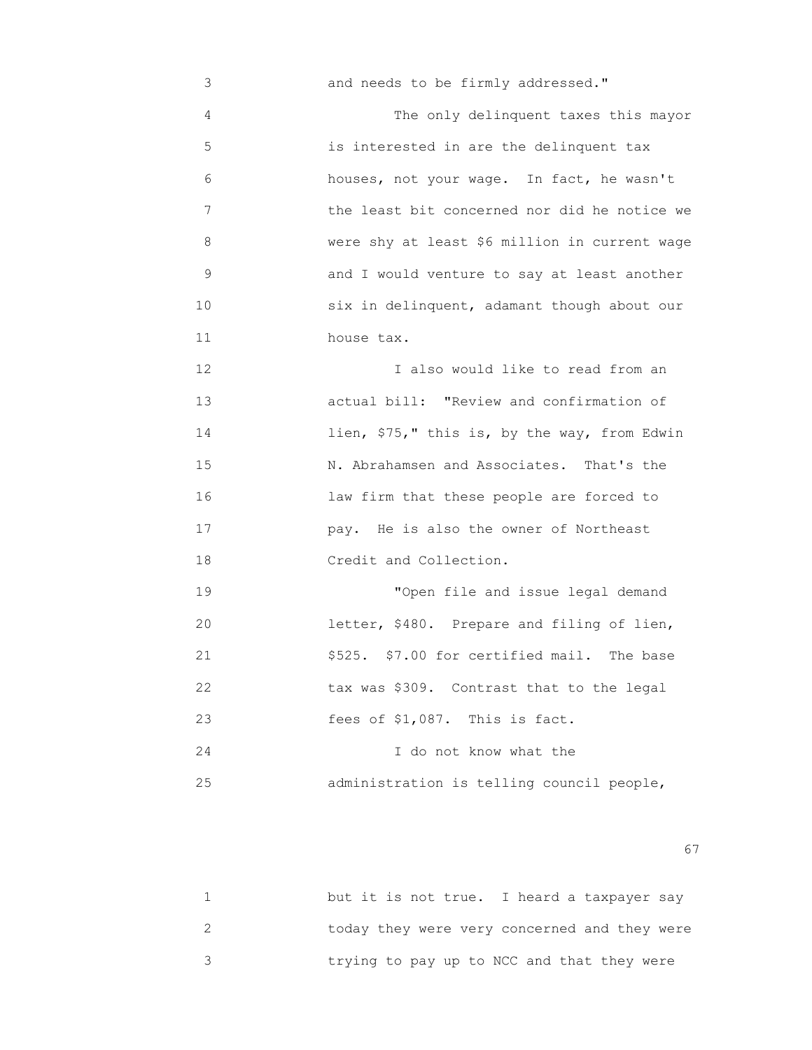3 and needs to be firmly addressed." 4 The only delinquent taxes this mayor 5 is interested in are the delinquent tax 6 houses, not your wage. In fact, he wasn't 7 the least bit concerned nor did he notice we 8 were shy at least \$6 million in current wage 9 and I would venture to say at least another 10 six in delinquent, adamant though about our 11 house tax. 12 I also would like to read from an 13 actual bill: "Review and confirmation of 14 lien, \$75," this is, by the way, from Edwin 15 N. Abrahamsen and Associates. That's the 16 law firm that these people are forced to 17 pay. He is also the owner of Northeast 18 Credit and Collection. 19 "Open file and issue legal demand 20 **1** letter, \$480. Prepare and filing of lien, 21 \$525. \$7.00 for certified mail. The base 22 tax was \$309. Contrast that to the legal 23 fees of \$1,087. This is fact. 24 I do not know what the 25 administration is telling council people,

experience of the contract of the contract of the contract of the contract of the contract of the contract of the contract of the contract of the contract of the contract of the contract of the contract of the contract of

| but it is not true. I heard a taxpayer say   |  |
|----------------------------------------------|--|
| today they were very concerned and they were |  |
| trying to pay up to NCC and that they were   |  |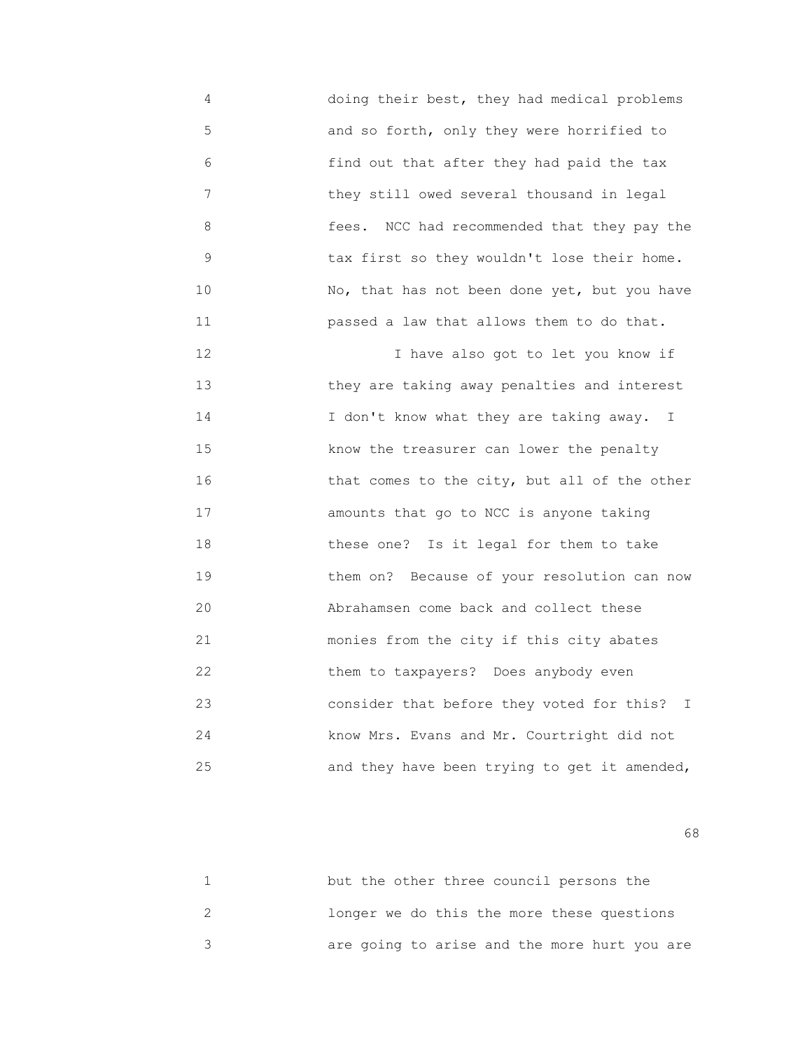4 doing their best, they had medical problems 5 and so forth, only they were horrified to 6 find out that after they had paid the tax 7 they still owed several thousand in legal 8 fees. NCC had recommended that they pay the 9 tax first so they wouldn't lose their home. 10 No, that has not been done yet, but you have 11 passed a law that allows them to do that.

 12 I have also got to let you know if 13 they are taking away penalties and interest 14 **I** don't know what they are taking away. I 15 know the treasurer can lower the penalty 16 that comes to the city, but all of the other 17 amounts that go to NCC is anyone taking 18 these one? Is it legal for them to take 19 them on? Because of your resolution can now 20 Abrahamsen come back and collect these 21 monies from the city if this city abates 22 them to taxpayers? Does anybody even 23 consider that before they voted for this? I 24 know Mrs. Evans and Mr. Courtright did not 25 **and they have been trying to get it amended,** 

 $\sim$  68

| but the other three council persons the      |
|----------------------------------------------|
| longer we do this the more these questions   |
| are going to arise and the more hurt you are |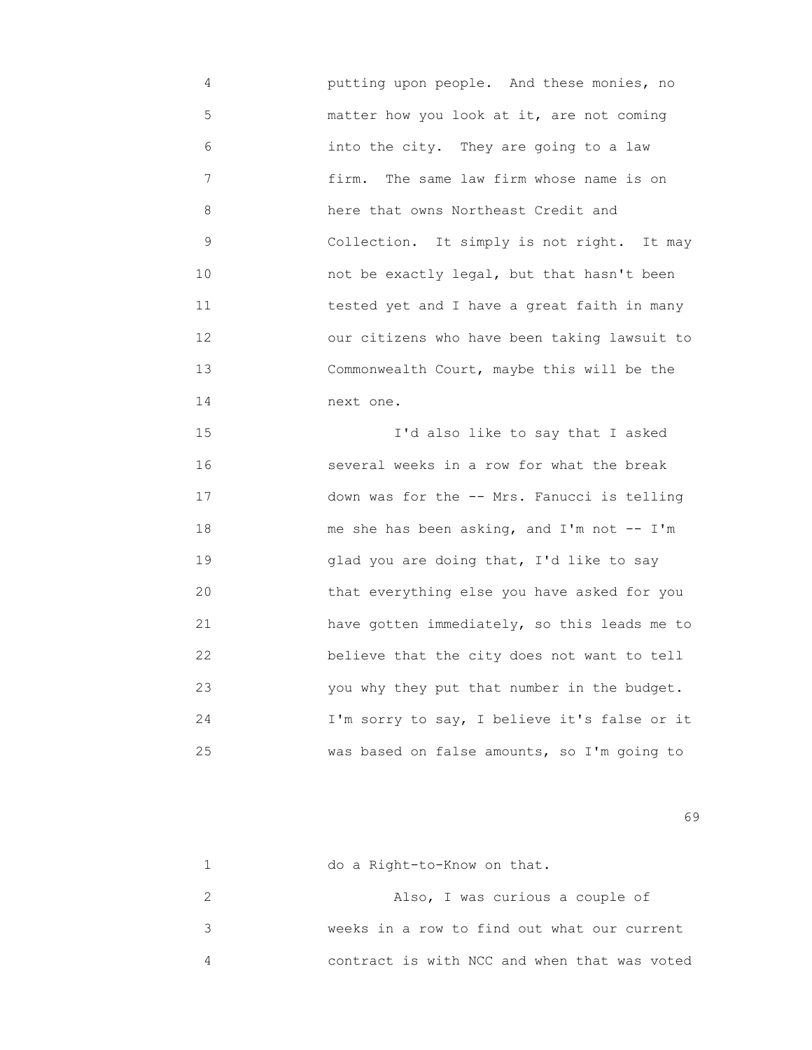4 putting upon people. And these monies, no 5 matter how you look at it, are not coming 6 into the city. They are going to a law 7 firm. The same law firm whose name is on 8 here that owns Northeast Credit and 9 Collection. It simply is not right. It may 10 not be exactly legal, but that hasn't been 11 tested yet and I have a great faith in many 12 our citizens who have been taking lawsuit to 13 Commonwealth Court, maybe this will be the 14 next one.

 15 I'd also like to say that I asked 16 several weeks in a row for what the break 17 down was for the -- Mrs. Fanucci is telling 18 me she has been asking, and I'm not -- I'm 19 glad you are doing that, I'd like to say 20 that everything else you have asked for you 21 have gotten immediately, so this leads me to 22 believe that the city does not want to tell 23 you why they put that number in the budget. 24 I'm sorry to say, I believe it's false or it 25 was based on false amounts, so I'm going to

 $\sim$  69

| do a Right-to-Know on that.                  |
|----------------------------------------------|
| Also, I was curious a couple of              |
| weeks in a row to find out what our current  |
| contract is with NCC and when that was voted |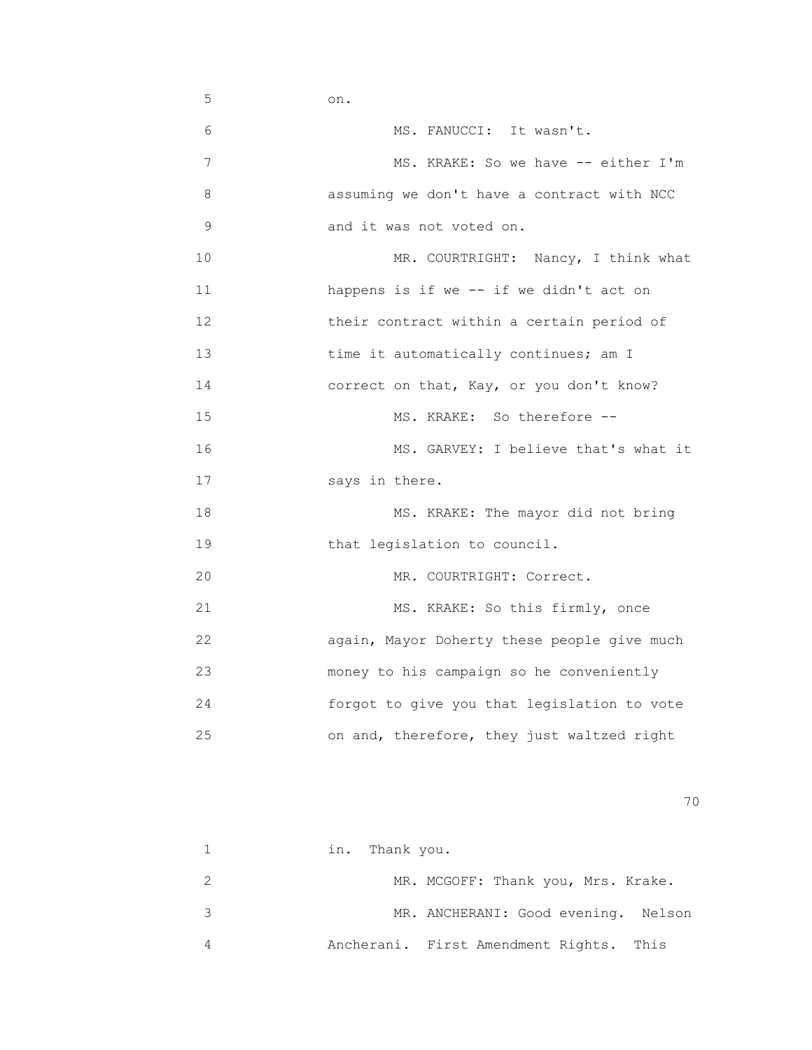$5$  on. 6 MS. FANUCCI: It wasn't. 7 MS. KRAKE: So we have -- either I'm 8 assuming we don't have a contract with NCC 9 and it was not voted on. 10 MR. COURTRIGHT: Nancy, I think what 11 happens is if we -- if we didn't act on 12 **their contract within a certain period of**  13 time it automatically continues; am I 14 correct on that, Kay, or you don't know? 15 MS. KRAKE: So therefore -- 16 MS. GARVEY: I believe that's what it 17 says in there. 18 MS. KRAKE: The mayor did not bring 19 that legislation to council. 20 MR. COURTRIGHT: Correct. 21 MS. KRAKE: So this firmly, once 22 again, Mayor Doherty these people give much 23 money to his campaign so he conveniently 24 forgot to give you that legislation to vote 25 on and, therefore, they just waltzed right

| in. Thank you.                          |
|-----------------------------------------|
| MR. MCGOFF: Thank you, Mrs. Krake.      |
| MR. ANCHERANI: Good evening. Nelson     |
| Ancherani. First Amendment Rights. This |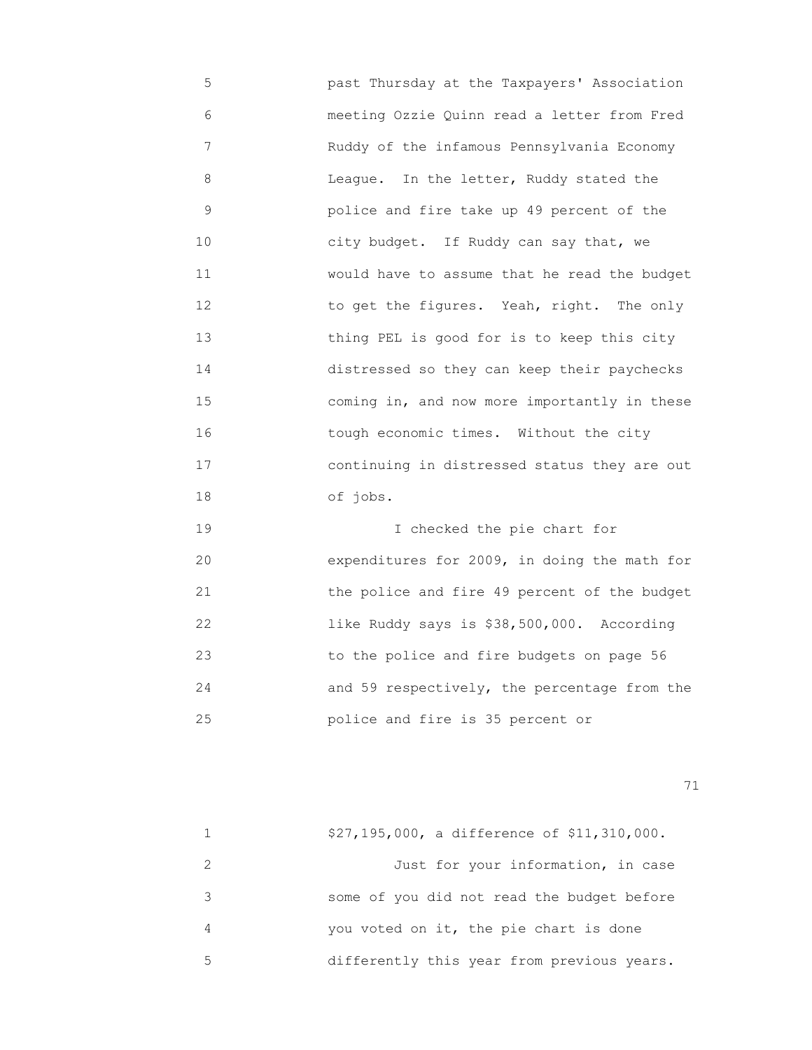5 past Thursday at the Taxpayers' Association 6 meeting Ozzie Quinn read a letter from Fred 7 Ruddy of the infamous Pennsylvania Economy 8 League. In the letter, Ruddy stated the 9 police and fire take up 49 percent of the 10 city budget. If Ruddy can say that, we 11 would have to assume that he read the budget 12 **12** to get the figures. Yeah, right. The only 13 thing PEL is good for is to keep this city 14 distressed so they can keep their paychecks 15 coming in, and now more importantly in these 16 tough economic times. Without the city 17 continuing in distressed status they are out 18 of jobs.

 19 I checked the pie chart for 20 expenditures for 2009, in doing the math for 21 the police and fire 49 percent of the budget 22 like Ruddy says is \$38,500,000. According 23 to the police and fire budgets on page 56 24 and 59 respectively, the percentage from the 25 police and fire is 35 percent or

|   | \$27,195,000, a difference of \$11,310,000. |
|---|---------------------------------------------|
|   | Just for your information, in case          |
| २ | some of you did not read the budget before  |
| 4 | you voted on it, the pie chart is done      |
| 5 | differently this year from previous years.  |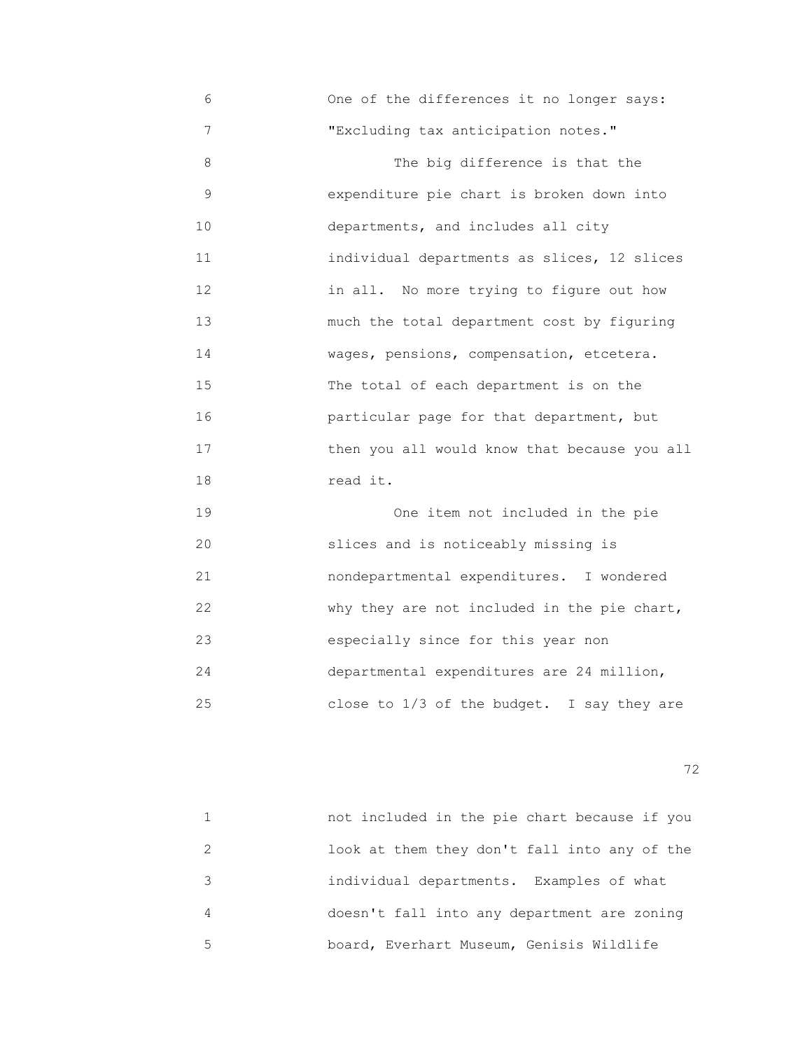6 One of the differences it no longer says: 7 "Excluding tax anticipation notes." 8 The big difference is that the 9 expenditure pie chart is broken down into 10 departments, and includes all city 11 individual departments as slices, 12 slices 12 in all. No more trying to figure out how 13 much the total department cost by figuring 14 wages, pensions, compensation, etcetera. 15 The total of each department is on the 16 particular page for that department, but 17 then you all would know that because you all 18 read it. 19 One item not included in the pie 20 slices and is noticeably missing is 21 nondepartmental expenditures. I wondered 22 **Why they are not included in the pie chart,** 

 23 especially since for this year non 24 departmental expenditures are 24 million, 25 close to 1/3 of the budget. I say they are

<u>72</u> — Политика и Станиција и Станиција и Станиција и Станиција и Станиција и Станиција и Станиција и Станиција<br>Во селото се постаниција и Станиција и Станиција и Станиција и Станиција и Станиција и Станиција и Станиција

|   | not included in the pie chart because if you |
|---|----------------------------------------------|
|   | look at them they don't fall into any of the |
|   | individual departments. Examples of what     |
|   | doesn't fall into any department are zoning  |
| 5 | board, Everhart Museum, Genisis Wildlife     |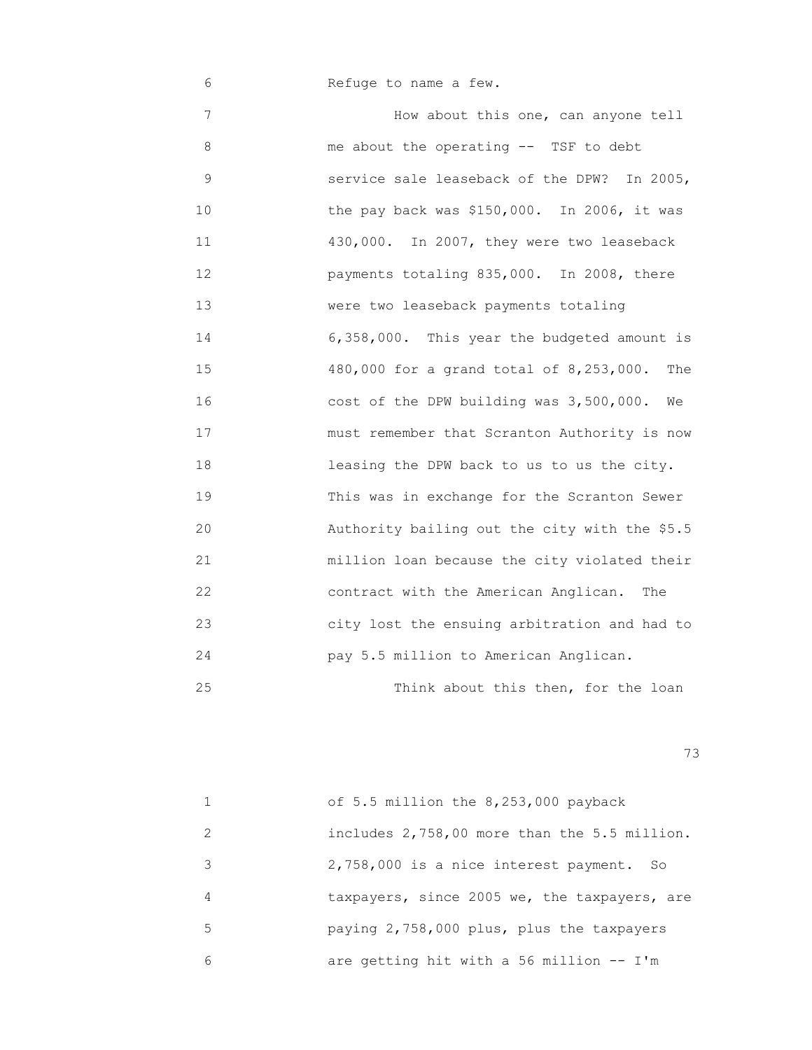6 Refuge to name a few.

 7 How about this one, can anyone tell 8 me about the operating -- TSF to debt 9 service sale leaseback of the DPW? In 2005, 10 the pay back was \$150,000. In 2006, it was 11 430,000. In 2007, they were two leaseback 12 payments totaling 835,000. In 2008, there 13 were two leaseback payments totaling 14 6,358,000. This year the budgeted amount is 15 480,000 for a grand total of 8,253,000. The 16 cost of the DPW building was 3,500,000. We 17 must remember that Scranton Authority is now 18 leasing the DPW back to us to us the city. 19 This was in exchange for the Scranton Sewer 20 Authority bailing out the city with the \$5.5 21 million loan because the city violated their 22 contract with the American Anglican. The 23 city lost the ensuing arbitration and had to 24 pay 5.5 million to American Anglican. 25 Think about this then, for the loan

|               | of 5.5 million the 8,253,000 payback         |
|---------------|----------------------------------------------|
| $\mathcal{L}$ | includes 2,758,00 more than the 5.5 million. |
| 3             | 2,758,000 is a nice interest payment. So     |
| 4             | taxpayers, since 2005 we, the taxpayers, are |
| 5             | paying 2,758,000 plus, plus the taxpayers    |
| 6             | are getting hit with a 56 million -- I'm     |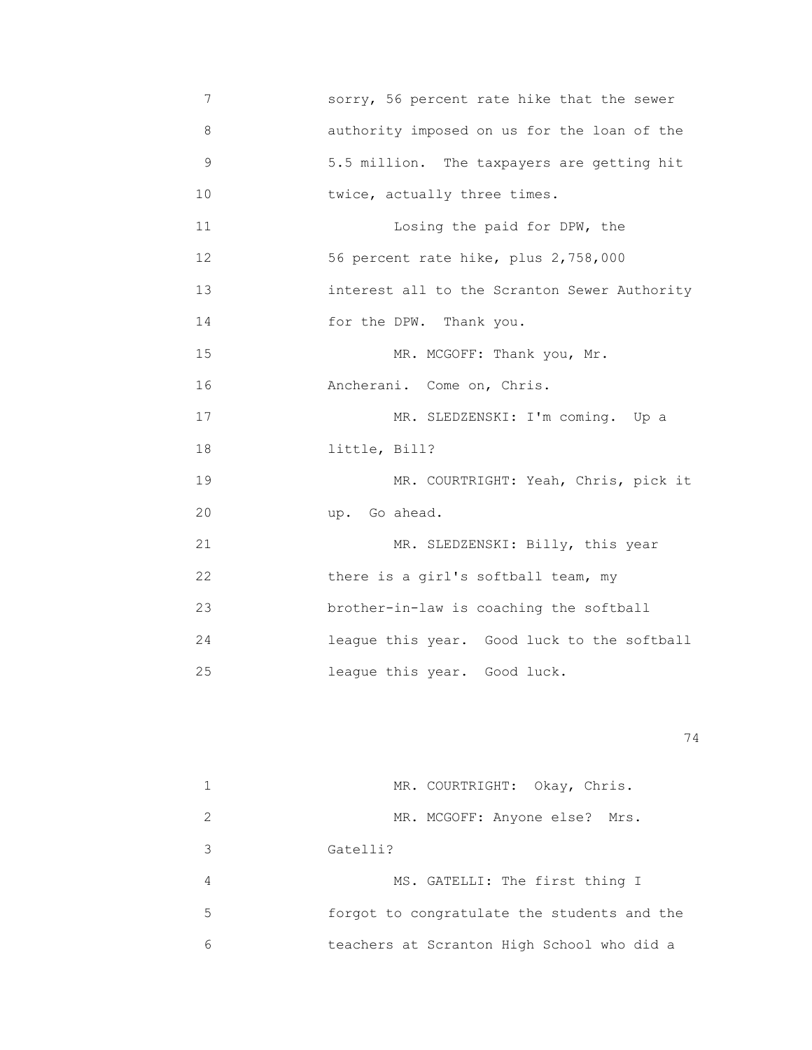7 sorry, 56 percent rate hike that the sewer 8 authority imposed on us for the loan of the 9 5.5 million. The taxpayers are getting hit 10 **twice, actually three times.** 11 **11** Losing the paid for DPW, the 12 56 percent rate hike, plus 2,758,000 13 interest all to the Scranton Sewer Authority 14 for the DPW. Thank you. 15 MR. MCGOFF: Thank you, Mr. 16 Ancherani. Come on, Chris. 17 MR. SLEDZENSKI: I'm coming. Up a 18 little, Bill? 19 MR. COURTRIGHT: Yeah, Chris, pick it 20 up. Go ahead. 21 MR. SLEDZENSKI: Billy, this year 22 there is a girl's softball team, my 23 brother-in-law is coaching the softball 24 league this year. Good luck to the softball 25 league this year. Good luck.

|               | MR. COURTRIGHT: Okay, Chris.                |
|---------------|---------------------------------------------|
| $\mathcal{L}$ | MR. MCGOFF: Anyone else? Mrs.               |
| 3             | Gatelli?                                    |
| 4             | MS. GATELLI: The first thing I              |
| 5             | forgot to congratulate the students and the |
| 6             | teachers at Scranton High School who did a  |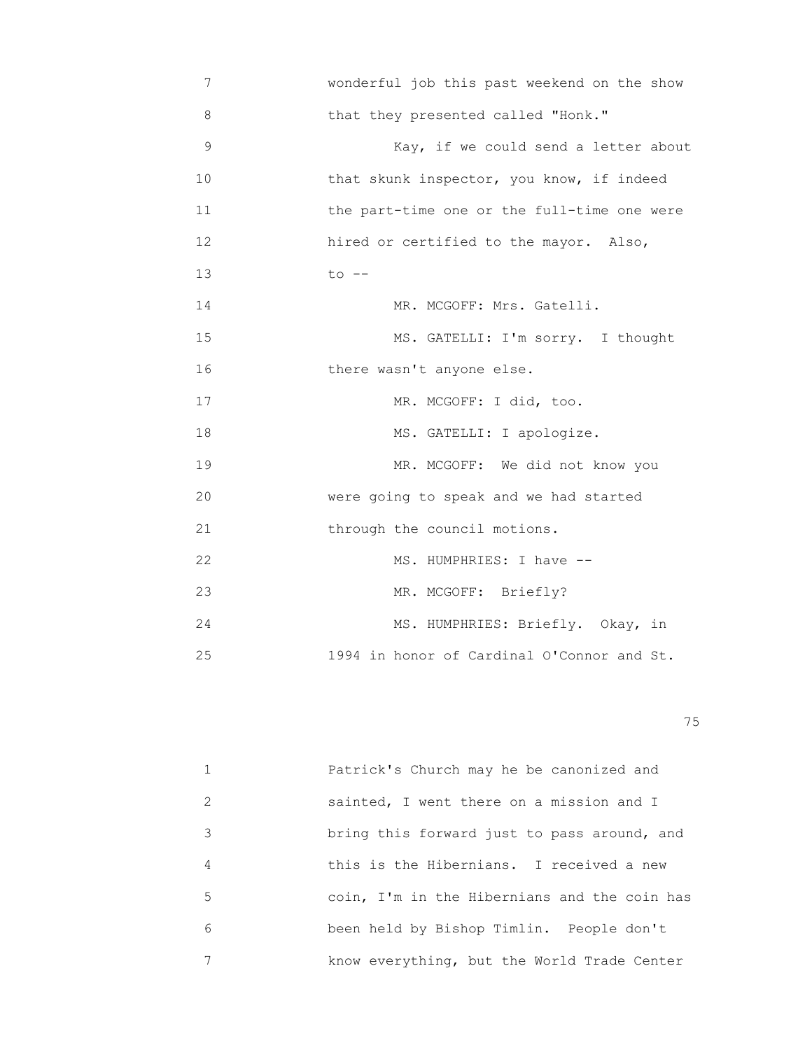7 wonderful job this past weekend on the show 8 that they presented called "Honk." 9 Kay, if we could send a letter about 10 that skunk inspector, you know, if indeed 11 the part-time one or the full-time one were 12 hired or certified to the mayor. Also, 13 to -- 14 MR. MCGOFF: Mrs. Gatelli. 15 MS. GATELLI: I'm sorry. I thought 16 there wasn't anyone else. 17 MR. MCGOFF: I did, too. 18 MS. GATELLI: I apologize. 19 MR. MCGOFF: We did not know you 20 were going to speak and we had started 21 through the council motions. 22 MS. HUMPHRIES: I have -- 23 MR. MCGOFF: Briefly? 24 MS. HUMPHRIES: Briefly. Okay, in 25 1994 in honor of Cardinal O'Connor and St.

na matsay na katalog as na katalog as na katalog as na katalog as na katalog as na katalog as na katalog as na<br>Tagairta

|   | Patrick's Church may he be canonized and     |
|---|----------------------------------------------|
| 2 | sainted, I went there on a mission and I     |
| 3 | bring this forward just to pass around, and  |
| 4 | this is the Hibernians. I received a new     |
| 5 | coin, I'm in the Hibernians and the coin has |
| 6 | been held by Bishop Timlin. People don't     |
|   | know everything, but the World Trade Center  |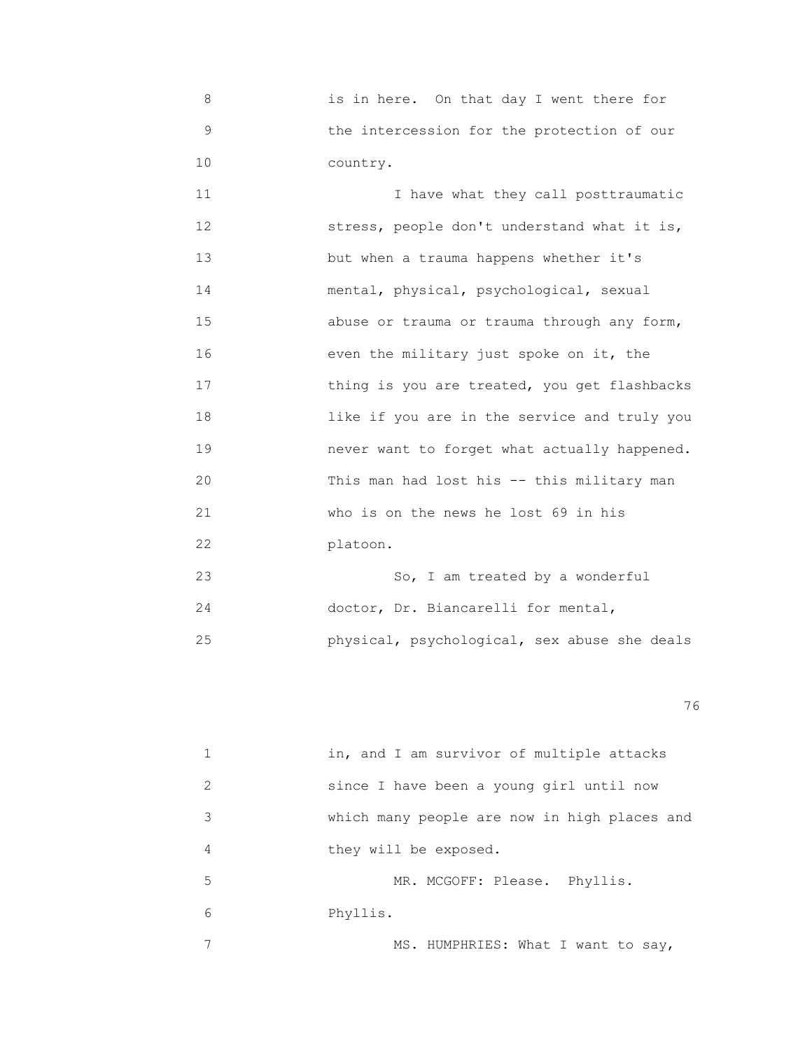8 is in here. On that day I went there for 9 the intercession for the protection of our 10 country.

 11 I have what they call posttraumatic 12 stress, people don't understand what it is, 13 but when a trauma happens whether it's 14 mental, physical, psychological, sexual 15 abuse or trauma or trauma through any form, 16 even the military just spoke on it, the 17 **thing is you are treated, you get flashbacks**  18 like if you are in the service and truly you 19 never want to forget what actually happened. 20 This man had lost his -- this military man 21 who is on the news he lost 69 in his 22 platoon.

|    | So, I am treated by a wonderful              |
|----|----------------------------------------------|
| 24 | doctor, Dr. Biancarelli for mental,          |
| クら | physical, psychological, sex abuse she deals |

<u>76 and 2001 and 2002 and 2003 and 2003 and 2003 and 2003 and 2003 and 2003 and 2003 and 2003 and 2003 and 200</u>

|               | in, and I am survivor of multiple attacks    |
|---------------|----------------------------------------------|
| $\mathcal{L}$ | since I have been a young girl until now     |
| 3             | which many people are now in high places and |
| 4             | they will be exposed.                        |
| 5             | MR. MCGOFF: Please. Phyllis.                 |
| 6             | Phyllis.                                     |
|               | MS. HUMPHRIES: What I want to say,           |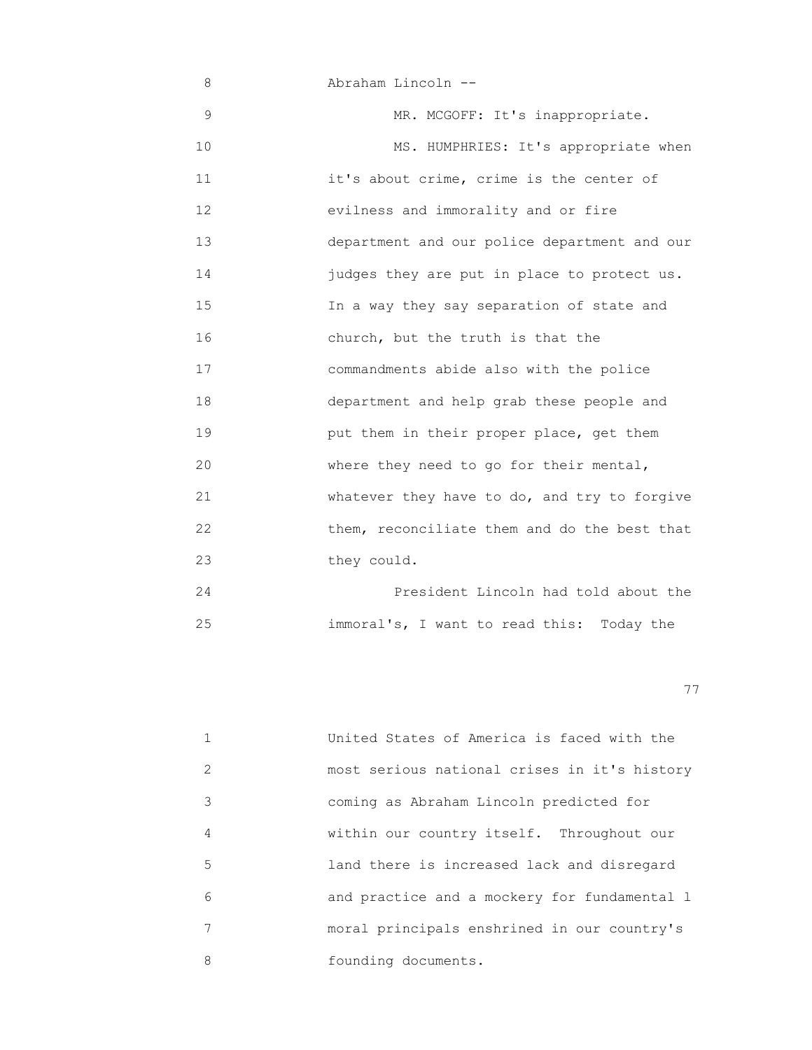8 Abraham Lincoln -- 9 MR. MCGOFF: It's inappropriate. 10 MS. HUMPHRIES: It's appropriate when 11 it's about crime, crime is the center of 12 evilness and immorality and or fire 13 department and our police department and our 14 judges they are put in place to protect us. 15 In a way they say separation of state and 16 church, but the truth is that the 17 commandments abide also with the police 18 department and help grab these people and 19 put them in their proper place, get them 20 where they need to go for their mental, 21 whatever they have to do, and try to forgive 22 them, reconciliate them and do the best that 23 they could.

 24 President Lincoln had told about the 25 immoral's, I want to read this: Today the

|               | United States of America is faced with the   |
|---------------|----------------------------------------------|
| $\mathcal{L}$ | most serious national crises in it's history |
| 3             | coming as Abraham Lincoln predicted for      |
| 4             | within our country itself. Throughout our    |
| 5             | land there is increased lack and disregard   |
| 6             | and practice and a mockery for fundamental 1 |
| 7             | moral principals enshrined in our country's  |
| 8             | founding documents.                          |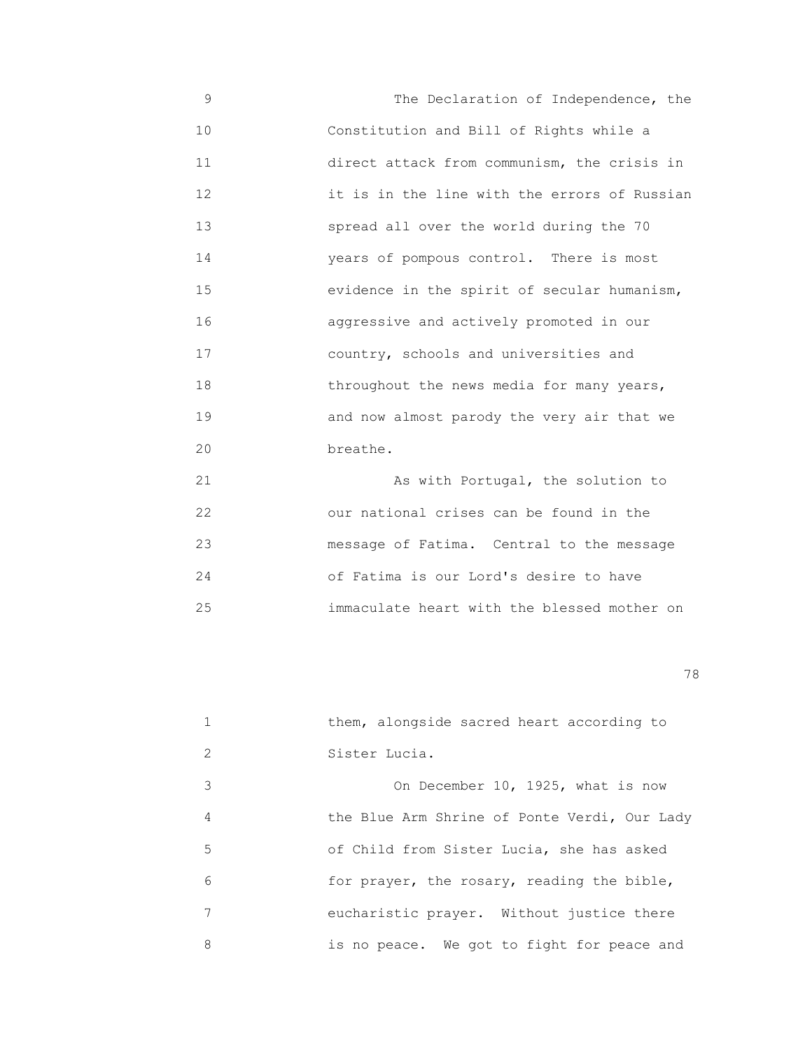9 The Declaration of Independence, the 10 Constitution and Bill of Rights while a 11 direct attack from communism, the crisis in 12 it is in the line with the errors of Russian 13 spread all over the world during the 70 14 years of pompous control. There is most 15 evidence in the spirit of secular humanism, 16 aggressive and actively promoted in our 17 country, schools and universities and 18 throughout the news media for many years, 19 and now almost parody the very air that we 20 **breathe.** 

 21 As with Portugal, the solution to 22 our national crises can be found in the 23 message of Fatima. Central to the message 24 of Fatima is our Lord's desire to have 25 immaculate heart with the blessed mother on

|   | them, alongside sacred heart according to    |
|---|----------------------------------------------|
| 2 | Sister Lucia.                                |
| 3 | On December 10, 1925, what is now            |
| 4 | the Blue Arm Shrine of Ponte Verdi, Our Lady |
| 5 | of Child from Sister Lucia, she has asked    |
| 6 | for prayer, the rosary, reading the bible,   |
| 7 | eucharistic prayer. Without justice there    |
| 8 | is no peace. We got to fight for peace and   |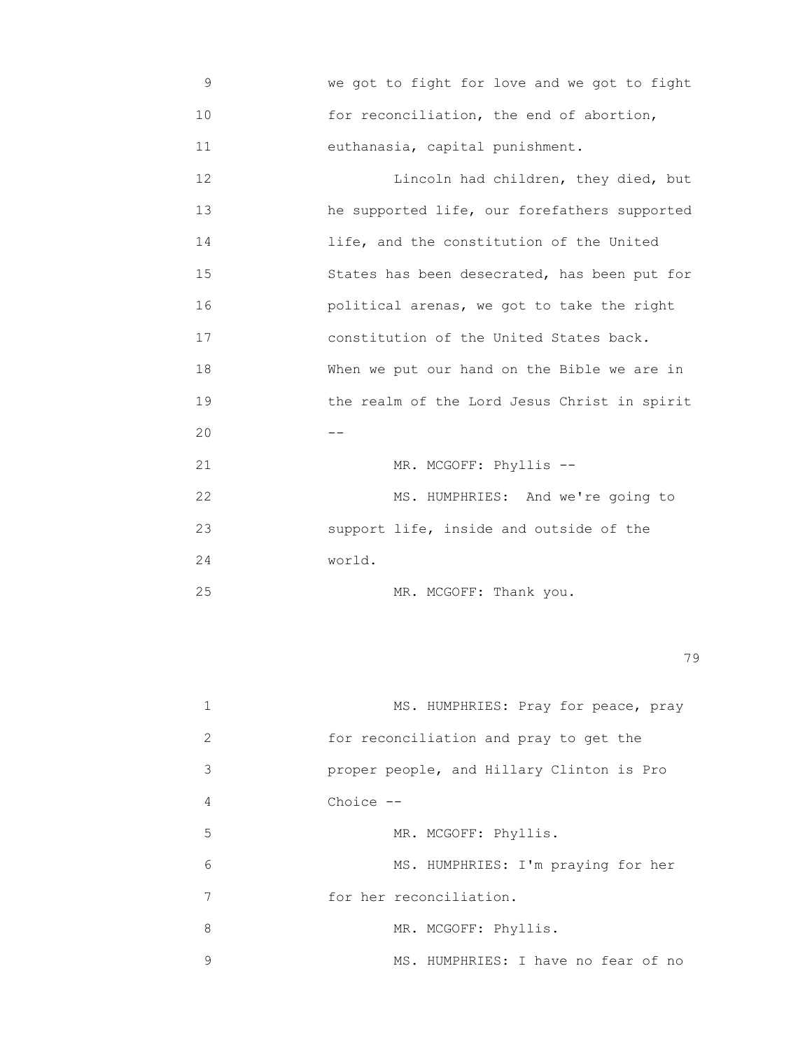9 we got to fight for love and we got to fight 10 **10** for reconciliation, the end of abortion, 11 euthanasia, capital punishment.

12 **12 Lincoln had children, they died, but**  13 he supported life, our forefathers supported 14 life, and the constitution of the United 15 States has been desecrated, has been put for 16 political arenas, we got to take the right 17 constitution of the United States back. 18 When we put our hand on the Bible we are in 19 the realm of the Lord Jesus Christ in spirit  $20$   $-$ 21 MR. MCGOFF: Phyllis --22 MS. HUMPHRIES: And we're going to 23 support life, inside and outside of the

24 world.

25 MR. MCGOFF: Thank you.

|               | MS. HUMPHRIES: Pray for peace, pray       |
|---------------|-------------------------------------------|
| $\mathcal{L}$ | for reconciliation and pray to get the    |
| 3             | proper people, and Hillary Clinton is Pro |
| 4             | Choice $--$                               |
| 5             | MR. MCGOFF: Phyllis.                      |
| 6             | MS. HUMPHRIES: I'm praying for her        |
| 7             | for her reconciliation.                   |
| 8             | MR. MCGOFF: Phyllis.                      |
| 9             | MS. HUMPHRIES: I have no fear of no       |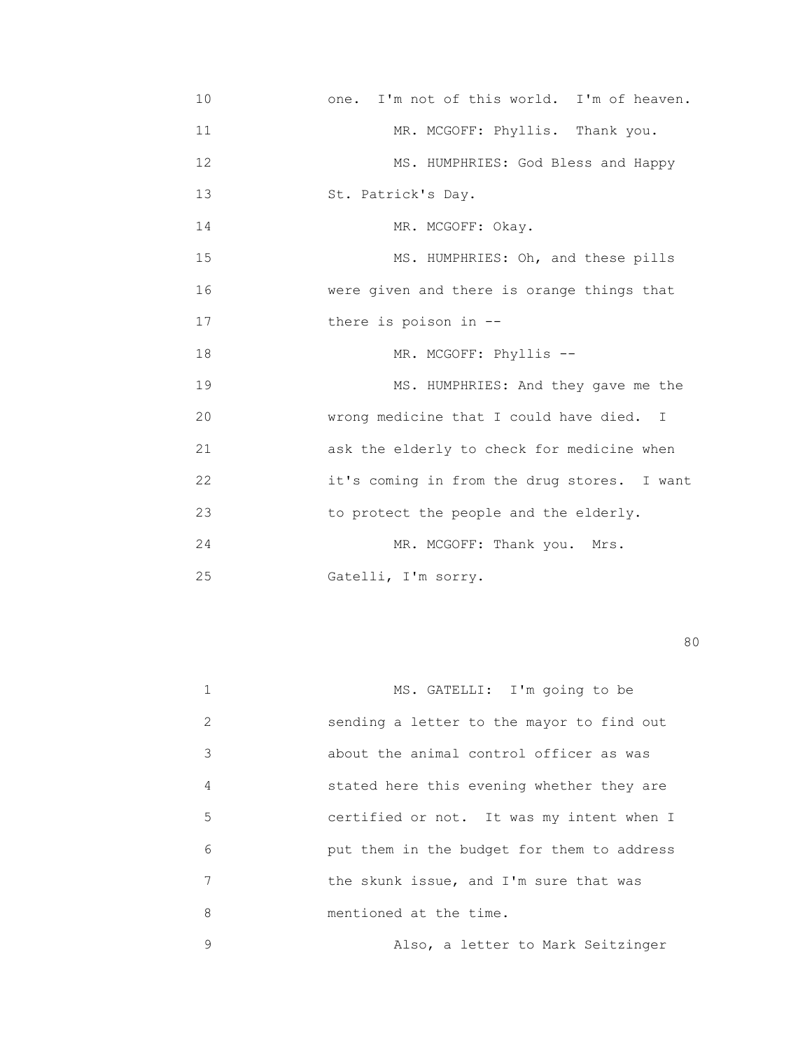10 one. I'm not of this world. I'm of heaven. 11 MR. MCGOFF: Phyllis. Thank you. 12 MS. HUMPHRIES: God Bless and Happy 13 St. Patrick's Day. 14 MR. MCGOFF: Okay. 15 MS. HUMPHRIES: Oh, and these pills 16 were given and there is orange things that 17 **there** is poison in -- 18 MR. MCGOFF: Phyllis -- 19 MS. HUMPHRIES: And they gave me the 20 wrong medicine that I could have died. I 21 ask the elderly to check for medicine when 22 it's coming in from the drug stores. I want 23 to protect the people and the elderly. 24 MR. MCGOFF: Thank you. Mrs. 25 Gatelli, I'm sorry.

experience of the state of the state of the state of the state of the state of the state of the state of the s

| 1 | MS. GATELLI: I'm going to be               |
|---|--------------------------------------------|
| 2 | sending a letter to the mayor to find out  |
| 3 | about the animal control officer as was    |
| 4 | stated here this evening whether they are  |
| 5 | certified or not. It was my intent when I  |
| 6 | put them in the budget for them to address |
| 7 | the skunk issue, and I'm sure that was     |
| 8 | mentioned at the time.                     |
| 9 | Also, a letter to Mark Seitzinger          |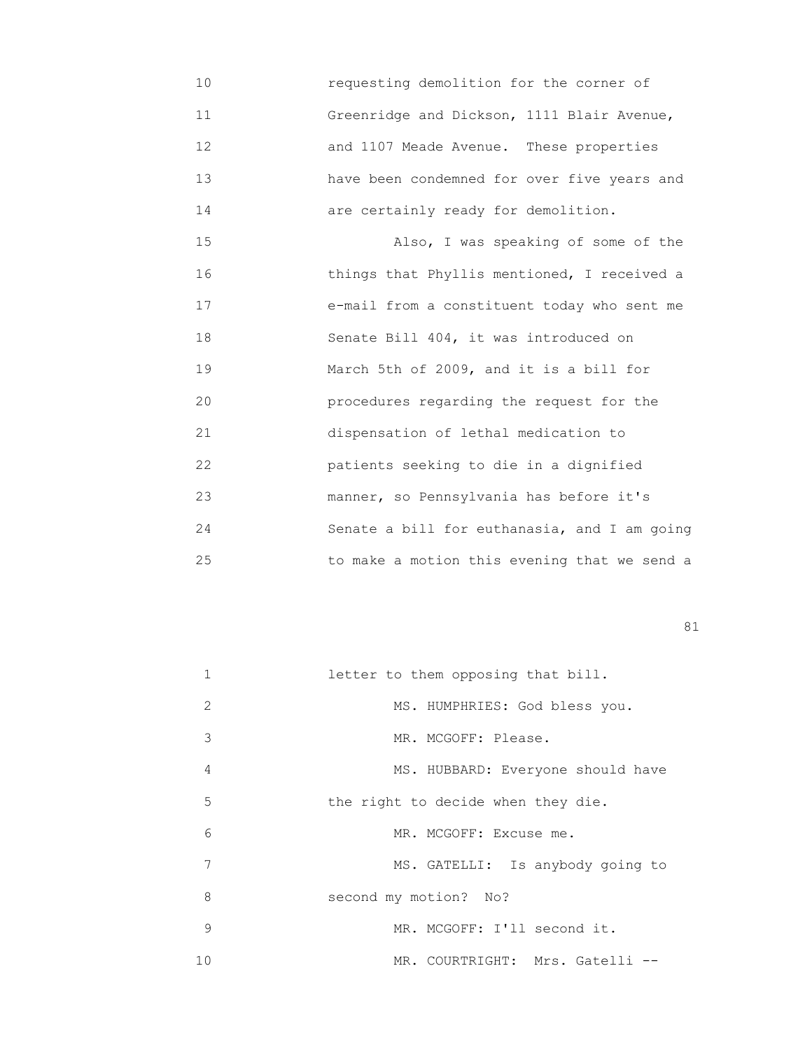10 requesting demolition for the corner of 11 Greenridge and Dickson, 1111 Blair Avenue, 12 and 1107 Meade Avenue. These properties 13 have been condemned for over five years and 14 are certainly ready for demolition.

 15 Also, I was speaking of some of the 16 things that Phyllis mentioned, I received a 17 e-mail from a constituent today who sent me 18 Senate Bill 404, it was introduced on 19 March 5th of 2009, and it is a bill for 20 procedures regarding the request for the 21 dispensation of lethal medication to 22 patients seeking to die in a dignified 23 manner, so Pennsylvania has before it's 24 Senate a bill for euthanasia, and I am going 25 to make a motion this evening that we send a

| $\mathbf{1}$ | letter to them opposing that bill. |
|--------------|------------------------------------|
| 2            | MS. HUMPHRIES: God bless you.      |
| 3            | MR. MCGOFF: Please.                |
| 4            | MS. HUBBARD: Everyone should have  |
| 5            | the right to decide when they die. |
| 6            | MR. MCGOFF: Excuse me.             |
| 7            | MS. GATELLI: Is anybody going to   |
| 8            | second my motion? No?              |
| 9            | MR. MCGOFF: I'll second it.        |
| 10           | MR. COURTRIGHT: Mrs. Gatelli --    |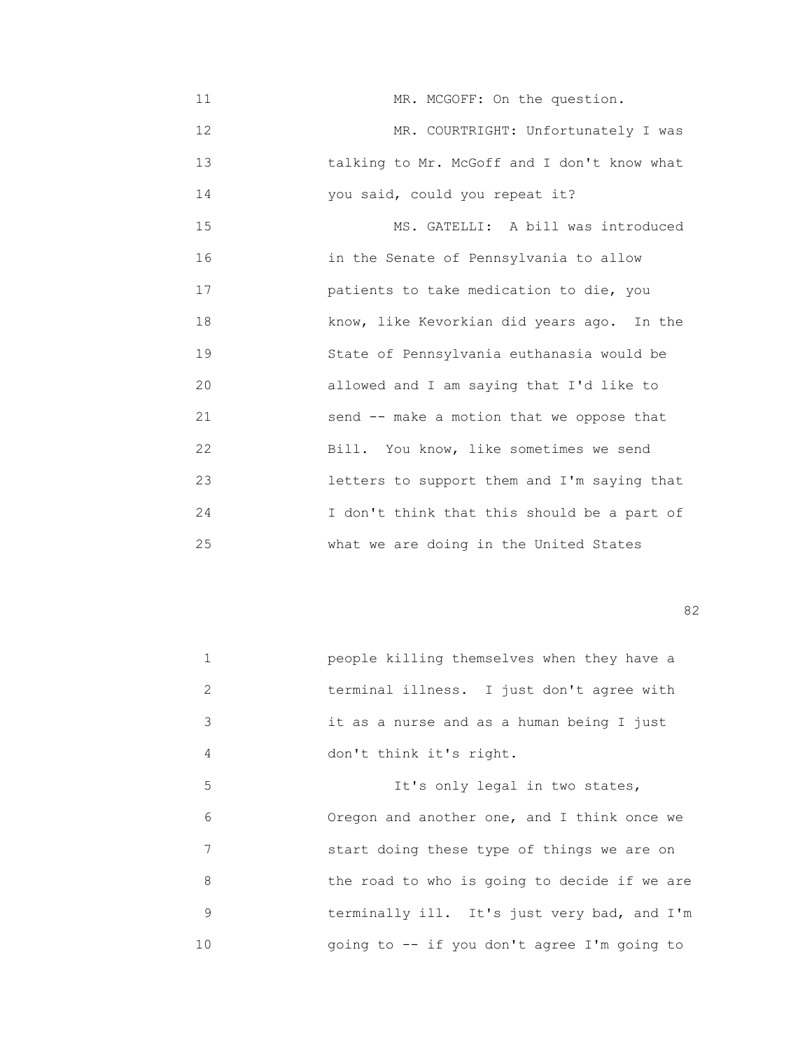11 MR. MCGOFF: On the question. 12 MR. COURTRIGHT: Unfortunately I was 13 talking to Mr. McGoff and I don't know what 14 you said, could you repeat it?

 15 MS. GATELLI: A bill was introduced 16 in the Senate of Pennsylvania to allow 17 patients to take medication to die, you 18 know, like Kevorkian did years ago. In the 19 State of Pennsylvania euthanasia would be 20 allowed and I am saying that I'd like to 21 send -- make a motion that we oppose that 22 Bill. You know, like sometimes we send 23 letters to support them and I'm saying that 24 I don't think that this should be a part of 25 what we are doing in the United States

experience of the state of the state of the state of the state of the state of the state of the state of the s

| 1             | people killing themselves when they have a   |
|---------------|----------------------------------------------|
| $\mathcal{L}$ | terminal illness. I just don't agree with    |
| 3             | it as a nurse and as a human being I just    |
| 4             | don't think it's right.                      |
| 5             | It's only legal in two states,               |
| 6             | Oregon and another one, and I think once we  |
| 7             | start doing these type of things we are on   |
| 8             | the road to who is going to decide if we are |
| 9             | terminally ill. It's just very bad, and I'm  |
| 10            | going to -- if you don't agree I'm going to  |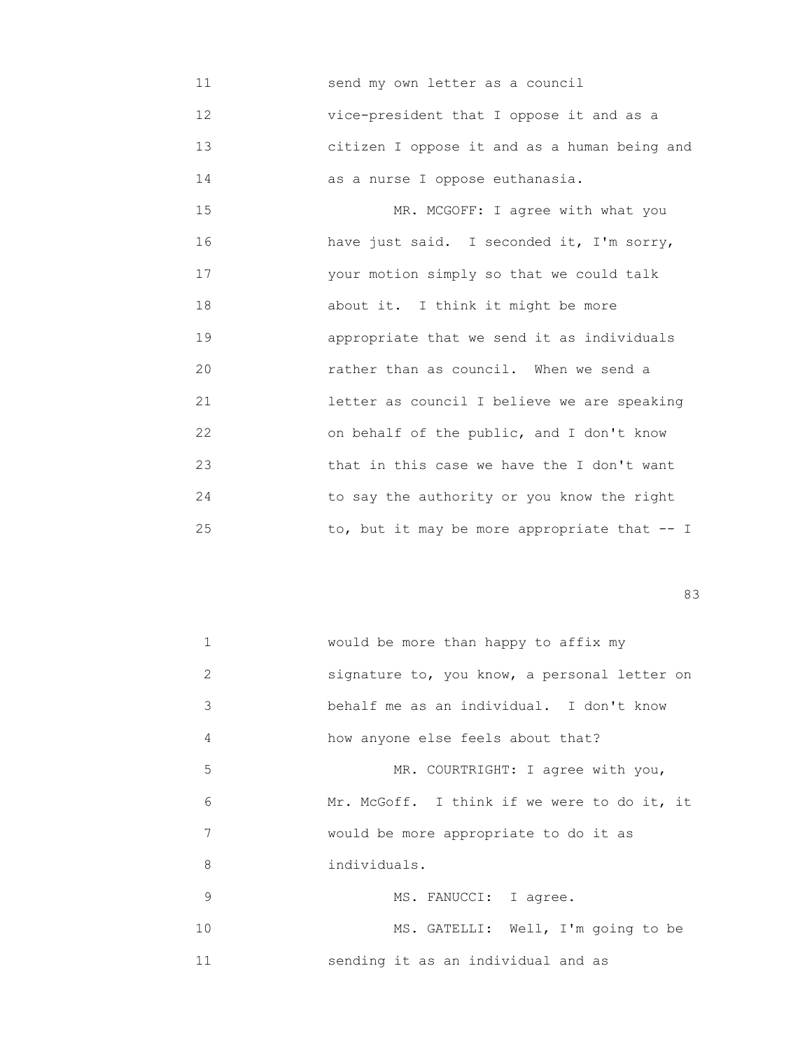11 send my own letter as a council 12 vice-president that I oppose it and as a 13 citizen I oppose it and as a human being and 14 as a nurse I oppose euthanasia.

15 MR. MCGOFF: I agree with what you 16 have just said. I seconded it, I'm sorry, 17 your motion simply so that we could talk 18 about it. I think it might be more 19 appropriate that we send it as individuals 20 rather than as council. When we send a 21 letter as council I believe we are speaking 22 on behalf of the public, and I don't know 23 that in this case we have the I don't want 24 to say the authority or you know the right 25 to, but it may be more appropriate that -- I

experience of the contract of the contract of the contract of the contract of the contract of the contract of the contract of the contract of the contract of the contract of the contract of the contract of the contract of

| $\mathbf{1}$ | would be more than happy to affix my         |
|--------------|----------------------------------------------|
| 2            | signature to, you know, a personal letter on |
| 3            | behalf me as an individual. I don't know     |
| 4            | how anyone else feels about that?            |
| 5            | MR. COURTRIGHT: I agree with you,            |
| 6            | Mr. McGoff. I think if we were to do it, it  |
| 7            | would be more appropriate to do it as        |
| 8            | individuals.                                 |
| 9            | MS. FANUCCI: I agree.                        |
| 10           | MS. GATELLI: Well, I'm going to be           |
| 11           | sending it as an individual and as           |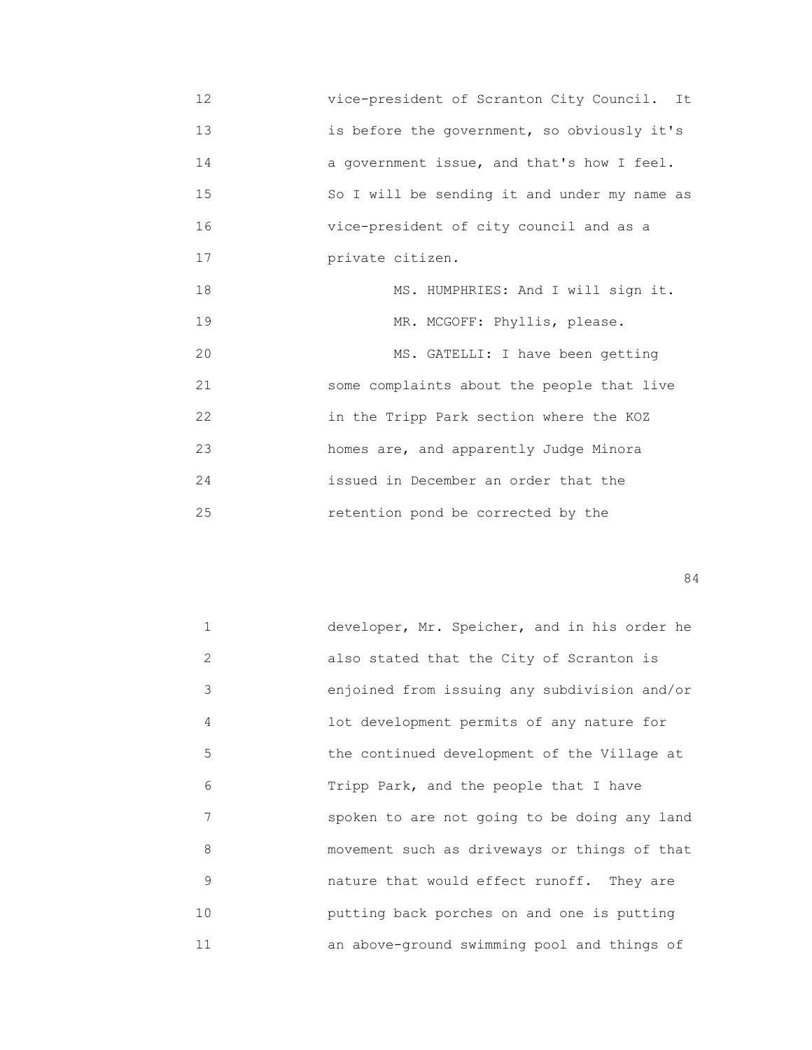12 vice-president of Scranton City Council. It 13 is before the government, so obviously it's 14 a government issue, and that's how I feel. 15 So I will be sending it and under my name as 16 vice-president of city council and as a 17 private citizen. 18 MS. HUMPHRIES: And I will sign it.

19 MR. MCGOFF: Phyllis, please. 20 MS. GATELLI: I have been getting 21 some complaints about the people that live 22 in the Tripp Park section where the KOZ 23 homes are, and apparently Judge Minora 24 issued in December an order that the 25 retention pond be corrected by the

|    | developer, Mr. Speicher, and in his order he |
|----|----------------------------------------------|
| 2  | also stated that the City of Scranton is     |
| 3  | enjoined from issuing any subdivision and/or |
| 4  | lot development permits of any nature for    |
| 5  | the continued development of the Village at  |
| 6  | Tripp Park, and the people that I have       |
| 7  | spoken to are not going to be doing any land |
| 8  | movement such as driveways or things of that |
| 9  | nature that would effect runoff. They are    |
| 10 | putting back porches on and one is putting   |
| 11 | an above-ground swimming pool and things of  |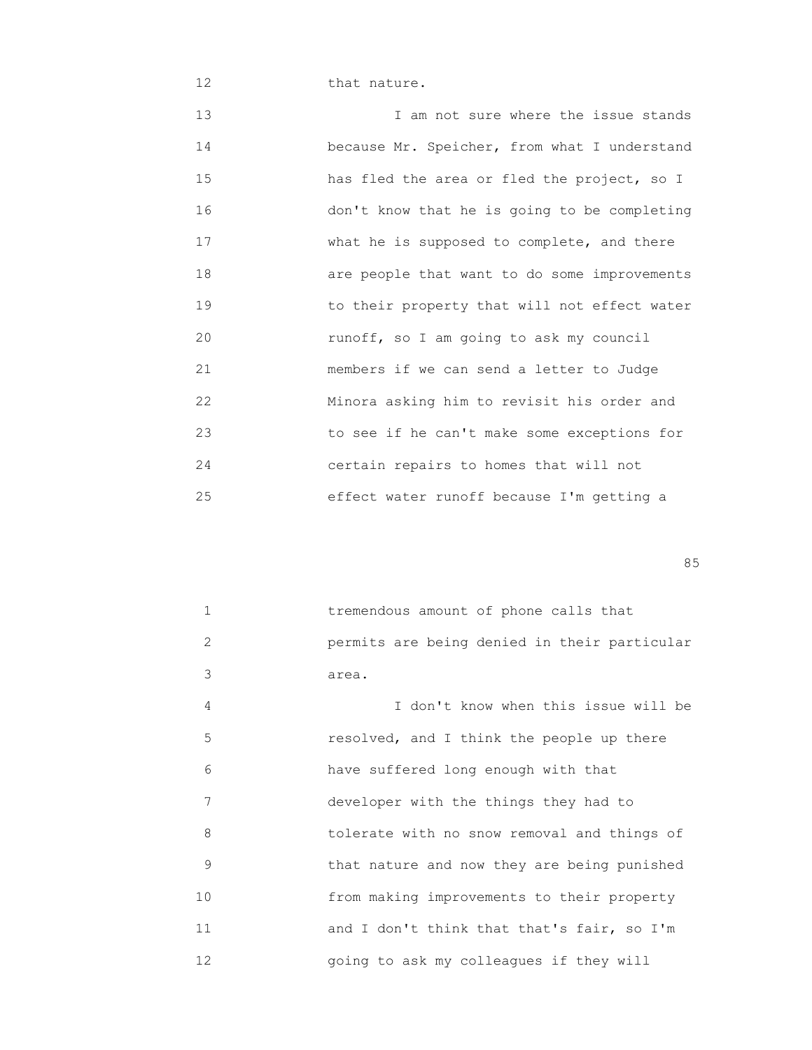12 **that nature.** 

13 13 I am not sure where the issue stands 14 because Mr. Speicher, from what I understand 15 has fled the area or fled the project, so I 16 don't know that he is going to be completing 17 **What he is supposed to complete, and there**  18 are people that want to do some improvements 19 to their property that will not effect water 20 runoff, so I am going to ask my council 21 members if we can send a letter to Judge 22 Minora asking him to revisit his order and 23 to see if he can't make some exceptions for 24 certain repairs to homes that will not 25 effect water runoff because I'm getting a

<u>85 September 2006 September 2006 September 2006 September 2006 September 2006 September 2006 September 2006 S</u>

| 1  | tremendous amount of phone calls that        |
|----|----------------------------------------------|
| 2  | permits are being denied in their particular |
| 3  | area.                                        |
| 4  | I don't know when this issue will be         |
| 5  | resolved, and I think the people up there    |
| 6  | have suffered long enough with that          |
| 7  | developer with the things they had to        |
| 8  | tolerate with no snow removal and things of  |
| 9  | that nature and now they are being punished  |
| 10 | from making improvements to their property   |
| 11 | and I don't think that that's fair, so I'm   |
| 12 | going to ask my colleagues if they will      |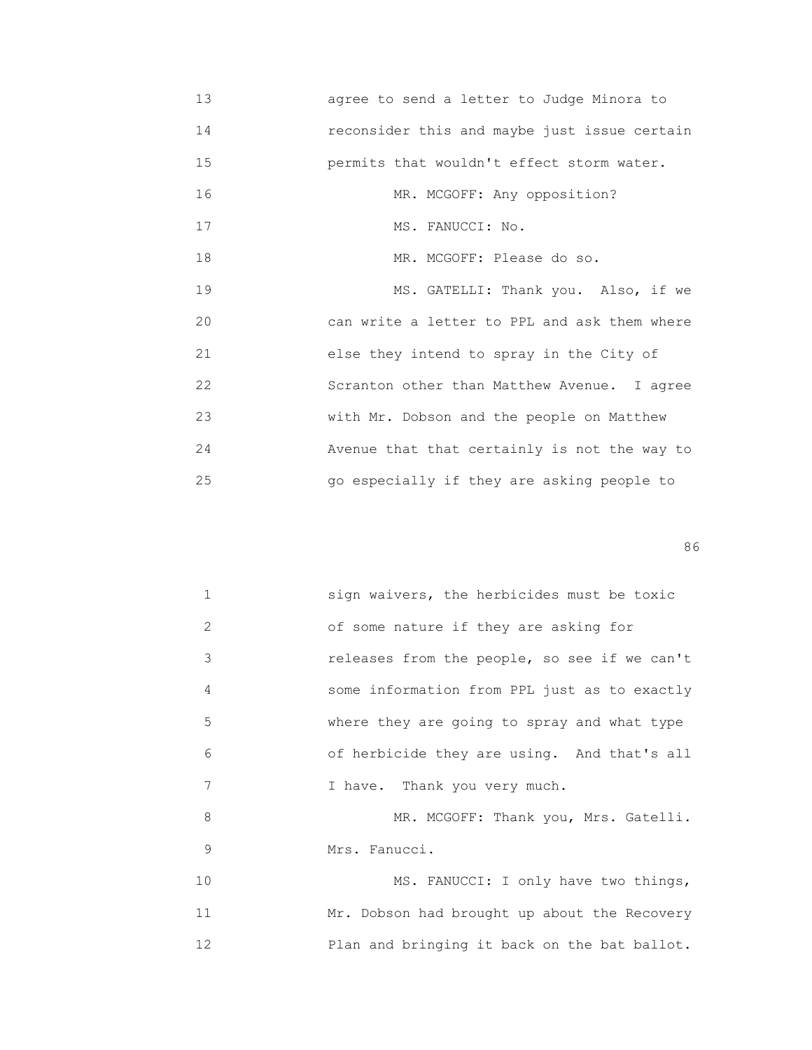13 agree to send a letter to Judge Minora to 14 reconsider this and maybe just issue certain 15 permits that wouldn't effect storm water. 16 MR. MCGOFF: Any opposition? 17 MS. FANUCCI: No. 18 MR. MCGOFF: Please do so. 19 MS. GATELLI: Thank you. Also, if we 20 can write a letter to PPL and ask them where 21 else they intend to spray in the City of 22 Scranton other than Matthew Avenue. I agree 23 with Mr. Dobson and the people on Matthew 24 Avenue that that certainly is not the way to 25 go especially if they are asking people to

en de la construction de la construction de la construction de la construction de la construction de la construction de la construction de la construction de la construction de la construction de la construction de la cons

| $\mathbf{1}$      | sign waivers, the herbicides must be toxic   |
|-------------------|----------------------------------------------|
| 2                 | of some nature if they are asking for        |
| 3                 | releases from the people, so see if we can't |
| 4                 | some information from PPL just as to exactly |
| 5                 | where they are going to spray and what type  |
| 6                 | of herbicide they are using. And that's all  |
| 7                 | I have. Thank you very much.                 |
| 8                 | MR. MCGOFF: Thank you, Mrs. Gatelli.         |
| 9                 | Mrs. Fanucci.                                |
| 10                | MS. FANUCCI: I only have two things,         |
| 11                | Mr. Dobson had brought up about the Recovery |
| $12 \overline{ }$ | Plan and bringing it back on the bat ballot. |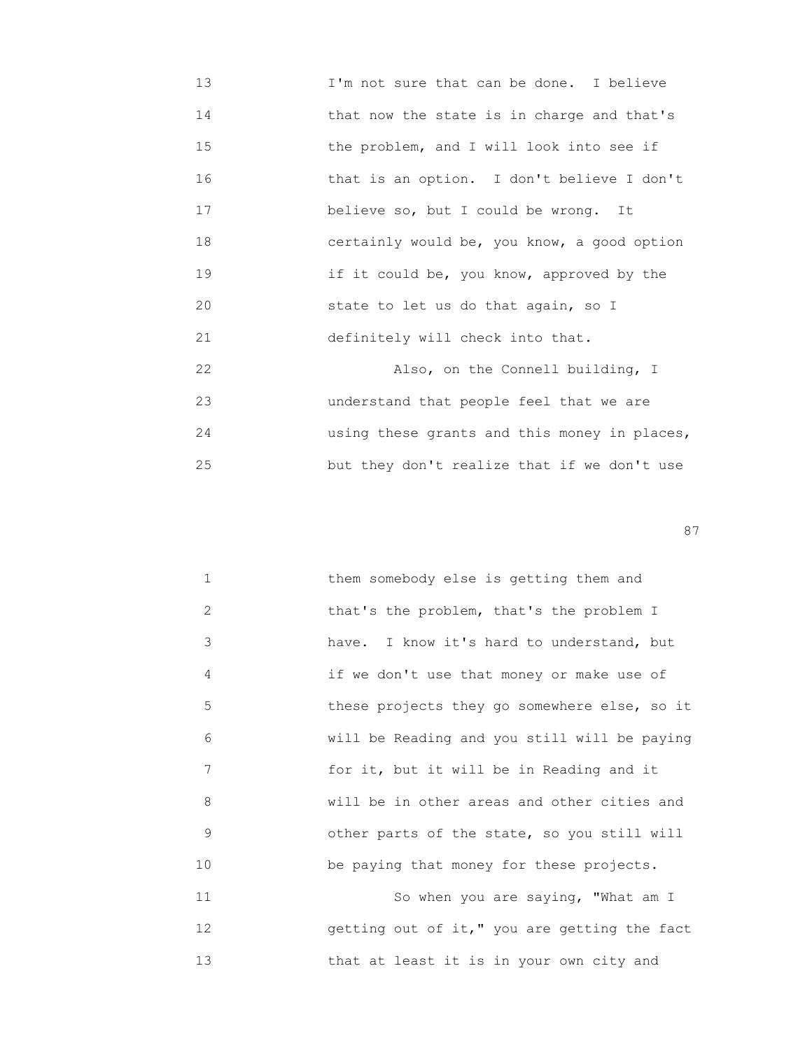13 I'm not sure that can be done. I believe 14 that now the state is in charge and that's 15 the problem, and I will look into see if 16 that is an option. I don't believe I don't 17 believe so, but I could be wrong. It 18 certainly would be, you know, a good option 19 if it could be, you know, approved by the 20 state to let us do that again, so I 21 definitely will check into that. 22 Also, on the Connell building, I 23 understand that people feel that we are 24 using these grants and this money in places, 25 but they don't realize that if we don't use

experience of the state of the state of the state of the state of the state of the state of the state of the state of the state of the state of the state of the state of the state of the state of the state of the state of

| $\mathbf{1}$ | them somebody else is getting them and       |
|--------------|----------------------------------------------|
| 2            | that's the problem, that's the problem I     |
| 3            | have. I know it's hard to understand, but    |
| 4            | if we don't use that money or make use of    |
| 5            | these projects they go somewhere else, so it |
| 6            | will be Reading and you still will be paying |
| 7            | for it, but it will be in Reading and it     |
| 8            | will be in other areas and other cities and  |
| 9            | other parts of the state, so you still will  |
| 10           | be paying that money for these projects.     |
| 11           | So when you are saying, "What am I           |
| 12           | getting out of it," you are getting the fact |
|              |                                              |

13 that at least it is in your own city and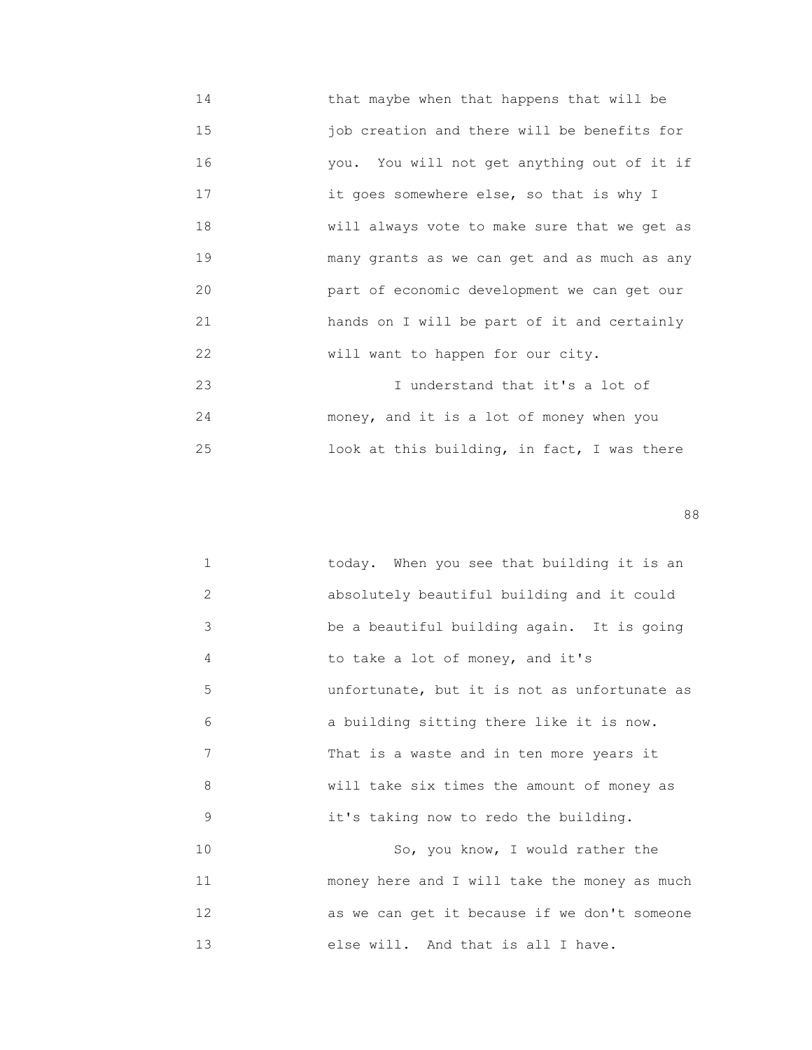- 14 that maybe when that happens that will be 15 job creation and there will be benefits for 16 you. You will not get anything out of it if 17 it goes somewhere else, so that is why I 18 will always vote to make sure that we get as 19 many grants as we can get and as much as any 20 part of economic development we can get our 21 hands on I will be part of it and certainly 22 Will want to happen for our city. 23 I understand that it's a lot of 24 money, and it is a lot of money when you
- 25 look at this building, in fact, I was there

en andere de la constantino de la constantino de la constantino de la constantino de la constantino de la cons

| $\mathbf{1}$   | today. When you see that building it is an   |
|----------------|----------------------------------------------|
| $\overline{2}$ | absolutely beautiful building and it could   |
| 3              | be a beautiful building again. It is going   |
| 4              | to take a lot of money, and it's             |
| 5              | unfortunate, but it is not as unfortunate as |
| 6              | a building sitting there like it is now.     |
| 7              | That is a waste and in ten more years it     |
| 8              | will take six times the amount of money as   |
| 9              | it's taking now to redo the building.        |
| 10             | So, you know, I would rather the             |
| 11             | money here and I will take the money as much |
| 12             | as we can get it because if we don't someone |
| 13             | else will. And that is all I have.           |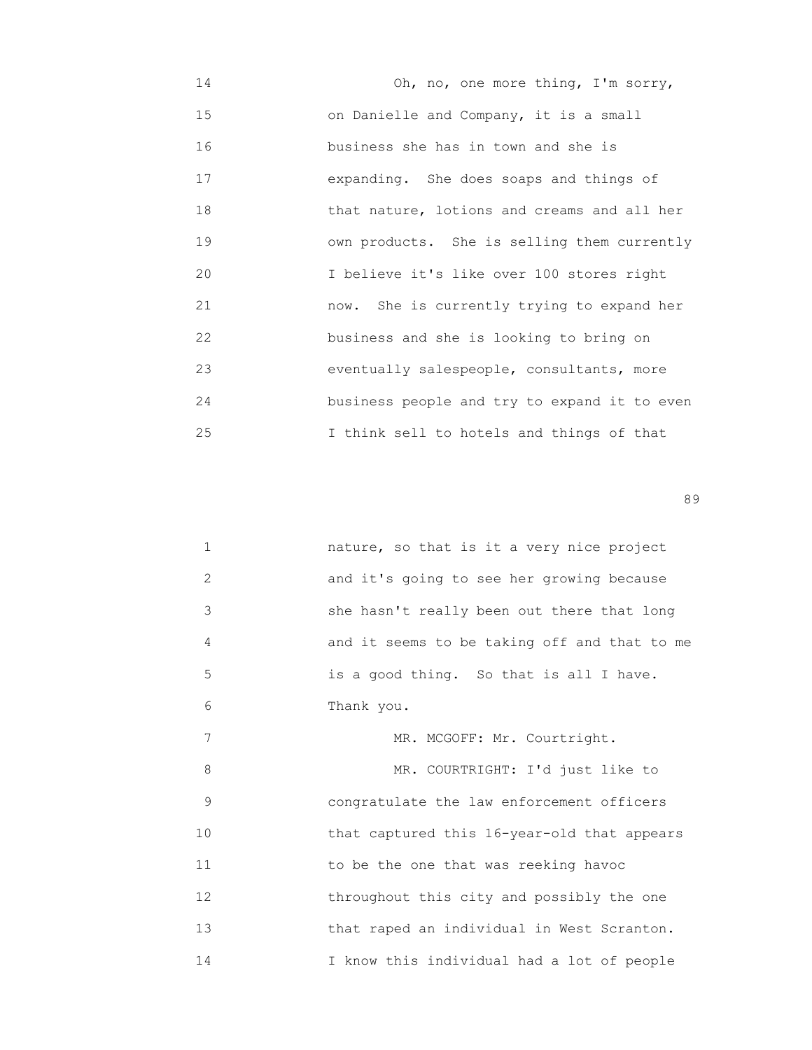14 Oh, no, one more thing, I'm sorry, 15 on Danielle and Company, it is a small 16 business she has in town and she is 17 expanding. She does soaps and things of 18 that nature, lotions and creams and all her 19 own products. She is selling them currently 20 I believe it's like over 100 stores right 21 now. She is currently trying to expand her 22 business and she is looking to bring on 23 eventually salespeople, consultants, more 24 business people and try to expand it to even 25 I think sell to hotels and things of that

en de la construction de la construction de la construction de la construction de la construction de la constr<br>1990 : la construction de la construction de la construction de la construction de la construction de la const

| 1  | nature, so that is it a very nice project    |
|----|----------------------------------------------|
| 2  | and it's going to see her growing because    |
| 3  | she hasn't really been out there that long   |
| 4  | and it seems to be taking off and that to me |
| 5  | is a good thing. So that is all I have.      |
| 6  | Thank you.                                   |
| 7  | MR. MCGOFF: Mr. Courtright.                  |
| 8  | MR. COURTRIGHT: I'd just like to             |
| 9  | congratulate the law enforcement officers    |
| 10 | that captured this 16-year-old that appears  |
| 11 | to be the one that was reeking havoc         |
| 12 | throughout this city and possibly the one    |
| 13 | that raped an individual in West Scranton.   |

14 I know this individual had a lot of people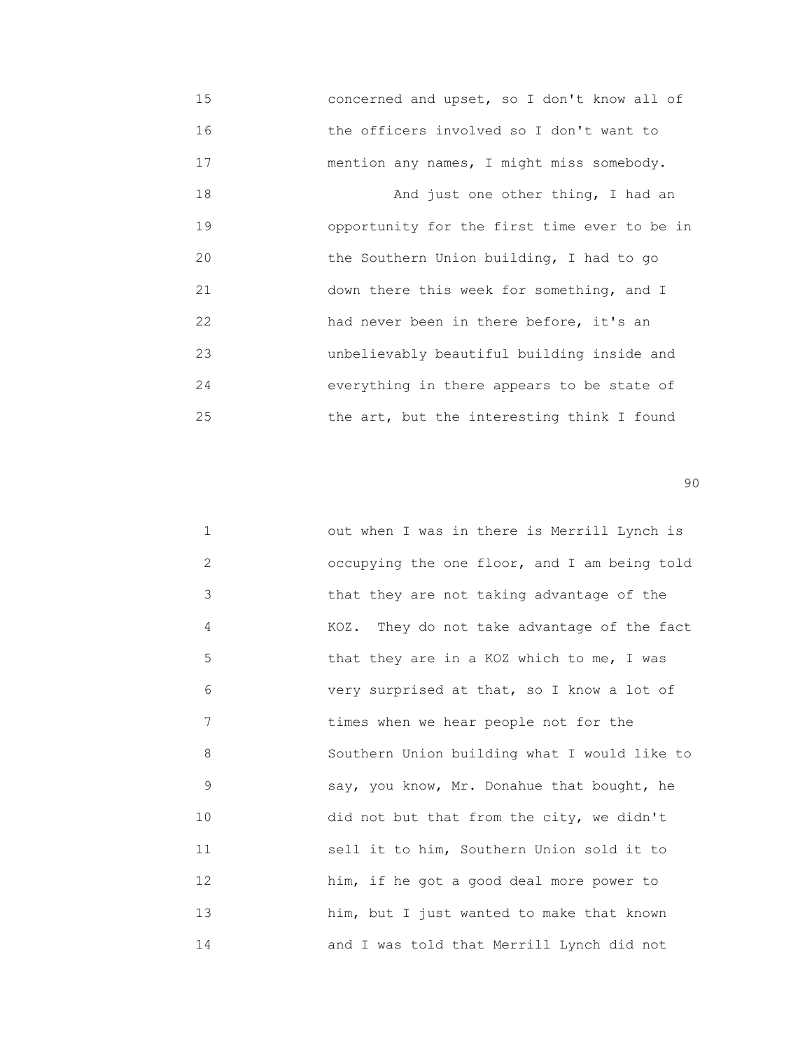15 concerned and upset, so I don't know all of 16 the officers involved so I don't want to 17 mention any names, I might miss somebody. 18 And just one other thing, I had an 19 opportunity for the first time ever to be in 20 the Southern Union building, I had to go 21 down there this week for something, and I 22 had never been in there before, it's an 23 unbelievably beautiful building inside and 24 everything in there appears to be state of 25 the art, but the interesting think I found

en de la construction de la construction de la construction de la construction de la construction de la constr<br>1900 : la construction de la construction de la construction de la construction de la construction de la const

| $\mathbf 1$ | out when I was in there is Merrill Lynch is  |
|-------------|----------------------------------------------|
| 2           | occupying the one floor, and I am being told |
| 3           | that they are not taking advantage of the    |
| 4           | KOZ. They do not take advantage of the fact  |
| 5           | that they are in a KOZ which to me, I was    |
| 6           | very surprised at that, so I know a lot of   |
| 7           | times when we hear people not for the        |
| 8           | Southern Union building what I would like to |
| 9           | say, you know, Mr. Donahue that bought, he   |
| 10          | did not but that from the city, we didn't    |
| 11          | sell it to him, Southern Union sold it to    |
| 12          | him, if he got a good deal more power to     |
| 13          | him, but I just wanted to make that known    |
| 14          | and I was told that Merrill Lynch did not    |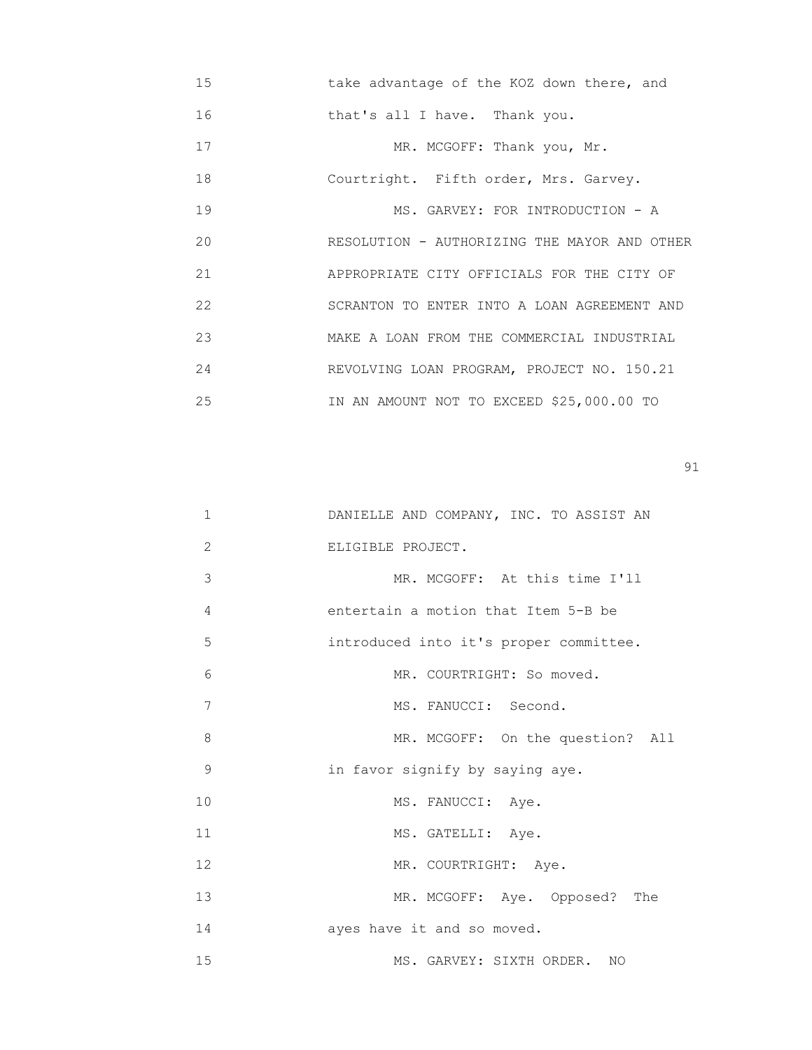15 take advantage of the KOZ down there, and

16 that's all I have. Thank you.

17 MR. MCGOFF: Thank you, Mr.

18 Courtright. Fifth order, Mrs. Garvey.

19 MS. GARVEY: FOR INTRODUCTION - A 20 RESOLUTION - AUTHORIZING THE MAYOR AND OTHER 21 APPROPRIATE CITY OFFICIALS FOR THE CITY OF 22 SCRANTON TO ENTER INTO A LOAN AGREEMENT AND 23 MAKE A LOAN FROM THE COMMERCIAL INDUSTRIAL 24 REVOLVING LOAN PROGRAM, PROJECT NO. 150.21 25 IN AN AMOUNT NOT TO EXCEED \$25,000.00 TO

| $\mathbf 1$ | DANIELLE AND COMPANY, INC. TO ASSIST AN |
|-------------|-----------------------------------------|
| 2           | ELIGIBLE PROJECT.                       |
| 3           | MR. MCGOFF: At this time I'll           |
| 4           | entertain a motion that Item 5-B be     |
| 5           | introduced into it's proper committee.  |
| 6           | MR. COURTRIGHT: So moved.               |
| 7           | MS. FANUCCI: Second.                    |
| 8           | MR. MCGOFF: On the question? All        |
| $\mathsf 9$ | in favor signify by saying aye.         |
| 10          | MS. FANUCCI: Aye.                       |
| 11          | MS. GATELLI: Aye.                       |
| 12          | MR. COURTRIGHT: Aye.                    |
| 13          | MR. MCGOFF: Aye. Opposed? The           |
| 14          | ayes have it and so moved.              |
| 15          | MS. GARVEY: SIXTH ORDER. NO             |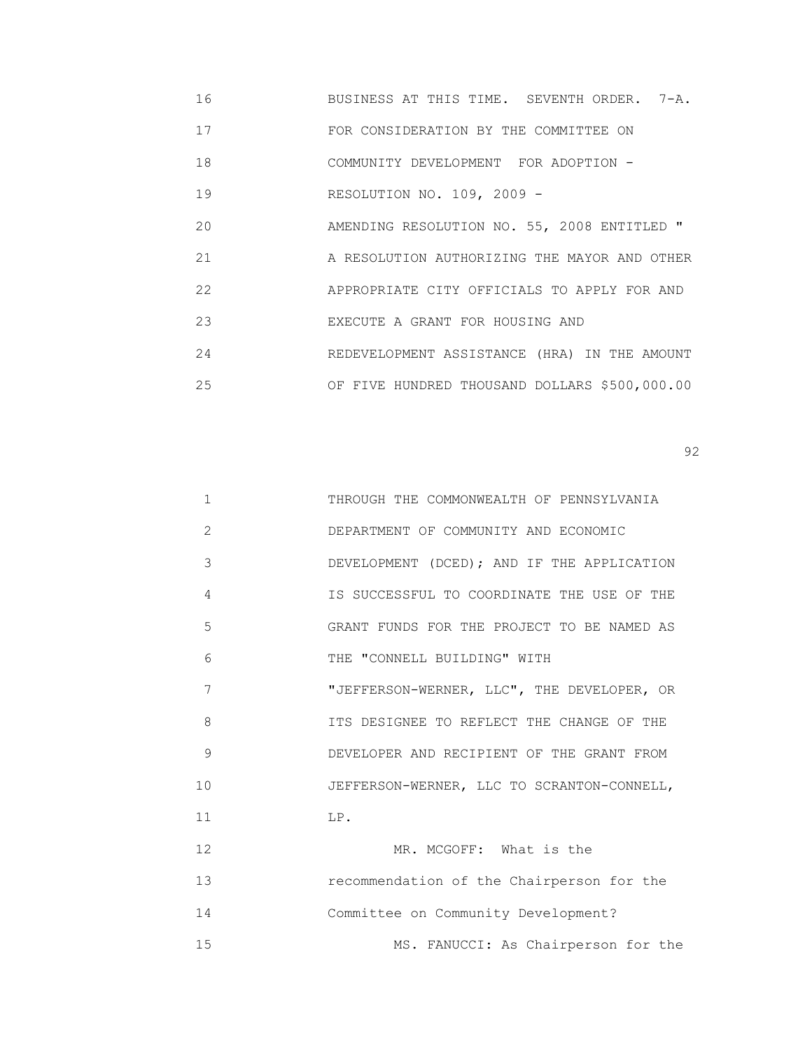16 BUSINESS AT THIS TIME. SEVENTH ORDER. 7-A.

17 FOR CONSIDERATION BY THE COMMITTEE ON

18 COMMUNITY DEVELOPMENT FOR ADOPTION -

19 RESOLUTION NO. 109, 2009 -

20 MENDING RESOLUTION NO. 55, 2008 ENTITLED "

 21 A RESOLUTION AUTHORIZING THE MAYOR AND OTHER 22 APPROPRIATE CITY OFFICIALS TO APPLY FOR AND

23 EXECUTE A GRANT FOR HOUSING AND

24 REDEVELOPMENT ASSISTANCE (HRA) IN THE AMOUNT

25 OF FIVE HUNDRED THOUSAND DOLLARS \$500,000.00

 $\sim$  92

| $\mathbf{1}$ | THROUGH THE COMMONWEALTH OF PENNSYLVANIA   |
|--------------|--------------------------------------------|
| 2            | DEPARTMENT OF COMMUNITY AND ECONOMIC       |
| 3            | DEVELOPMENT (DCED); AND IF THE APPLICATION |
| 4            | IS SUCCESSFUL TO COORDINATE THE USE OF THE |
| 5            | GRANT FUNDS FOR THE PROJECT TO BE NAMED AS |
| 6            | THE "CONNELL BUILDING" WITH                |
| 7            | "JEFFERSON-WERNER, LLC", THE DEVELOPER, OR |
| 8            | ITS DESIGNEE TO REFLECT THE CHANGE OF THE  |
| 9            | DEVELOPER AND RECIPIENT OF THE GRANT FROM  |
| 10           | JEFFERSON-WERNER, LLC TO SCRANTON-CONNELL, |
| 11           | LP.                                        |
| 12           | MR. MCGOFF: What is the                    |
| 13           | recommendation of the Chairperson for the  |
| 14           | Committee on Community Development?        |
| 15           | MS. FANUCCI: As Chairperson for the        |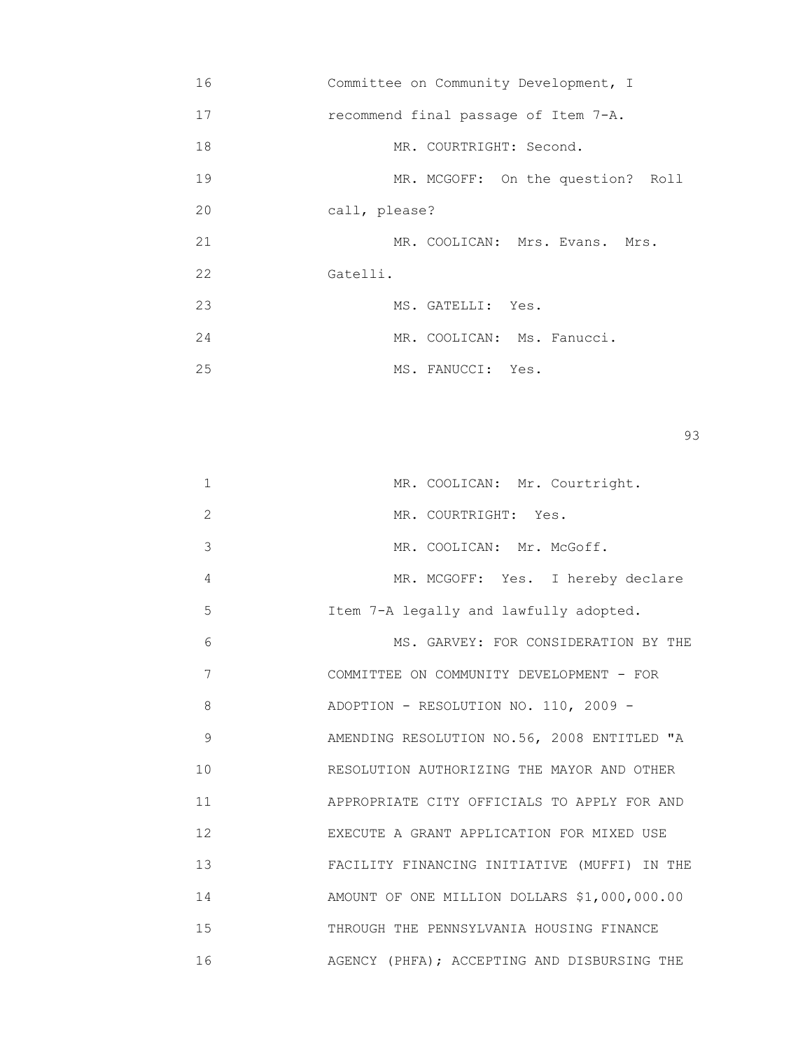| 16 | Committee on Community Development, I |
|----|---------------------------------------|
| 17 | recommend final passage of Item 7-A.  |
| 18 | MR. COURTRIGHT: Second.               |
| 19 | MR. MCGOFF: On the question? Roll     |
| 20 | call, please?                         |
| 21 | MR. COOLICAN: Mrs. Evans. Mrs.        |
| 22 | Gatelli.                              |
| 23 | MS. GATELLI: Yes.                     |
| 24 | MR. COOLICAN: Ms. Fanucci.            |
| 25 | MS. FANUCCI: Yes.                     |

experience of the contract of the contract of the contract of the contract of the contract of the contract of the contract of the contract of the contract of the contract of the contract of the contract of the contract of

| 1              | MR. COOLICAN: Mr. Courtright.                |
|----------------|----------------------------------------------|
| $\overline{2}$ | MR. COURTRIGHT: Yes.                         |
| 3              | MR. COOLICAN: Mr. McGoff.                    |
| 4              | MR. MCGOFF: Yes. I hereby declare            |
| 5              | Item 7-A legally and lawfully adopted.       |
| 6              | MS. GARVEY: FOR CONSIDERATION BY THE         |
| 7              | COMMITTEE ON COMMUNITY DEVELOPMENT - FOR     |
| 8              | ADOPTION - RESOLUTION NO. 110, 2009 -        |
| 9              | AMENDING RESOLUTION NO.56, 2008 ENTITLED "A  |
| 10             | RESOLUTION AUTHORIZING THE MAYOR AND OTHER   |
| 11             | APPROPRIATE CITY OFFICIALS TO APPLY FOR AND  |
| 12             | EXECUTE A GRANT APPLICATION FOR MIXED USE    |
| 13             | FACILITY FINANCING INITIATIVE (MUFFI) IN THE |
| 14             | AMOUNT OF ONE MILLION DOLLARS \$1,000,000.00 |
| 15             | THROUGH THE PENNSYLVANIA HOUSING FINANCE     |
| 16             | AGENCY (PHFA); ACCEPTING AND DISBURSING THE  |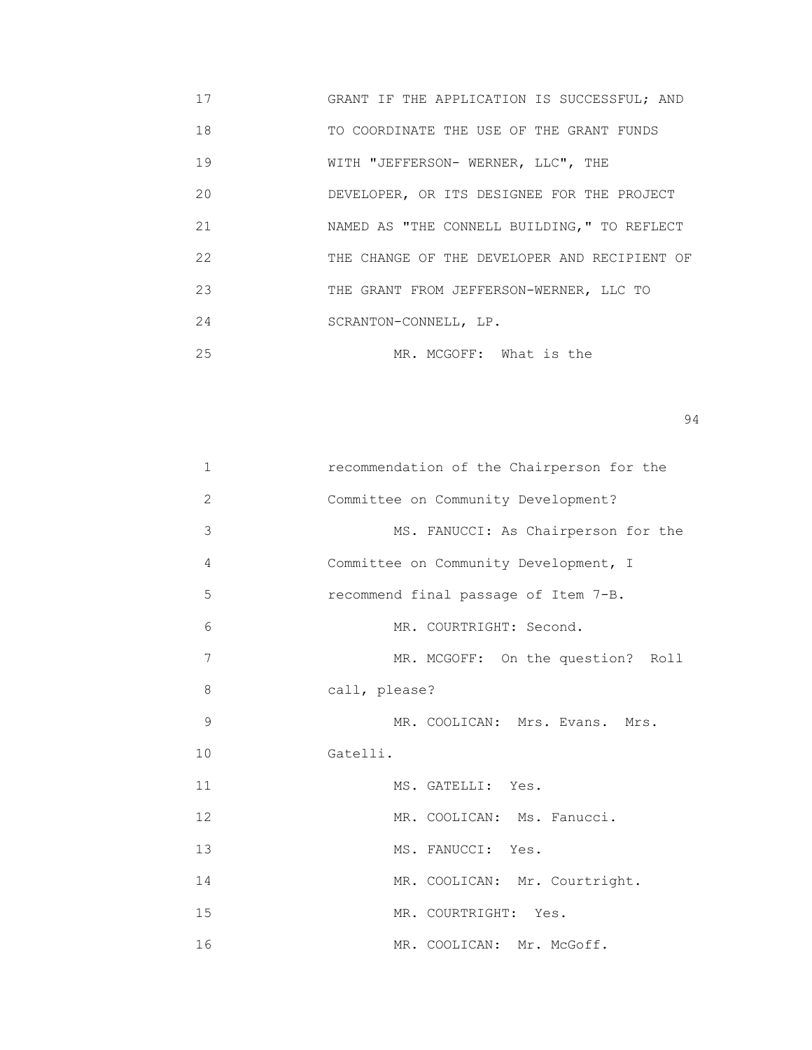17 GRANT IF THE APPLICATION IS SUCCESSFUL; AND 18 TO COORDINATE THE USE OF THE GRANT FUNDS 19 **MITH "JEFFERSON- WERNER, LLC", THE**  20 DEVELOPER, OR ITS DESIGNEE FOR THE PROJECT 21 NAMED AS "THE CONNELL BUILDING," TO REFLECT 22 THE CHANGE OF THE DEVELOPER AND RECIPIENT OF 23 THE GRANT FROM JEFFERSON-WERNER, LLC TO 24 SCRANTON-CONNELL, LP. 25 MR. MCGOFF: What is the

| $\mathbf 1$  | recommendation of the Chairperson for the |
|--------------|-------------------------------------------|
| $\mathbf{2}$ | Committee on Community Development?       |
| 3            | MS. FANUCCI: As Chairperson for the       |
| 4            | Committee on Community Development, I     |
| 5            | recommend final passage of Item 7-B.      |
| 6            | MR. COURTRIGHT: Second.                   |
| 7            | MR. MCGOFF: On the question? Roll         |
| 8            | call, please?                             |
| 9            | MR. COOLICAN: Mrs. Evans. Mrs.            |
| 10           | Gatelli.                                  |
| 11           | MS. GATELLI: Yes.                         |
| 12           | MR. COOLICAN: Ms. Fanucci.                |
| 13           | MS. FANUCCI: Yes.                         |
| 14           | MR. COOLICAN: Mr. Courtright.             |
| 15           | MR. COURTRIGHT: Yes.                      |
| 16           | MR. COOLICAN: Mr. McGoff.                 |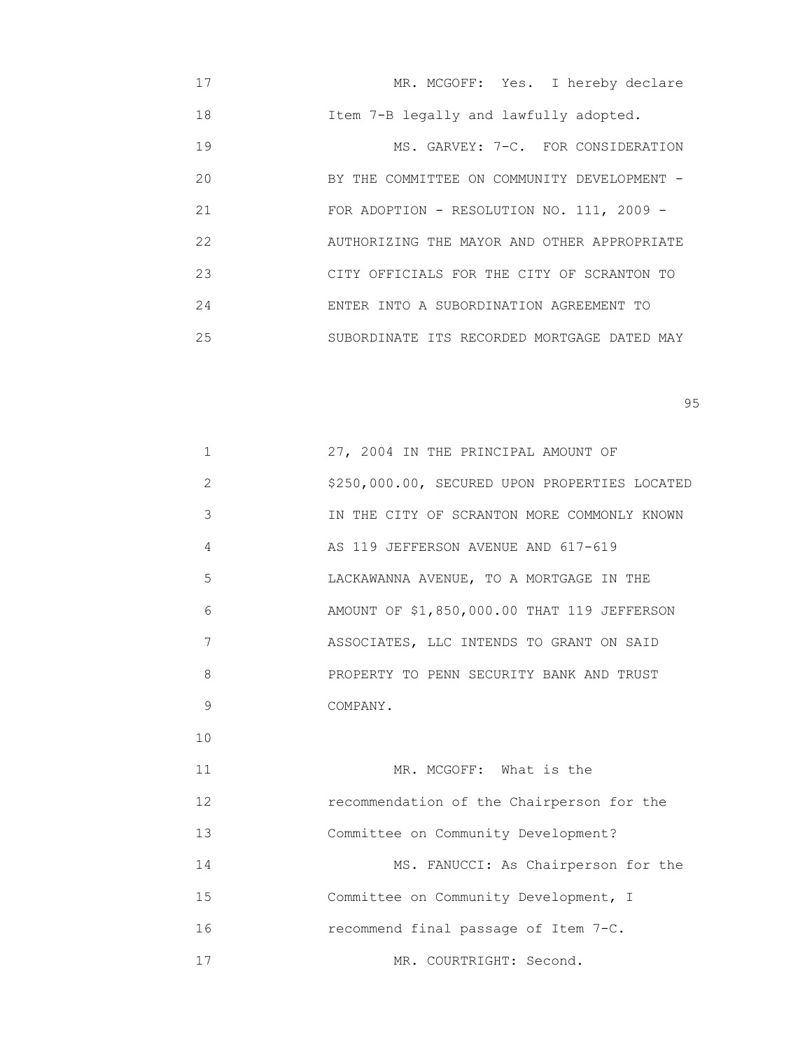| 17  | MR. MCGOFF: Yes. I hereby declare           |
|-----|---------------------------------------------|
| 18  | Item 7-B legally and lawfully adopted.      |
| 19  | MS. GARVEY: 7-C. FOR CONSIDERATION          |
| 20  | BY THE COMMITTEE ON COMMUNITY DEVELOPMENT - |
| 21  | FOR ADOPTION - RESOLUTION NO. 111, 2009 -   |
| 22  | AUTHORIZING THE MAYOR AND OTHER APPROPRIATE |
| 23  | CITY OFFICIALS FOR THE CITY OF SCRANTON TO  |
| 2.4 | ENTER INTO A SUBORDINATION AGREEMENT TO     |
| 25  | SUBORDINATE ITS RECORDED MORTGAGE DATED MAY |

en 1995 en 1996 en 1996 en 1997 en 1998 en 1998 en 1999 en 1999 en 1999 en 1999 en 1999 en 1999 en 1999 en 19<br>De grote en 1999 en 1999 en 1999 en 1999 en 1999 en 1999 en 1999 en 1999 en 1999 en 1999 en 1999 en 1999 en 19

| $\mathbf 1$ | 27, 2004 IN THE PRINCIPAL AMOUNT OF           |
|-------------|-----------------------------------------------|
| 2           | \$250,000.00, SECURED UPON PROPERTIES LOCATED |
| 3           | IN THE CITY OF SCRANTON MORE COMMONLY KNOWN   |
| 4           | AS 119 JEFFERSON AVENUE AND 617-619           |
| 5           | LACKAWANNA AVENUE, TO A MORTGAGE IN THE       |
| 6           | AMOUNT OF \$1,850,000.00 THAT 119 JEFFERSON   |
| 7           | ASSOCIATES, LLC INTENDS TO GRANT ON SAID      |
| 8           | PROPERTY TO PENN SECURITY BANK AND TRUST      |
| 9           | COMPANY.                                      |
| 10          |                                               |
| 11          | MR. MCGOFF: What is the                       |
| 12          | recommendation of the Chairperson for the     |
| 13          | Committee on Community Development?           |
| 14          | MS. FANUCCI: As Chairperson for the           |
| 15          | Committee on Community Development, I         |
|             |                                               |

16 recommend final passage of Item 7-C.

17 MR. COURTRIGHT: Second.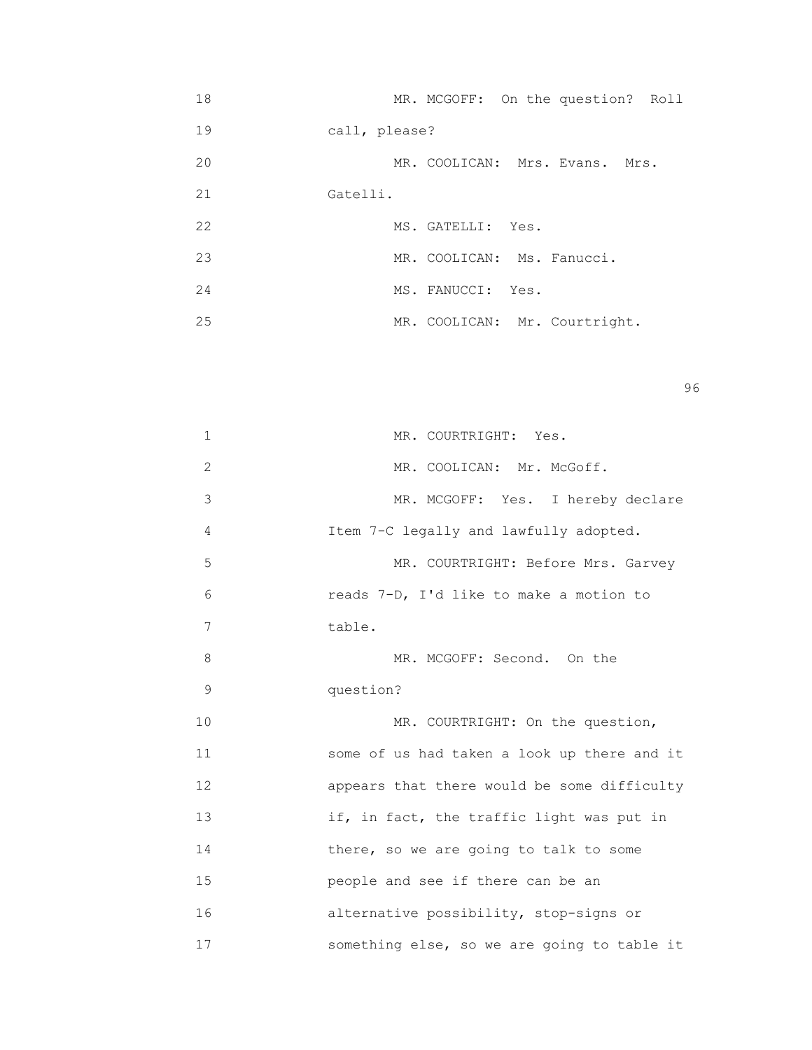| 18 |               | MR. MCGOFF: On the question? Roll |  |  |  |
|----|---------------|-----------------------------------|--|--|--|
| 19 | call, please? |                                   |  |  |  |
| 20 |               | MR. COOLICAN: Mrs. Evans. Mrs.    |  |  |  |
| 21 | Gatelli.      |                                   |  |  |  |
| 22 |               | MS. GATELLI: Yes.                 |  |  |  |
| 23 |               | MR. COOLICAN: Ms. Fanucci.        |  |  |  |
| 24 |               | MS. FANUCCI: Yes.                 |  |  |  |
| 25 |               | MR. COOLICAN: Mr. Courtright.     |  |  |  |

en 1996 en 1996 en 1996 en 1996 en 1996 en 1996 en 1996 en 1996 en 1996 en 1996 en 1996 en 1996 en 1996 en 19<br>De grote en 1996 en 1996 en 1999 en 1999 en 1999 en 1999 en 1999 en 1999 en 1999 en 1999 en 1999 en 1999 en 19

| $\mathbf 1$  | MR. COURTRIGHT: Yes.                        |
|--------------|---------------------------------------------|
| $\mathbf{2}$ | MR. COOLICAN: Mr. McGoff.                   |
| 3            | MR. MCGOFF: Yes. I hereby declare           |
| 4            | Item 7-C legally and lawfully adopted.      |
| 5            | MR. COURTRIGHT: Before Mrs. Garvey          |
| 6            | reads 7-D, I'd like to make a motion to     |
| 7            | table.                                      |
| 8            | MR. MCGOFF: Second. On the                  |
| 9            | question?                                   |
| 10           | MR. COURTRIGHT: On the question,            |
| 11           | some of us had taken a look up there and it |
| 12           | appears that there would be some difficulty |
| 13           | if, in fact, the traffic light was put in   |
| 14           | there, so we are going to talk to some      |
| 15           | people and see if there can be an           |
| 16           | alternative possibility, stop-signs or      |
| 17           | something else, so we are going to table it |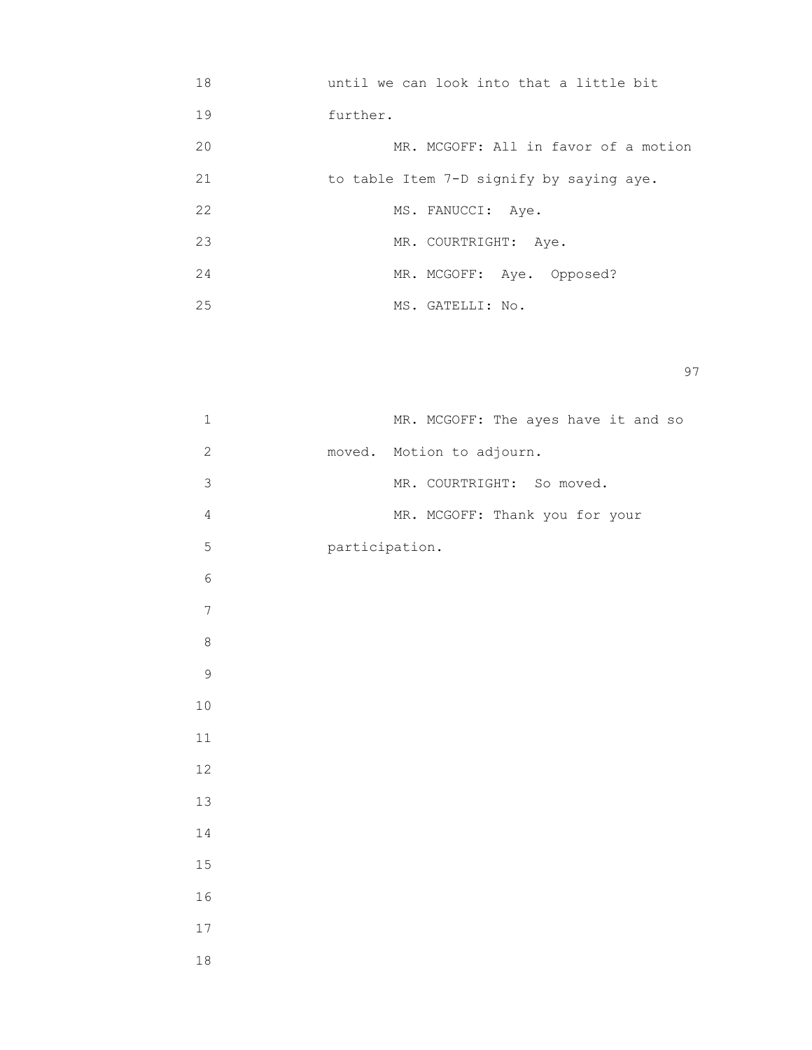| 18 | until we can look into that a little bit |
|----|------------------------------------------|
| 19 | further.                                 |
| 20 | MR. MCGOFF: All in favor of a motion     |
| 21 | to table Item 7-D signify by saying aye. |
| 22 | MS. FANUCCI: Aye.                        |
| 23 | MR. COURTRIGHT: Aye.                     |
| 24 | MR. MCGOFF: Aye. Opposed?                |
| 25 | MS. GATELLI: No.                         |

|        | $\mathbf 1$    |                | MR. MCGOFF: The ayes have it and so |  |  |  |
|--------|----------------|----------------|-------------------------------------|--|--|--|
|        | $\mathbf{2}$   | moved.         | Motion to adjourn.                  |  |  |  |
|        | 3              |                | MR. COURTRIGHT: So moved.           |  |  |  |
|        | $\overline{4}$ |                | MR. MCGOFF: Thank you for your      |  |  |  |
|        | $\mathsf S$    | participation. |                                     |  |  |  |
|        | $\epsilon$     |                |                                     |  |  |  |
|        | $\overline{7}$ |                |                                     |  |  |  |
|        | $\,8\,$        |                |                                     |  |  |  |
|        | $\mathsf 9$    |                |                                     |  |  |  |
| $10\,$ |                |                |                                     |  |  |  |
| $11\,$ |                |                |                                     |  |  |  |
| $12\,$ |                |                |                                     |  |  |  |
| 13     |                |                |                                     |  |  |  |
| 14     |                |                |                                     |  |  |  |
| $15\,$ |                |                |                                     |  |  |  |
| 16     |                |                |                                     |  |  |  |
| $17\,$ |                |                |                                     |  |  |  |
| $1\,8$ |                |                |                                     |  |  |  |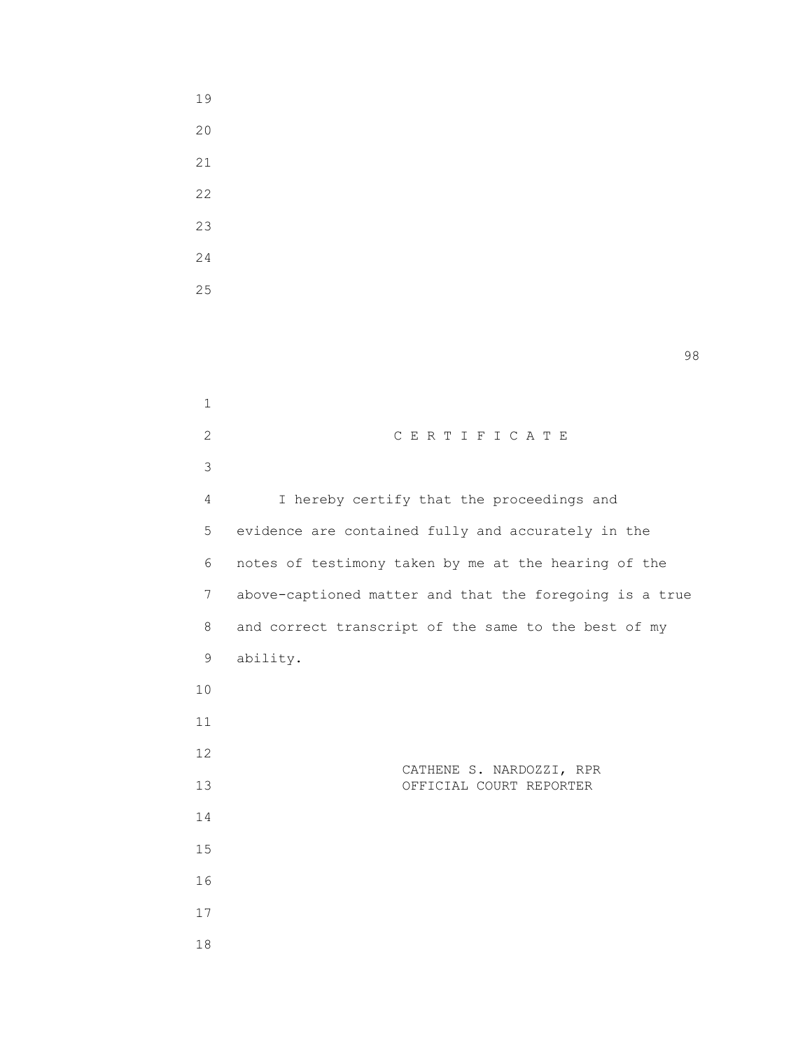19

en 1980 en 1980 en 1980 en 1980 en 1980 en 1980 en 1980 en 1980 en 1980 en 1980 en 1980 en 1980 en 1980 en 19<br>De grote en 1980 en 1980 en 1980 en 1980 en 1980 en 1980 en 1980 en 1980 en 1980 en 1980 en 1980 en 1980 en 19

| $\mathbf 1$    |                                                         |
|----------------|---------------------------------------------------------|
| $\overline{2}$ | CERTIFICATE                                             |
| 3              |                                                         |
| 4              | I hereby certify that the proceedings and               |
| 5              | evidence are contained fully and accurately in the      |
| 6              | notes of testimony taken by me at the hearing of the    |
| $7\phantom{.}$ | above-captioned matter and that the foregoing is a true |
| 8              | and correct transcript of the same to the best of my    |
| 9              | ability.                                                |
| 10             |                                                         |
| 11             |                                                         |
| 12             |                                                         |
| 13             | CATHENE S. NARDOZZI, RPR<br>OFFICIAL COURT REPORTER     |
| 14             |                                                         |
| 15             |                                                         |
| 16             |                                                         |
| 17             |                                                         |
| $\sim$         |                                                         |